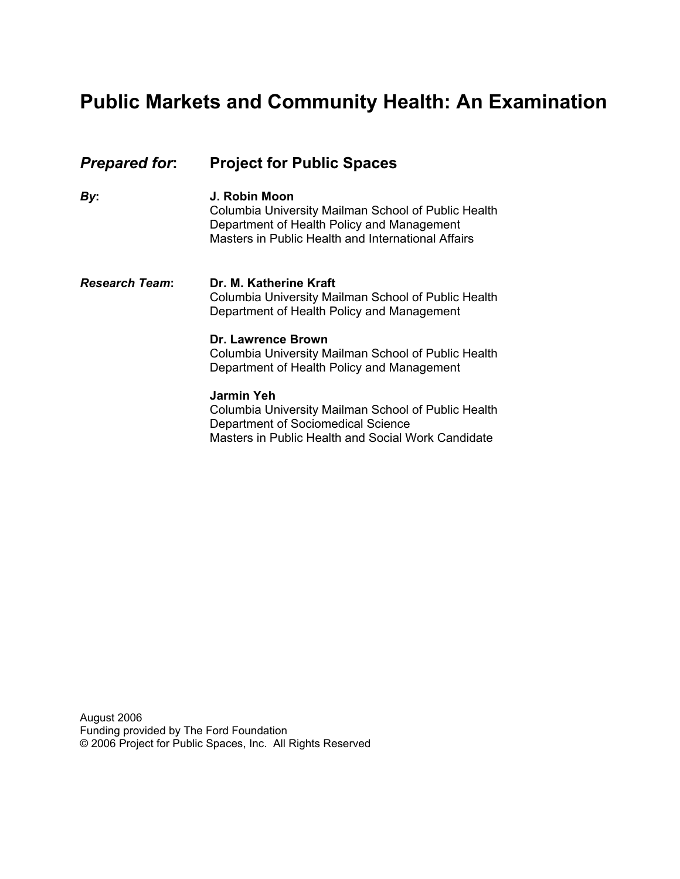# **Public Markets and Community Health: An Examination**

| <b>Prepared for:</b>  | <b>Project for Public Spaces</b>                                                                                                                                         |  |
|-----------------------|--------------------------------------------------------------------------------------------------------------------------------------------------------------------------|--|
| By:                   | J. Robin Moon<br>Columbia University Mailman School of Public Health<br>Department of Health Policy and Management<br>Masters in Public Health and International Affairs |  |
| <b>Research Team:</b> | Dr. M. Katherine Kraft<br>Columbia University Mailman School of Public Health<br>Department of Health Policy and Management                                              |  |
|                       | Dr. Lawrence Brown<br>Columbia University Mailman School of Public Health<br>Department of Health Policy and Management                                                  |  |
|                       | Jarmin Yeh<br>Columbia University Mailman School of Public Health<br>Department of Sociomedical Science<br>Masters in Public Health and Social Work Candidate            |  |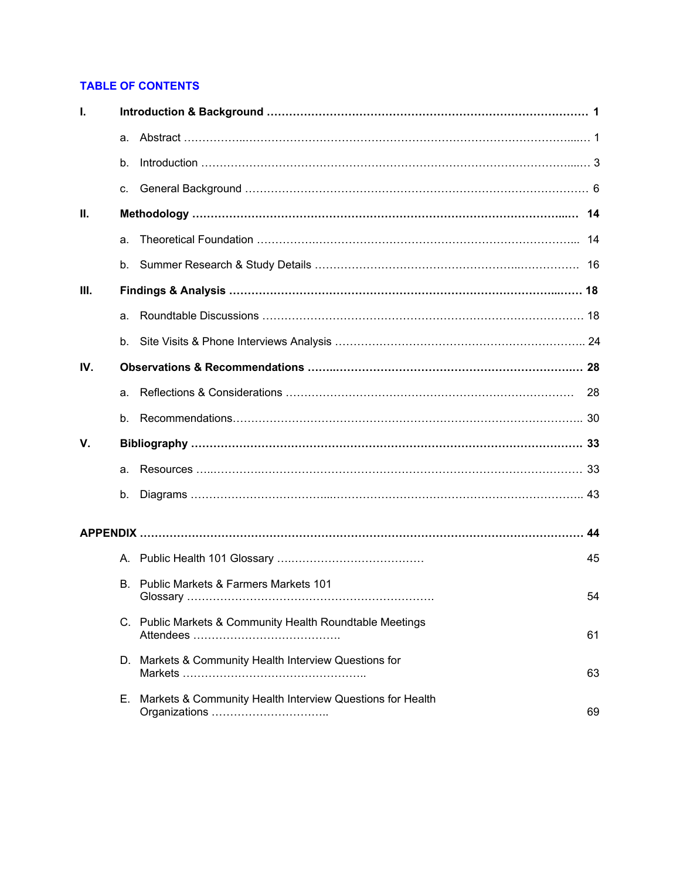# **TABLE OF CONTENTS**

| Т.   |    |                                                           |    |
|------|----|-----------------------------------------------------------|----|
|      | a. |                                                           |    |
|      | b. |                                                           |    |
|      | C. |                                                           |    |
| Ш.   |    |                                                           |    |
|      | a. |                                                           |    |
|      | b. |                                                           |    |
| III. |    |                                                           |    |
|      | a. |                                                           |    |
|      | b. |                                                           |    |
| IV.  |    |                                                           |    |
|      | a. |                                                           | 28 |
|      | b. |                                                           |    |
| V.   |    |                                                           |    |
|      | a. |                                                           |    |
|      | b. |                                                           |    |
|      |    |                                                           |    |
|      |    |                                                           | 45 |
|      |    | B. Public Markets & Farmers Markets 101                   | 54 |
|      |    | C. Public Markets & Community Health Roundtable Meetings  | 61 |
|      |    | D. Markets & Community Health Interview Questions for     | 63 |
|      | Е. | Markets & Community Health Interview Questions for Health | 69 |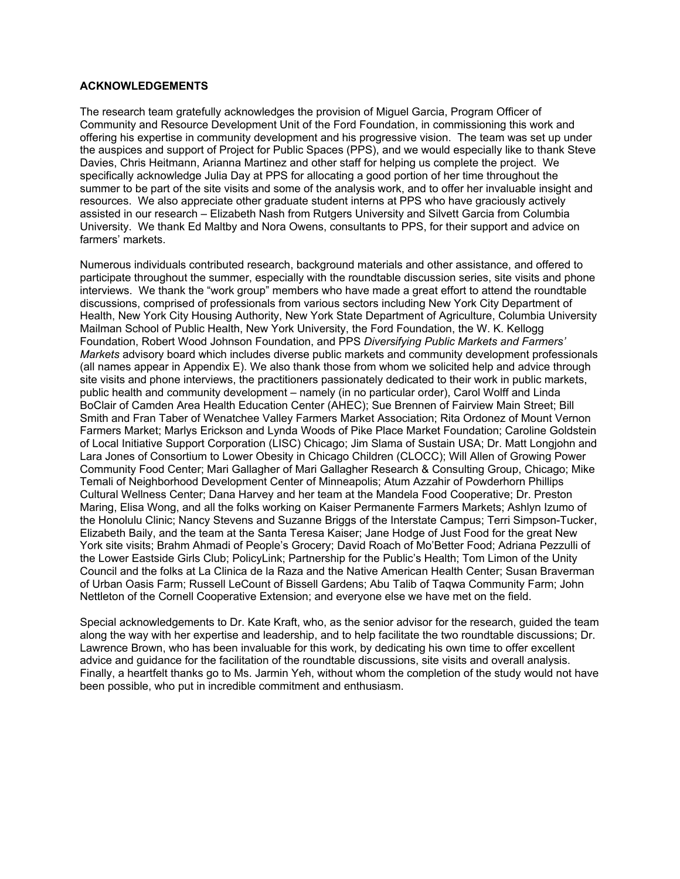#### **ACKNOWLEDGEMENTS**

The research team gratefully acknowledges the provision of Miguel Garcia, Program Officer of Community and Resource Development Unit of the Ford Foundation, in commissioning this work and offering his expertise in community development and his progressive vision. The team was set up under the auspices and support of Project for Public Spaces (PPS), and we would especially like to thank Steve Davies, Chris Heitmann, Arianna Martinez and other staff for helping us complete the project. We specifically acknowledge Julia Day at PPS for allocating a good portion of her time throughout the summer to be part of the site visits and some of the analysis work, and to offer her invaluable insight and resources. We also appreciate other graduate student interns at PPS who have graciously actively assisted in our research – Elizabeth Nash from Rutgers University and Silvett Garcia from Columbia University. We thank Ed Maltby and Nora Owens, consultants to PPS, for their support and advice on farmers' markets.

Numerous individuals contributed research, background materials and other assistance, and offered to participate throughout the summer, especially with the roundtable discussion series, site visits and phone interviews. We thank the "work group" members who have made a great effort to attend the roundtable discussions, comprised of professionals from various sectors including New York City Department of Health, New York City Housing Authority, New York State Department of Agriculture, Columbia University Mailman School of Public Health, New York University, the Ford Foundation, the W. K. Kellogg Foundation, Robert Wood Johnson Foundation, and PPS *Diversifying Public Markets and Farmers' Markets* advisory board which includes diverse public markets and community development professionals (all names appear in Appendix E). We also thank those from whom we solicited help and advice through site visits and phone interviews, the practitioners passionately dedicated to their work in public markets, public health and community development – namely (in no particular order), Carol Wolff and Linda BoClair of Camden Area Health Education Center (AHEC); Sue Brennen of Fairview Main Street; Bill Smith and Fran Taber of Wenatchee Valley Farmers Market Association; Rita Ordonez of Mount Vernon Farmers Market; Marlys Erickson and Lynda Woods of Pike Place Market Foundation; Caroline Goldstein of Local Initiative Support Corporation (LISC) Chicago; Jim Slama of Sustain USA; Dr. Matt Longjohn and Lara Jones of Consortium to Lower Obesity in Chicago Children (CLOCC); Will Allen of Growing Power Community Food Center; Mari Gallagher of Mari Gallagher Research & Consulting Group, Chicago; Mike Temali of Neighborhood Development Center of Minneapolis; Atum Azzahir of Powderhorn Phillips Cultural Wellness Center; Dana Harvey and her team at the Mandela Food Cooperative; Dr. Preston Maring, Elisa Wong, and all the folks working on Kaiser Permanente Farmers Markets; Ashlyn Izumo of the Honolulu Clinic; Nancy Stevens and Suzanne Briggs of the Interstate Campus; Terri Simpson-Tucker, Elizabeth Baily, and the team at the Santa Teresa Kaiser; Jane Hodge of Just Food for the great New York site visits; Brahm Ahmadi of People's Grocery; David Roach of Mo'Better Food; Adriana Pezzulli of the Lower Eastside Girls Club; PolicyLink; Partnership for the Public's Health; Tom Limon of the Unity Council and the folks at La Clinica de la Raza and the Native American Health Center; Susan Braverman of Urban Oasis Farm; Russell LeCount of Bissell Gardens; Abu Talib of Taqwa Community Farm; John Nettleton of the Cornell Cooperative Extension; and everyone else we have met on the field.

Special acknowledgements to Dr. Kate Kraft, who, as the senior advisor for the research, guided the team along the way with her expertise and leadership, and to help facilitate the two roundtable discussions; Dr. Lawrence Brown, who has been invaluable for this work, by dedicating his own time to offer excellent advice and guidance for the facilitation of the roundtable discussions, site visits and overall analysis. Finally, a heartfelt thanks go to Ms. Jarmin Yeh, without whom the completion of the study would not have been possible, who put in incredible commitment and enthusiasm.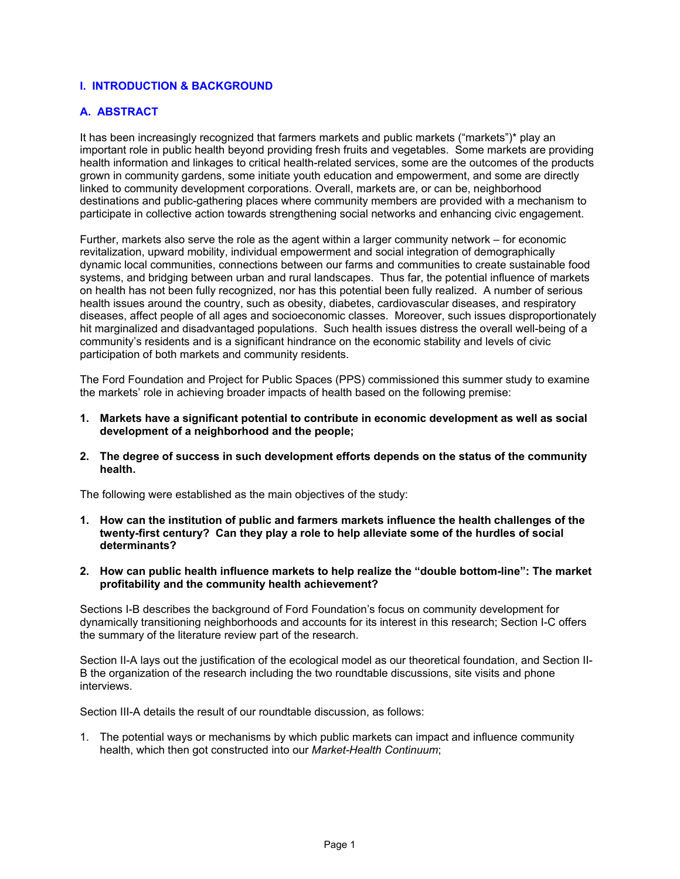# **I. INTRODUCTION & BACKGROUND**

# **A. ABSTRACT**

It has been increasingly recognized that farmers markets and public markets ("markets")\* play an important role in public health beyond providing fresh fruits and vegetables. Some markets are providing health information and linkages to critical health-related services, some are the outcomes of the products grown in community gardens, some initiate youth education and empowerment, and some are directly linked to community development corporations. Overall, markets are, or can be, neighborhood destinations and public-gathering places where community members are provided with a mechanism to participate in collective action towards strengthening social networks and enhancing civic engagement.

Further, markets also serve the role as the agent within a larger community network – for economic revitalization, upward mobility, individual empowerment and social integration of demographically dynamic local communities, connections between our farms and communities to create sustainable food systems, and bridging between urban and rural landscapes. Thus far, the potential influence of markets on health has not been fully recognized, nor has this potential been fully realized. A number of serious health issues around the country, such as obesity, diabetes, cardiovascular diseases, and respiratory diseases, affect people of all ages and socioeconomic classes. Moreover, such issues disproportionately hit marginalized and disadvantaged populations. Such health issues distress the overall well-being of a community's residents and is a significant hindrance on the economic stability and levels of civic participation of both markets and community residents.

The Ford Foundation and Project for Public Spaces (PPS) commissioned this summer study to examine the markets' role in achieving broader impacts of health based on the following premise:

- **1. Markets have a significant potential to contribute in economic development as well as social development of a neighborhood and the people;**
- **2. The degree of success in such development efforts depends on the status of the community health.**

The following were established as the main objectives of the study:

- **1. How can the institution of public and farmers markets influence the health challenges of the twenty-first century? Can they play a role to help alleviate some of the hurdles of social determinants?**
- **2. How can public health influence markets to help realize the "double bottom-line": The market profitability and the community health achievement?**

Sections I-B describes the background of Ford Foundation's focus on community development for dynamically transitioning neighborhoods and accounts for its interest in this research; Section I-C offers the summary of the literature review part of the research.

Section II-A lays out the justification of the ecological model as our theoretical foundation, and Section II-B the organization of the research including the two roundtable discussions, site visits and phone interviews.

Section III-A details the result of our roundtable discussion, as follows:

1. The potential ways or mechanisms by which public markets can impact and influence community health, which then got constructed into our *Market-Health Continuum*;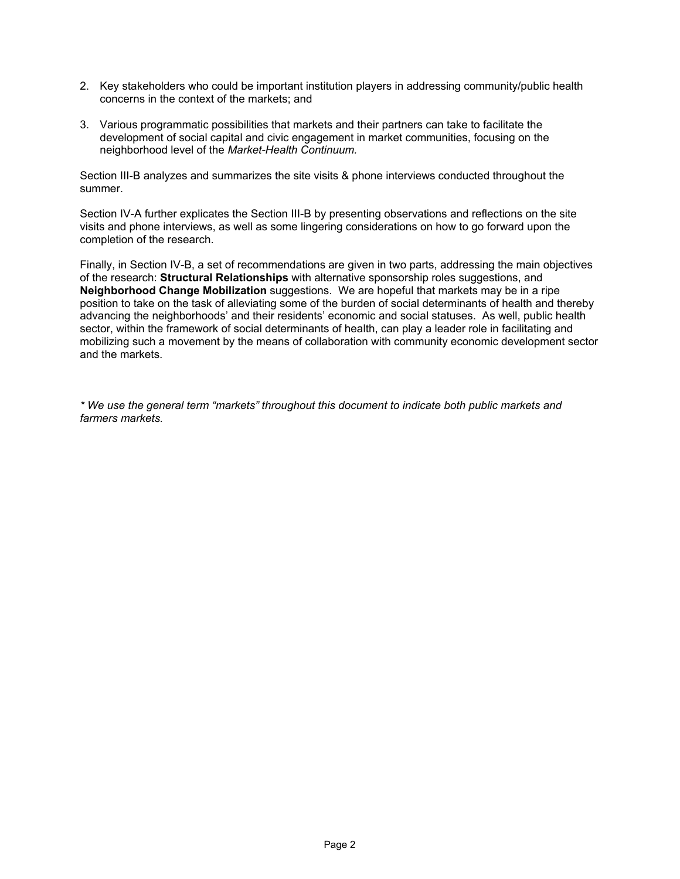- 2. Key stakeholders who could be important institution players in addressing community/public health concerns in the context of the markets; and
- 3. Various programmatic possibilities that markets and their partners can take to facilitate the development of social capital and civic engagement in market communities, focusing on the neighborhood level of the *Market-Health Continuum.*

Section III-B analyzes and summarizes the site visits & phone interviews conducted throughout the summer.

Section IV-A further explicates the Section III-B by presenting observations and reflections on the site visits and phone interviews, as well as some lingering considerations on how to go forward upon the completion of the research.

Finally, in Section IV-B, a set of recommendations are given in two parts, addressing the main objectives of the research: **Structural Relationships** with alternative sponsorship roles suggestions, and **Neighborhood Change Mobilization** suggestions. We are hopeful that markets may be in a ripe position to take on the task of alleviating some of the burden of social determinants of health and thereby advancing the neighborhoods' and their residents' economic and social statuses. As well, public health sector, within the framework of social determinants of health, can play a leader role in facilitating and mobilizing such a movement by the means of collaboration with community economic development sector and the markets.

*\* We use the general term "markets" throughout this document to indicate both public markets and farmers markets.*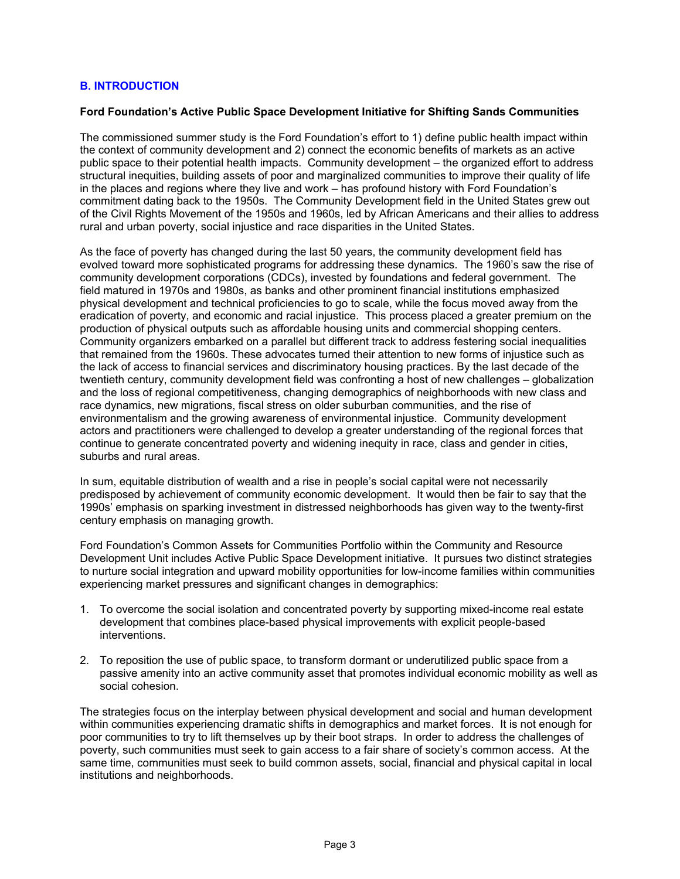# **B. INTRODUCTION**

#### **Ford Foundation's Active Public Space Development Initiative for Shifting Sands Communities**

The commissioned summer study is the Ford Foundation's effort to 1) define public health impact within the context of community development and 2) connect the economic benefits of markets as an active public space to their potential health impacts. Community development – the organized effort to address structural inequities, building assets of poor and marginalized communities to improve their quality of life in the places and regions where they live and work – has profound history with Ford Foundation's commitment dating back to the 1950s. The Community Development field in the United States grew out of the Civil Rights Movement of the 1950s and 1960s, led by African Americans and their allies to address rural and urban poverty, social injustice and race disparities in the United States.

As the face of poverty has changed during the last 50 years, the community development field has evolved toward more sophisticated programs for addressing these dynamics. The 1960's saw the rise of community development corporations (CDCs), invested by foundations and federal government. The field matured in 1970s and 1980s, as banks and other prominent financial institutions emphasized physical development and technical proficiencies to go to scale, while the focus moved away from the eradication of poverty, and economic and racial injustice. This process placed a greater premium on the production of physical outputs such as affordable housing units and commercial shopping centers. Community organizers embarked on a parallel but different track to address festering social inequalities that remained from the 1960s. These advocates turned their attention to new forms of injustice such as the lack of access to financial services and discriminatory housing practices. By the last decade of the twentieth century, community development field was confronting a host of new challenges – globalization and the loss of regional competitiveness, changing demographics of neighborhoods with new class and race dynamics, new migrations, fiscal stress on older suburban communities, and the rise of environmentalism and the growing awareness of environmental injustice. Community development actors and practitioners were challenged to develop a greater understanding of the regional forces that continue to generate concentrated poverty and widening inequity in race, class and gender in cities, suburbs and rural areas.

In sum, equitable distribution of wealth and a rise in people's social capital were not necessarily predisposed by achievement of community economic development. It would then be fair to say that the 1990s' emphasis on sparking investment in distressed neighborhoods has given way to the twenty-first century emphasis on managing growth.

Ford Foundation's Common Assets for Communities Portfolio within the Community and Resource Development Unit includes Active Public Space Development initiative. It pursues two distinct strategies to nurture social integration and upward mobility opportunities for low-income families within communities experiencing market pressures and significant changes in demographics:

- 1. To overcome the social isolation and concentrated poverty by supporting mixed-income real estate development that combines place-based physical improvements with explicit people-based interventions.
- 2. To reposition the use of public space, to transform dormant or underutilized public space from a passive amenity into an active community asset that promotes individual economic mobility as well as social cohesion.

The strategies focus on the interplay between physical development and social and human development within communities experiencing dramatic shifts in demographics and market forces. It is not enough for poor communities to try to lift themselves up by their boot straps. In order to address the challenges of poverty, such communities must seek to gain access to a fair share of society's common access. At the same time, communities must seek to build common assets, social, financial and physical capital in local institutions and neighborhoods.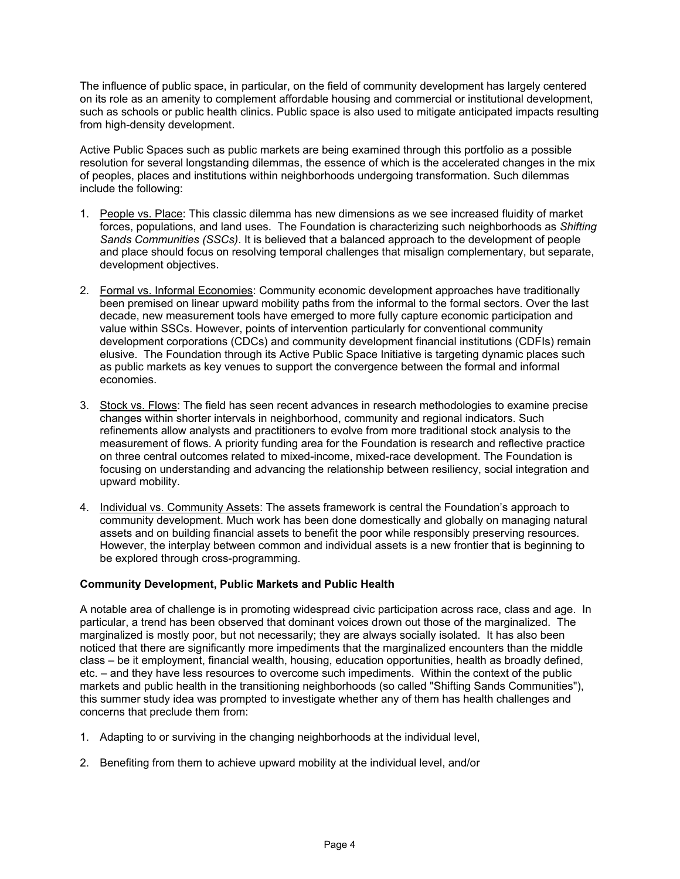The influence of public space, in particular, on the field of community development has largely centered on its role as an amenity to complement affordable housing and commercial or institutional development, such as schools or public health clinics. Public space is also used to mitigate anticipated impacts resulting from high-density development.

Active Public Spaces such as public markets are being examined through this portfolio as a possible resolution for several longstanding dilemmas, the essence of which is the accelerated changes in the mix of peoples, places and institutions within neighborhoods undergoing transformation. Such dilemmas include the following:

- 1. People vs. Place: This classic dilemma has new dimensions as we see increased fluidity of market forces, populations, and land uses. The Foundation is characterizing such neighborhoods as *Shifting Sands Communities (SSCs)*. It is believed that a balanced approach to the development of people and place should focus on resolving temporal challenges that misalign complementary, but separate, development objectives.
- 2. Formal vs. Informal Economies: Community economic development approaches have traditionally been premised on linear upward mobility paths from the informal to the formal sectors. Over the last decade, new measurement tools have emerged to more fully capture economic participation and value within SSCs. However, points of intervention particularly for conventional community development corporations (CDCs) and community development financial institutions (CDFIs) remain elusive. The Foundation through its Active Public Space Initiative is targeting dynamic places such as public markets as key venues to support the convergence between the formal and informal economies.
- 3. Stock vs. Flows: The field has seen recent advances in research methodologies to examine precise changes within shorter intervals in neighborhood, community and regional indicators. Such refinements allow analysts and practitioners to evolve from more traditional stock analysis to the measurement of flows. A priority funding area for the Foundation is research and reflective practice on three central outcomes related to mixed-income, mixed-race development. The Foundation is focusing on understanding and advancing the relationship between resiliency, social integration and upward mobility.
- 4. Individual vs. Community Assets: The assets framework is central the Foundation's approach to community development. Much work has been done domestically and globally on managing natural assets and on building financial assets to benefit the poor while responsibly preserving resources. However, the interplay between common and individual assets is a new frontier that is beginning to be explored through cross-programming.

# **Community Development, Public Markets and Public Health**

A notable area of challenge is in promoting widespread civic participation across race, class and age. In particular, a trend has been observed that dominant voices drown out those of the marginalized. The marginalized is mostly poor, but not necessarily; they are always socially isolated. It has also been noticed that there are significantly more impediments that the marginalized encounters than the middle class – be it employment, financial wealth, housing, education opportunities, health as broadly defined, etc. – and they have less resources to overcome such impediments. Within the context of the public markets and public health in the transitioning neighborhoods (so called "Shifting Sands Communities"), this summer study idea was prompted to investigate whether any of them has health challenges and concerns that preclude them from:

- 1. Adapting to or surviving in the changing neighborhoods at the individual level,
- 2. Benefiting from them to achieve upward mobility at the individual level, and/or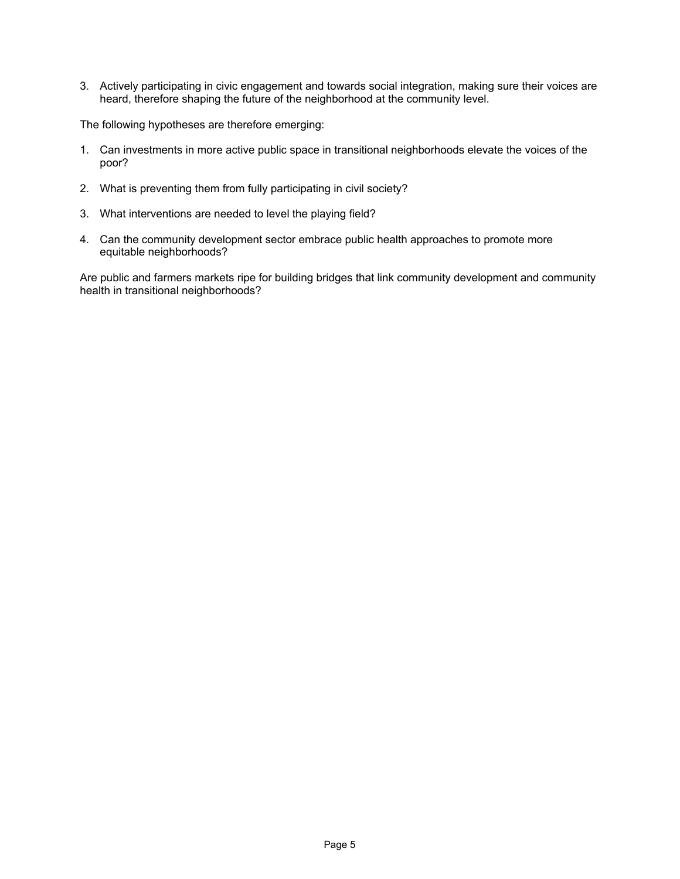3. Actively participating in civic engagement and towards social integration, making sure their voices are heard, therefore shaping the future of the neighborhood at the community level.

The following hypotheses are therefore emerging:

- 1. Can investments in more active public space in transitional neighborhoods elevate the voices of the poor?
- 2. What is preventing them from fully participating in civil society?
- 3. What interventions are needed to level the playing field?
- 4. Can the community development sector embrace public health approaches to promote more equitable neighborhoods?

Are public and farmers markets ripe for building bridges that link community development and community health in transitional neighborhoods?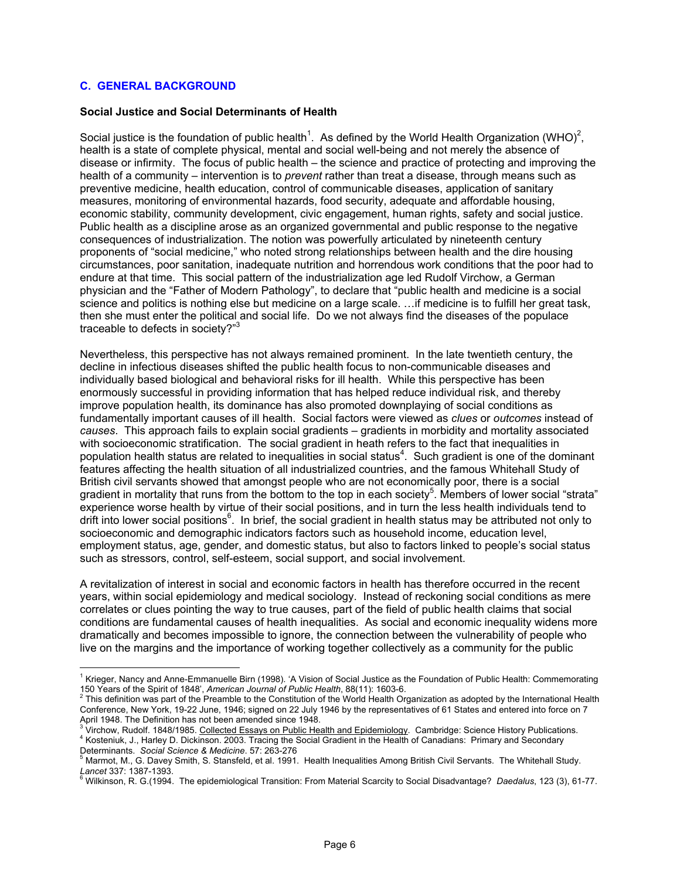# **C. GENERAL BACKGROUND**

 $\overline{a}$ 

#### **Social Justice and Social Determinants of Health**

Social justice is the foundation of public health<sup>1</sup>. As defined by the World Health Organization (WHO)<sup>2</sup>, health is a state of complete physical, mental and social well-being and not merely the absence of disease or infirmity. The focus of public health – the science and practice of protecting and improving the health of a community – intervention is to *prevent* rather than treat a disease, through means such as preventive medicine, health education, control of communicable diseases, application of sanitary measures, monitoring of environmental hazards, food security, adequate and affordable housing, economic stability, community development, civic engagement, human rights, safety and social justice. Public health as a discipline arose as an organized governmental and public response to the negative consequences of industrialization. The notion was powerfully articulated by nineteenth century proponents of "social medicine," who noted strong relationships between health and the dire housing circumstances, poor sanitation, inadequate nutrition and horrendous work conditions that the poor had to endure at that time. This social pattern of the industrialization age led Rudolf Virchow, a German physician and the "Father of Modern Pathology", to declare that "public health and medicine is a social science and politics is nothing else but medicine on a large scale. …if medicine is to fulfill her great task, then she must enter the political and social life. Do we not always find the diseases of the populace traceable to defects in society?"<sup>3</sup>

Nevertheless, this perspective has not always remained prominent. In the late twentieth century, the decline in infectious diseases shifted the public health focus to non-communicable diseases and individually based biological and behavioral risks for ill health. While this perspective has been enormously successful in providing information that has helped reduce individual risk, and thereby improve population health, its dominance has also promoted downplaying of social conditions as fundamentally important causes of ill health. Social factors were viewed as *clues* or *outcomes* instead of *causes*. This approach fails to explain social gradients – gradients in morbidity and mortality associated with socioeconomic stratification. The social gradient in heath refers to the fact that inequalities in population health status are related to inequalities in social status<sup>4</sup>. Such gradient is one of the dominant features affecting the health situation of all industrialized countries, and the famous Whitehall Study of British civil servants showed that amongst people who are not economically poor, there is a social gradient in mortality that runs from the bottom to the top in each society<sup>5</sup>. Members of lower social "strata" experience worse health by virtue of their social positions, and in turn the less health individuals tend to drift into lower social positions<sup>6</sup>. In brief, the social gradient in health status may be attributed not only to socioeconomic and demographic indicators factors such as household income, education level, employment status, age, gender, and domestic status, but also to factors linked to people's social status such as stressors, control, self-esteem, social support, and social involvement.

A revitalization of interest in social and economic factors in health has therefore occurred in the recent years, within social epidemiology and medical sociology. Instead of reckoning social conditions as mere correlates or clues pointing the way to true causes, part of the field of public health claims that social conditions are fundamental causes of health inequalities. As social and economic inequality widens more dramatically and becomes impossible to ignore, the connection between the vulnerability of people who live on the margins and the importance of working together collectively as a community for the public

<sup>&</sup>lt;sup>1</sup> Krieger, Nancy and Anne-Emmanuelle Birn (1998). 'A Vision of Social Justice as the Foundation of Public Health: Commemorating 150 Years of the Spirit of 1848', *American Journal of Public Health*, 88(11): 1603-6. <sup>2</sup>

<sup>&</sup>lt;sup>2</sup> This definition was part of the Preamble to the Constitution of the World Health Organization as adopted by the International Health Conference, New York, 19-22 June, 1946; signed on 22 July 1946 by the representatives of 61 States and entered into force on 7

April 1948. The Definition has not been amended since 1948.<br><sup>3</sup> Virchow, Rudolf. 1848/1985. <u>Collected Essays on Public Health and Epidemiology</u>. Cambridge: Science History Publications.<br><sup>4</sup> Kestaniuk, J. Herloy D. Diskips <sup>4</sup> Kosteniuk, J., Harley D. Dickinson. 2003. Tracing the Social Gradient in the Health of Canadians: Primary and Secondary Determinants. *Social Science & Medicine*. 57: 263-276

Marmot, M., G. Davey Smith, S. Stansfeld, et al. 1991. Health Inequalities Among British Civil Servants. The Whitehall Study. *Lancet* 337: 1387-1393. <sup>6</sup>

Wilkinson, R. G.(1994. The epidemiological Transition: From Material Scarcity to Social Disadvantage? *Daedalus*, 123 (3), 61-77.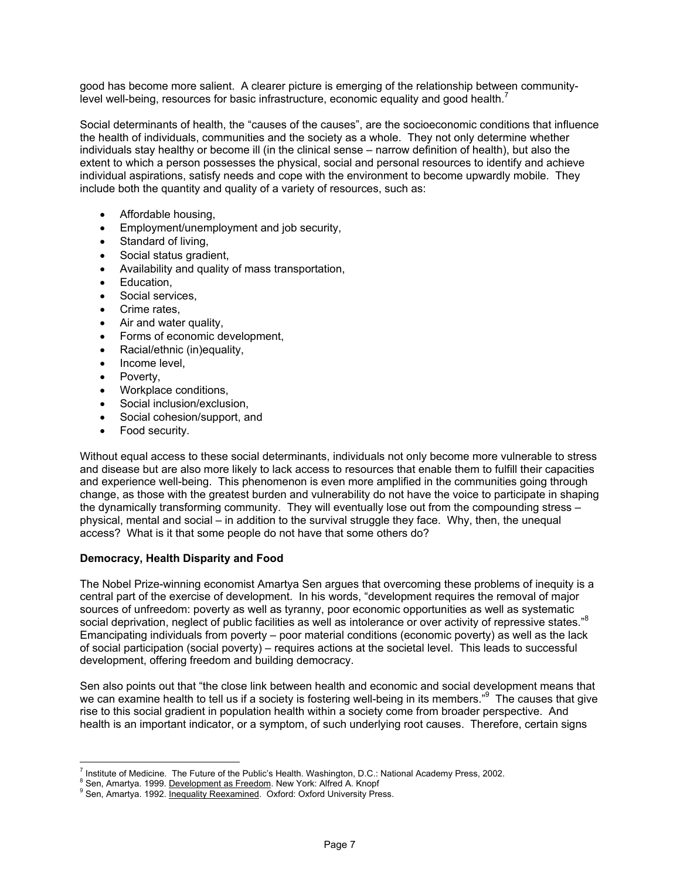good has become more salient. A clearer picture is emerging of the relationship between communitylevel well-being, resources for basic infrastructure, economic equality and good health.<sup>7</sup>

Social determinants of health, the "causes of the causes", are the socioeconomic conditions that influence the health of individuals, communities and the society as a whole. They not only determine whether individuals stay healthy or become ill (in the clinical sense – narrow definition of health), but also the extent to which a person possesses the physical, social and personal resources to identify and achieve individual aspirations, satisfy needs and cope with the environment to become upwardly mobile. They include both the quantity and quality of a variety of resources, such as:

- Affordable housing,
- Employment/unemployment and job security,
- Standard of living,
- Social status gradient,
- Availability and quality of mass transportation,
- Education,
- Social services.
- Crime rates,
- Air and water quality,
- Forms of economic development,
- Racial/ethnic (in)equality,
- Income level.
- Poverty,
- Workplace conditions,
- Social inclusion/exclusion,
- Social cohesion/support, and
- Food security.

Without equal access to these social determinants, individuals not only become more vulnerable to stress and disease but are also more likely to lack access to resources that enable them to fulfill their capacities and experience well-being. This phenomenon is even more amplified in the communities going through change, as those with the greatest burden and vulnerability do not have the voice to participate in shaping the dynamically transforming community. They will eventually lose out from the compounding stress – physical, mental and social – in addition to the survival struggle they face. Why, then, the unequal access? What is it that some people do not have that some others do?

#### **Democracy, Health Disparity and Food**

The Nobel Prize-winning economist Amartya Sen argues that overcoming these problems of inequity is a central part of the exercise of development. In his words, "development requires the removal of major sources of unfreedom: poverty as well as tyranny, poor economic opportunities as well as systematic social deprivation, neglect of public facilities as well as intolerance or over activity of repressive states."<sup>8</sup> Emancipating individuals from poverty – poor material conditions (economic poverty) as well as the lack of social participation (social poverty) – requires actions at the societal level. This leads to successful development, offering freedom and building democracy.

Sen also points out that "the close link between health and economic and social development means that we can examine health to tell us if a society is fostering well-being in its members."<sup>9</sup> The causes that give rise to this social gradient in population health within a society come from broader perspective. And health is an important indicator, or a symptom, of such underlying root causes. Therefore, certain signs

 $\overline{a}$ Institute of Medicine. The Future of the Public's Health. Washington, D.C.: National Academy Press, 2002.<br>8 Sep America, 1999, Development as Freedom, Naw York: Alfred A. Knopf.

<sup>&</sup>lt;sup>8</sup> Sen, Amartya. 1999. Development as Freedom. New York: Alfred A. Knopf

<sup>&</sup>lt;sup>9</sup> Sen, Amartya. 1992. **Inequality Reexamined.** Oxford: Oxford University Press.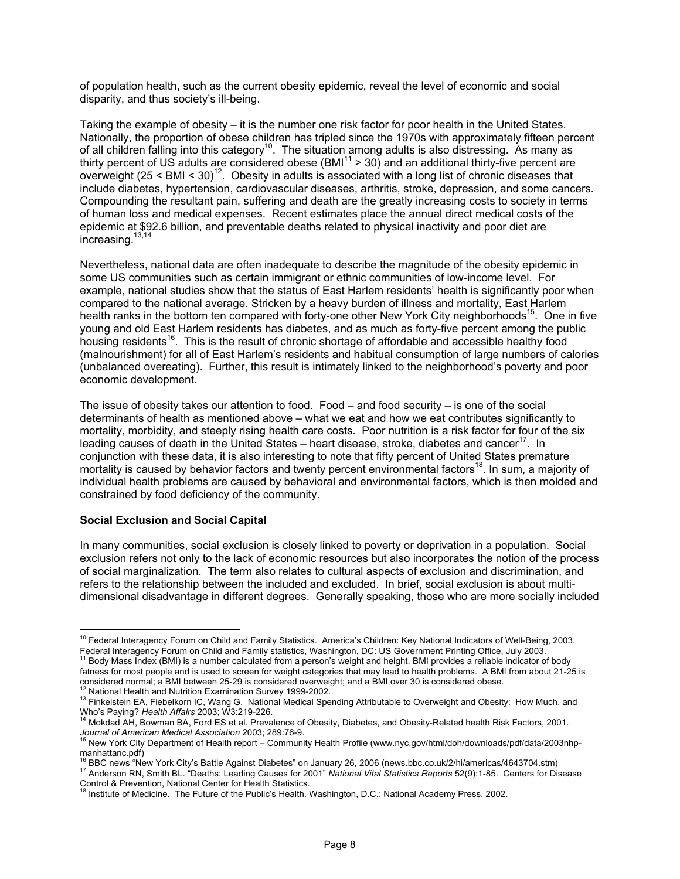of population health, such as the current obesity epidemic, reveal the level of economic and social disparity, and thus society's ill-being.

Taking the example of obesity – it is the number one risk factor for poor health in the United States. Nationally, the proportion of obese children has tripled since the 1970s with approximately fifteen percent of all children falling into this category10. The situation among adults is also distressing. As many as thirty percent of US adults are considered obese (BMI $11$  > 30) and an additional thirty-five percent are overweight (25 < BMI < 30)12. Obesity in adults is associated with a long list of chronic diseases that include diabetes, hypertension, cardiovascular diseases, arthritis, stroke, depression, and some cancers. Compounding the resultant pain, suffering and death are the greatly increasing costs to society in terms of human loss and medical expenses. Recent estimates place the annual direct medical costs of the epidemic at \$92.6 billion, and preventable deaths related to physical inactivity and poor diet are  $increasing.13,14$ 

Nevertheless, national data are often inadequate to describe the magnitude of the obesity epidemic in some US communities such as certain immigrant or ethnic communities of low-income level. For example, national studies show that the status of East Harlem residents' health is significantly poor when compared to the national average. Stricken by a heavy burden of illness and mortality, East Harlem health ranks in the bottom ten compared with forty-one other New York City neighborhoods<sup>15</sup>. One in five young and old East Harlem residents has diabetes, and as much as forty-five percent among the public housing residents<sup>16</sup>. This is the result of chronic shortage of affordable and accessible healthy food (malnourishment) for all of East Harlem's residents and habitual consumption of large numbers of calories (unbalanced overeating). Further, this result is intimately linked to the neighborhood's poverty and poor economic development.

The issue of obesity takes our attention to food. Food – and food security – is one of the social determinants of health as mentioned above – what we eat and how we eat contributes significantly to mortality, morbidity, and steeply rising health care costs. Poor nutrition is a risk factor for four of the six leading causes of death in the United States – heart disease, stroke, diabetes and cancer<sup>17</sup>. In conjunction with these data, it is also interesting to note that fifty percent of United States premature mortality is caused by behavior factors and twenty percent environmental factors<sup>18</sup>. In sum, a majority of individual health problems are caused by behavioral and environmental factors, which is then molded and constrained by food deficiency of the community.

#### **Social Exclusion and Social Capital**

In many communities, social exclusion is closely linked to poverty or deprivation in a population. Social exclusion refers not only to the lack of economic resources but also incorporates the notion of the process of social marginalization. The term also relates to cultural aspects of exclusion and discrimination, and refers to the relationship between the included and excluded. In brief, social exclusion is about multidimensional disadvantage in different degrees. Generally speaking, those who are more socially included

 $\overline{a}$ <sup>10</sup> Federal Interagency Forum on Child and Family Statistics. America's Children: Key National Indicators of Well-Being, 2003. Federal Interagency Forum on Child and Family statistics, Washington, DC: US Government Printing Office, July 2003.<br><sup>11</sup> Body Mass Index (BMI) is a number calculated from a person's weight and height. BMI provides a reliab

fatness for most people and is used to screen for weight categories that may lead to health problems. A BMI from about 21-25 is considered normal; a BMI between 25-29 is considered overweight; and a BMI over 30 is consider

<sup>&</sup>lt;sup>12</sup> National Health and Nutrition Examination Survey 1999-2002.<br><sup>13</sup> Finkelstein EA, Fiebelkorn IC, Wang G. National Medical Spending Attributable to Overweight and Obesity: How Much, and Who's Paying? *Health Affairs* 2003; W3:219-226.<br><sup>14</sup> Mokdad AH, Bowman BA, Ford ES et al. Prevalence of Obesity, Diabetes, and Obesity-Related health Risk Factors, 2001.

*Journal of American Medical Association* 2003; 289:76-9.<br><sup>15</sup> New York City Department of Health report – Community Health Profile (www.nyc.gov/html/doh/downloads/pdf/data/2003nhp-

manhattanc.pdf)<br><sup>16</sup> BBC news "New York City's Battle Against Diabetes" on January 26, 2006 (news.bbc.co.uk/2/hi/americas/4643704.stm) <sup>17</sup> Anderson RN, Smith BL. "Deaths: Leading Causes for 2001" National Vital Statistics Reports 52(9):1-85. Centers for Disease<br>Control & Prevention, National Center for Health Statistics.

Institute of Medicine. The Future of the Public's Health. Washington, D.C.: National Academy Press, 2002.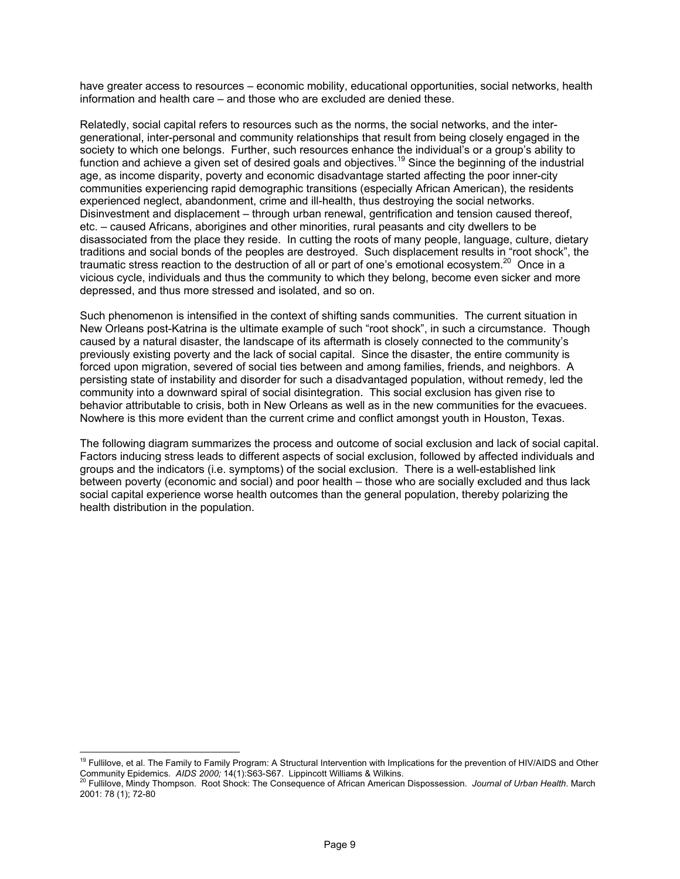have greater access to resources – economic mobility, educational opportunities, social networks, health information and health care – and those who are excluded are denied these.

Relatedly, social capital refers to resources such as the norms, the social networks, and the intergenerational, inter-personal and community relationships that result from being closely engaged in the society to which one belongs. Further, such resources enhance the individual's or a group's ability to function and achieve a given set of desired goals and objectives.<sup>19</sup> Since the beginning of the industrial age, as income disparity, poverty and economic disadvantage started affecting the poor inner-city communities experiencing rapid demographic transitions (especially African American), the residents experienced neglect, abandonment, crime and ill-health, thus destroying the social networks. Disinvestment and displacement – through urban renewal, gentrification and tension caused thereof, etc. – caused Africans, aborigines and other minorities, rural peasants and city dwellers to be disassociated from the place they reside. In cutting the roots of many people, language, culture, dietary traditions and social bonds of the peoples are destroyed. Such displacement results in "root shock", the traumatic stress reaction to the destruction of all or part of one's emotional ecosystem.20 Once in a vicious cycle, individuals and thus the community to which they belong, become even sicker and more depressed, and thus more stressed and isolated, and so on.

Such phenomenon is intensified in the context of shifting sands communities. The current situation in New Orleans post-Katrina is the ultimate example of such "root shock", in such a circumstance. Though caused by a natural disaster, the landscape of its aftermath is closely connected to the community's previously existing poverty and the lack of social capital. Since the disaster, the entire community is forced upon migration, severed of social ties between and among families, friends, and neighbors. A persisting state of instability and disorder for such a disadvantaged population, without remedy, led the community into a downward spiral of social disintegration. This social exclusion has given rise to behavior attributable to crisis, both in New Orleans as well as in the new communities for the evacuees. Nowhere is this more evident than the current crime and conflict amongst youth in Houston, Texas.

The following diagram summarizes the process and outcome of social exclusion and lack of social capital. Factors inducing stress leads to different aspects of social exclusion, followed by affected individuals and groups and the indicators (i.e. symptoms) of the social exclusion. There is a well-established link between poverty (economic and social) and poor health – those who are socially excluded and thus lack social capital experience worse health outcomes than the general population, thereby polarizing the health distribution in the population.

<sup>&</sup>lt;sup>19</sup> Fullilove, et al. The Family to Family Program: A Structural Intervention with Implications for the prevention of HIV/AIDS and Other Community Epidemics. *AIDS 2000;* 14(1):S63-S67. Lippincott Williams & Wilkins.<br><sup>20</sup> Fullilove, Mindy Thompson. Root Shock: The Consequence of African American Dispossession. *Journal of Urban Health*. March

<sup>2001: 78 (1); 72-80</sup>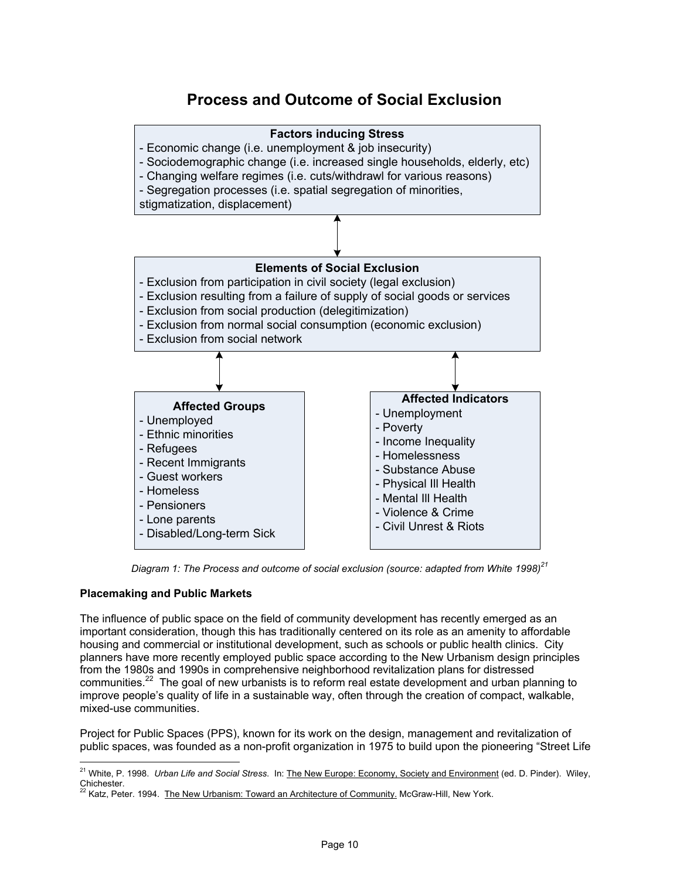# **Process and Outcome of Social Exclusion**



Diagram 1: The Process and outcome of social exclusion (source: adapted from White 1998)<sup>21</sup>

# **Placemaking and Public Markets**

The influence of public space on the field of community development has recently emerged as an important consideration, though this has traditionally centered on its role as an amenity to affordable housing and commercial or institutional development, such as schools or public health clinics. City planners have more recently employed public space according to the New Urbanism design principles from the 1980s and 1990s in comprehensive neighborhood revitalization plans for distressed communities.<sup>22</sup> The goal of new urbanists is to reform real estate development and urban planning to improve people's quality of life in a sustainable way, often through the creation of compact, walkable, mixed-use communities.

Project for Public Spaces (PPS), known for its work on the design, management and revitalization of public spaces, was founded as a non-profit organization in 1975 to build upon the pioneering "Street Life

 $\overline{a}$ 21 White, P. 1998. *Urban Life and Social Stress*. In: The New Europe: Economy, Society and Environment (ed. D. Pinder). Wiley, Chichester.

<sup>&</sup>lt;sup>2</sup> Katz, Peter. 1994. The New Urbanism: Toward an Architecture of Community. McGraw-Hill, New York.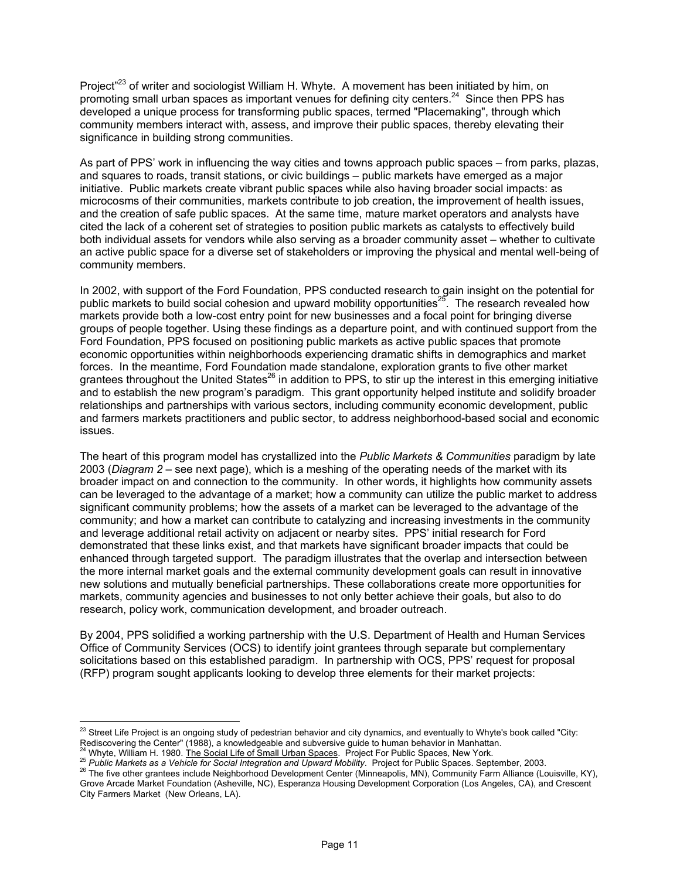Project<sup>"23</sup> of writer and sociologist William H. Whyte. A movement has been initiated by him, on promoting small urban spaces as important venues for defining city centers.<sup>24</sup> Since then PPS has developed a unique process for transforming public spaces, termed "Placemaking", through which community members interact with, assess, and improve their public spaces, thereby elevating their significance in building strong communities.

As part of PPS' work in influencing the way cities and towns approach public spaces – from parks, plazas, and squares to roads, transit stations, or civic buildings – public markets have emerged as a major initiative. Public markets create vibrant public spaces while also having broader social impacts: as microcosms of their communities, markets contribute to job creation, the improvement of health issues, and the creation of safe public spaces. At the same time, mature market operators and analysts have cited the lack of a coherent set of strategies to position public markets as catalysts to effectively build both individual assets for vendors while also serving as a broader community asset – whether to cultivate an active public space for a diverse set of stakeholders or improving the physical and mental well-being of community members.

In 2002, with support of the Ford Foundation, PPS conducted research to gain insight on the potential for public markets to build social cohesion and upward mobility opportunities<sup>25</sup>. The research revealed how markets provide both a low-cost entry point for new businesses and a focal point for bringing diverse groups of people together. Using these findings as a departure point, and with continued support from the Ford Foundation, PPS focused on positioning public markets as active public spaces that promote economic opportunities within neighborhoods experiencing dramatic shifts in demographics and market forces. In the meantime, Ford Foundation made standalone, exploration grants to five other market grantees throughout the United States<sup>26</sup> in addition to PPS, to stir up the interest in this emerging initiative and to establish the new program's paradigm. This grant opportunity helped institute and solidify broader relationships and partnerships with various sectors, including community economic development, public and farmers markets practitioners and public sector, to address neighborhood-based social and economic issues.

The heart of this program model has crystallized into the *Public Markets & Communities* paradigm by late 2003 (*Diagram 2* – see next page), which is a meshing of the operating needs of the market with its broader impact on and connection to the community. In other words, it highlights how community assets can be leveraged to the advantage of a market; how a community can utilize the public market to address significant community problems; how the assets of a market can be leveraged to the advantage of the community; and how a market can contribute to catalyzing and increasing investments in the community and leverage additional retail activity on adjacent or nearby sites. PPS' initial research for Ford demonstrated that these links exist, and that markets have significant broader impacts that could be enhanced through targeted support. The paradigm illustrates that the overlap and intersection between the more internal market goals and the external community development goals can result in innovative new solutions and mutually beneficial partnerships. These collaborations create more opportunities for markets, community agencies and businesses to not only better achieve their goals, but also to do research, policy work, communication development, and broader outreach.

By 2004, PPS solidified a working partnership with the U.S. Department of Health and Human Services Office of Community Services (OCS) to identify joint grantees through separate but complementary solicitations based on this established paradigm. In partnership with OCS, PPS' request for proposal (RFP) program sought applicants looking to develop three elements for their market projects:

 $^{23}$  Street Life Project is an ongoing study of pedestrian behavior and city dynamics, and eventually to Whyte's book called "City:

Rediscovering the Center" (1988), a knowledgeable and subversive guide to human behavior in Manhattan.<br><sup>24</sup> Whyte, William H. 1980. <u>The Social Life of Small Urban Spaces</u>. Project For Public Spaces, New York.<br><sup>25</sup> Public Grove Arcade Market Foundation (Asheville, NC), Esperanza Housing Development Corporation (Los Angeles, CA), and Crescent City Farmers Market (New Orleans, LA).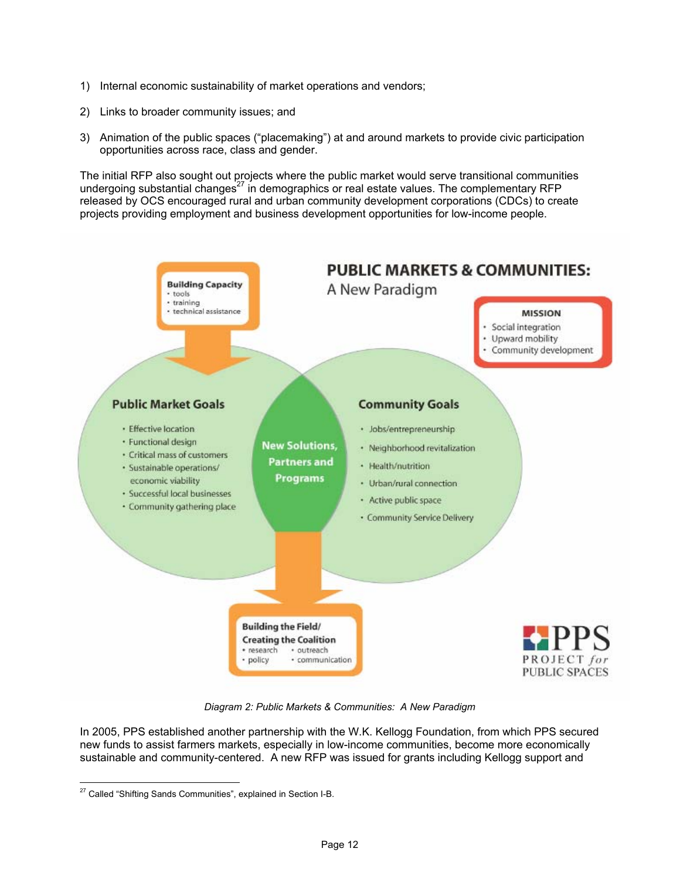- 1) Internal economic sustainability of market operations and vendors;
- 2) Links to broader community issues; and
- 3) Animation of the public spaces ("placemaking") at and around markets to provide civic participation opportunities across race, class and gender.

The initial RFP also sought out projects where the public market would serve transitional communities undergoing substantial changes<sup>27</sup> in demographics or real estate values. The complementary RFP released by OCS encouraged rural and urban community development corporations (CDCs) to create projects providing employment and business development opportunities for low-income people.



*Diagram 2: Public Markets & Communities: A New Paradigm* 

In 2005, PPS established another partnership with the W.K. Kellogg Foundation, from which PPS secured new funds to assist farmers markets, especially in low-income communities, become more economically sustainable and community-centered. A new RFP was issued for grants including Kellogg support and

<sup>&</sup>lt;sup>27</sup> Called "Shifting Sands Communities", explained in Section I-B.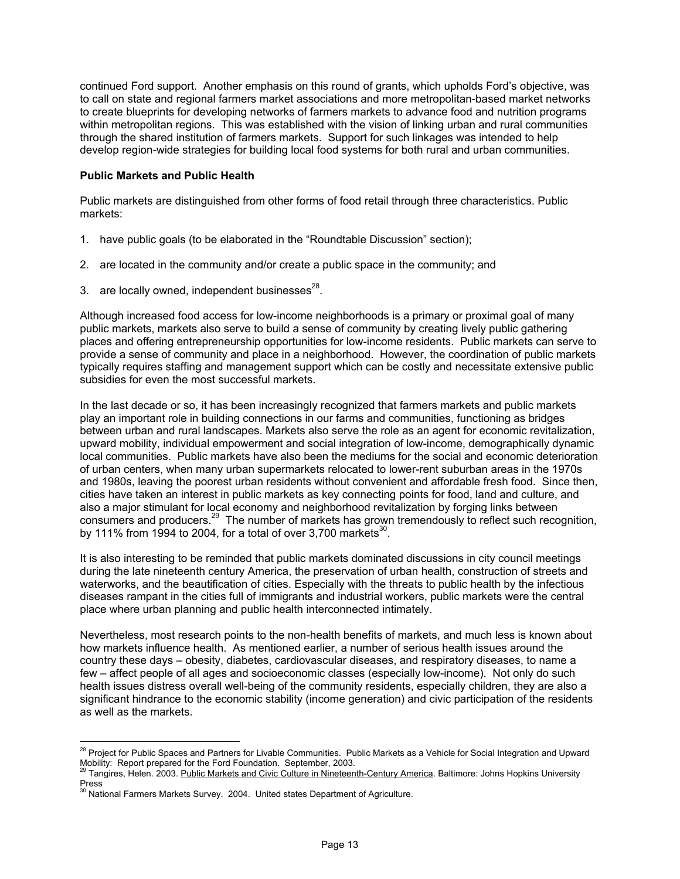continued Ford support. Another emphasis on this round of grants, which upholds Ford's objective, was to call on state and regional farmers market associations and more metropolitan-based market networks to create blueprints for developing networks of farmers markets to advance food and nutrition programs within metropolitan regions. This was established with the vision of linking urban and rural communities through the shared institution of farmers markets. Support for such linkages was intended to help develop region-wide strategies for building local food systems for both rural and urban communities.

#### **Public Markets and Public Health**

Public markets are distinguished from other forms of food retail through three characteristics. Public markets:

- 1. have public goals (to be elaborated in the "Roundtable Discussion" section);
- 2. are located in the community and/or create a public space in the community; and
- 3. are locally owned, independent businesses $^{28}$ .

Although increased food access for low-income neighborhoods is a primary or proximal goal of many public markets, markets also serve to build a sense of community by creating lively public gathering places and offering entrepreneurship opportunities for low-income residents. Public markets can serve to provide a sense of community and place in a neighborhood. However, the coordination of public markets typically requires staffing and management support which can be costly and necessitate extensive public subsidies for even the most successful markets.

In the last decade or so, it has been increasingly recognized that farmers markets and public markets play an important role in building connections in our farms and communities, functioning as bridges between urban and rural landscapes. Markets also serve the role as an agent for economic revitalization, upward mobility, individual empowerment and social integration of low-income, demographically dynamic local communities. Public markets have also been the mediums for the social and economic deterioration of urban centers, when many urban supermarkets relocated to lower-rent suburban areas in the 1970s and 1980s, leaving the poorest urban residents without convenient and affordable fresh food. Since then, cities have taken an interest in public markets as key connecting points for food, land and culture, and also a major stimulant for local economy and neighborhood revitalization by forging links between consumers and producers.<sup>29</sup> The number of markets has grown tremendously to reflect such recognition, by 111% from 1994 to 2004, for a total of over 3,700 markets<sup>30</sup>.

It is also interesting to be reminded that public markets dominated discussions in city council meetings during the late nineteenth century America, the preservation of urban health, construction of streets and waterworks, and the beautification of cities. Especially with the threats to public health by the infectious diseases rampant in the cities full of immigrants and industrial workers, public markets were the central place where urban planning and public health interconnected intimately.

Nevertheless, most research points to the non-health benefits of markets, and much less is known about how markets influence health. As mentioned earlier, a number of serious health issues around the country these days – obesity, diabetes, cardiovascular diseases, and respiratory diseases, to name a few – affect people of all ages and socioeconomic classes (especially low-income). Not only do such health issues distress overall well-being of the community residents, especially children, they are also a significant hindrance to the economic stability (income generation) and civic participation of the residents as well as the markets.

<sup>&</sup>lt;sup>28</sup> Project for Public Spaces and Partners for Livable Communities. Public Markets as a Vehicle for Social Integration and Upward Mobility: Report prepared for the Ford Foundation. September, 2003.

<sup>29</sup> Tangires, Helen. 2003. Public Markets and Civic Culture in Nineteenth-Century America. Baltimore: Johns Hopkins University Press

<sup>&</sup>lt;sup>30</sup> National Farmers Markets Survey. 2004. United states Department of Agriculture.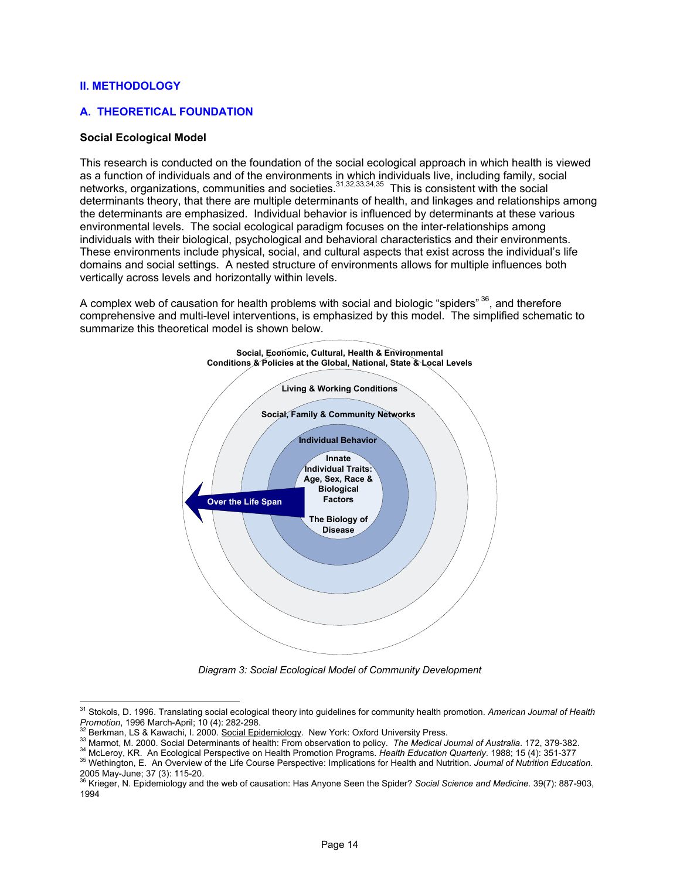#### **II. METHODOLOGY**

 $\overline{a}$ 

#### **A. THEORETICAL FOUNDATION**

#### **Social Ecological Model**

This research is conducted on the foundation of the social ecological approach in which health is viewed as a function of individuals and of the environments in which individuals live, including family, social networks, organizations, communities and societies.<sup>31,32,33,34,35</sup> This is consistent with the social determinants theory, that there are multiple determinants of health, and linkages and relationships among the determinants are emphasized. Individual behavior is influenced by determinants at these various environmental levels. The social ecological paradigm focuses on the inter-relationships among individuals with their biological, psychological and behavioral characteristics and their environments. These environments include physical, social, and cultural aspects that exist across the individual's life domains and social settings. A nested structure of environments allows for multiple influences both vertically across levels and horizontally within levels.

A complex web of causation for health problems with social and biologic "spiders"  $36$ , and therefore comprehensive and multi-level interventions, is emphasized by this model. The simplified schematic to summarize this theoretical model is shown below.



*Diagram 3: Social Ecological Model of Community Development* 

<sup>31</sup> Stokols, D. 1996. Translating social ecological theory into guidelines for community health promotion. *American Journal of Health*  Promotion, 1996 March-April; 10 (4): 282-298.<br><sup>32</sup> Berkman, LS & Kawachi, I. 2000. <u>Social Epidemiology</u>. New York: Oxford University Press.<br><sup>33</sup> Marmot, M. 2000. Social Determinants of health: From observation to policy.

<sup>2005</sup> May-June; 37 (3): 115-20. 36 Krieger, N. Epidemiology and the web of causation: Has Anyone Seen the Spider? *Social Science and Medicine*. 39(7): 887-903, 1994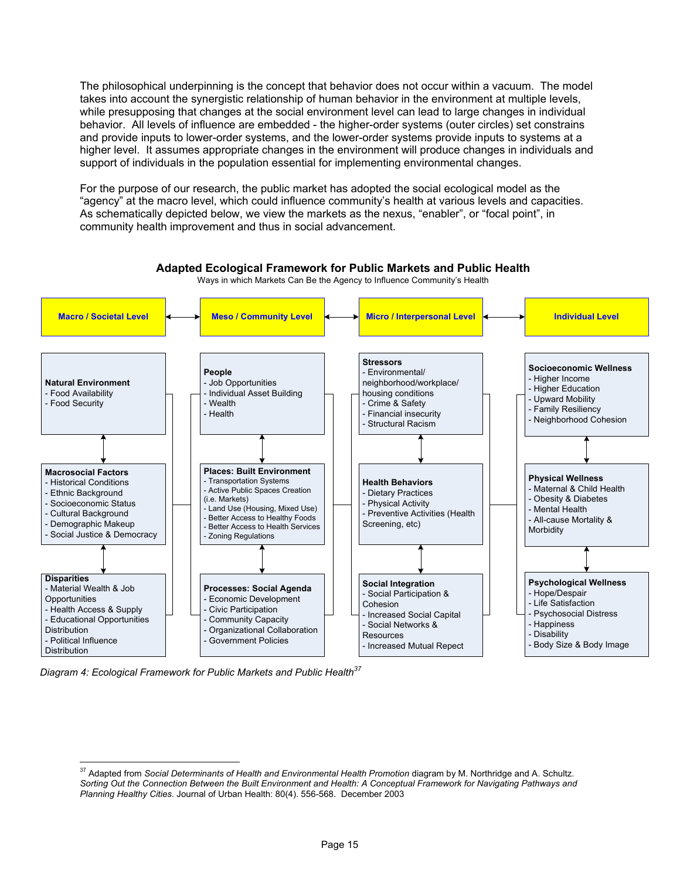The philosophical underpinning is the concept that behavior does not occur within a vacuum. The model takes into account the synergistic relationship of human behavior in the environment at multiple levels, while presupposing that changes at the social environment level can lead to large changes in individual behavior. All levels of influence are embedded - the higher-order systems (outer circles) set constrains and provide inputs to lower-order systems, and the lower-order systems provide inputs to systems at a higher level. It assumes appropriate changes in the environment will produce changes in individuals and support of individuals in the population essential for implementing environmental changes.

For the purpose of our research, the public market has adopted the social ecological model as the "agency" at the macro level, which could influence community's health at various levels and capacities. As schematically depicted below, we view the markets as the nexus, "enabler", or "focal point", in community health improvement and thus in social advancement.



Diagram 4: Ecological Framework for Public Markets and Public Health<sup>37</sup>

 $\overline{a}$ <sup>37</sup> Adapted from *Social Determinants of Health and Environmental Health Promotion* diagram by M. Northridge and A. Schultz. *Sorting Out the Connection Between the Built Environment and Health: A Conceptual Framework for Navigating Pathways and Planning Healthy Cities.* Journal of Urban Health: 80(4). 556-568. December 2003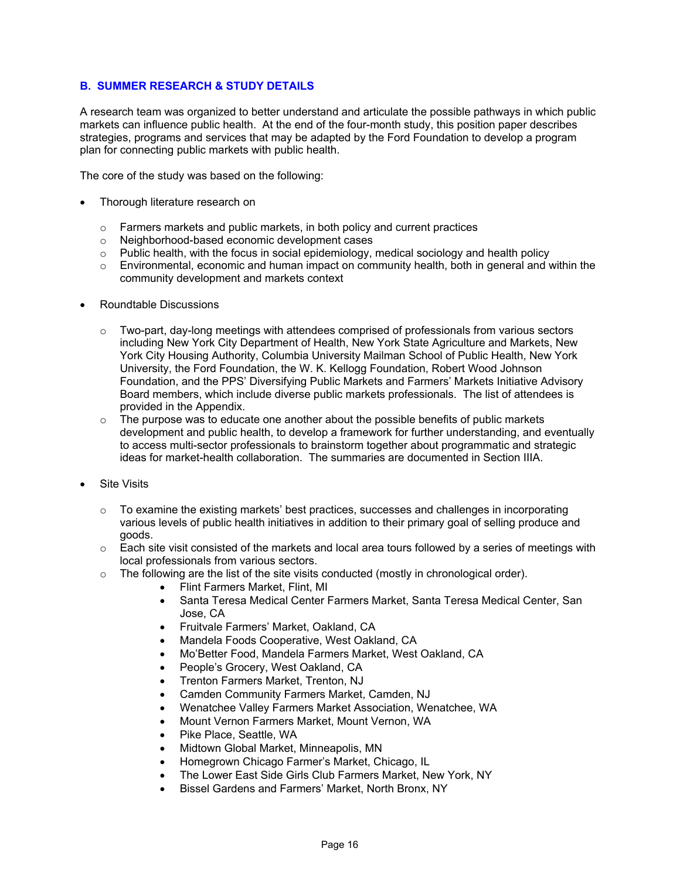# **B. SUMMER RESEARCH & STUDY DETAILS**

A research team was organized to better understand and articulate the possible pathways in which public markets can influence public health. At the end of the four-month study, this position paper describes strategies, programs and services that may be adapted by the Ford Foundation to develop a program plan for connecting public markets with public health.

The core of the study was based on the following:

- Thorough literature research on
	- o Farmers markets and public markets, in both policy and current practices
	- o Neighborhood-based economic development cases
	- o Public health, with the focus in social epidemiology, medical sociology and health policy
	- $\circ$  Environmental, economic and human impact on community health, both in general and within the community development and markets context
- Roundtable Discussions
	- $\circ$  Two-part, day-long meetings with attendees comprised of professionals from various sectors including New York City Department of Health, New York State Agriculture and Markets, New York City Housing Authority, Columbia University Mailman School of Public Health, New York University, the Ford Foundation, the W. K. Kellogg Foundation, Robert Wood Johnson Foundation, and the PPS' Diversifying Public Markets and Farmers' Markets Initiative Advisory Board members, which include diverse public markets professionals. The list of attendees is provided in the Appendix.
	- $\circ$  The purpose was to educate one another about the possible benefits of public markets development and public health, to develop a framework for further understanding, and eventually to access multi-sector professionals to brainstorm together about programmatic and strategic ideas for market-health collaboration. The summaries are documented in Section IIIA.
- **Site Visits** 
	- $\circ$  To examine the existing markets' best practices, successes and challenges in incorporating various levels of public health initiatives in addition to their primary goal of selling produce and goods.
	- $\circ$  Each site visit consisted of the markets and local area tours followed by a series of meetings with local professionals from various sectors.
	- $\circ$  The following are the list of the site visits conducted (mostly in chronological order).
		- Flint Farmers Market, Flint, MI
		- Santa Teresa Medical Center Farmers Market, Santa Teresa Medical Center, San Jose, CA
		- Fruitvale Farmers' Market, Oakland, CA
		- Mandela Foods Cooperative, West Oakland, CA
		- Mo'Better Food, Mandela Farmers Market, West Oakland, CA
		- People's Grocery, West Oakland, CA
		- Trenton Farmers Market, Trenton, NJ
		- Camden Community Farmers Market, Camden, NJ
		- Wenatchee Valley Farmers Market Association, Wenatchee, WA
		- Mount Vernon Farmers Market, Mount Vernon, WA
		- Pike Place, Seattle, WA
		- Midtown Global Market, Minneapolis, MN
		- Homegrown Chicago Farmer's Market, Chicago, IL
		- The Lower East Side Girls Club Farmers Market, New York, NY
		- Bissel Gardens and Farmers' Market, North Bronx, NY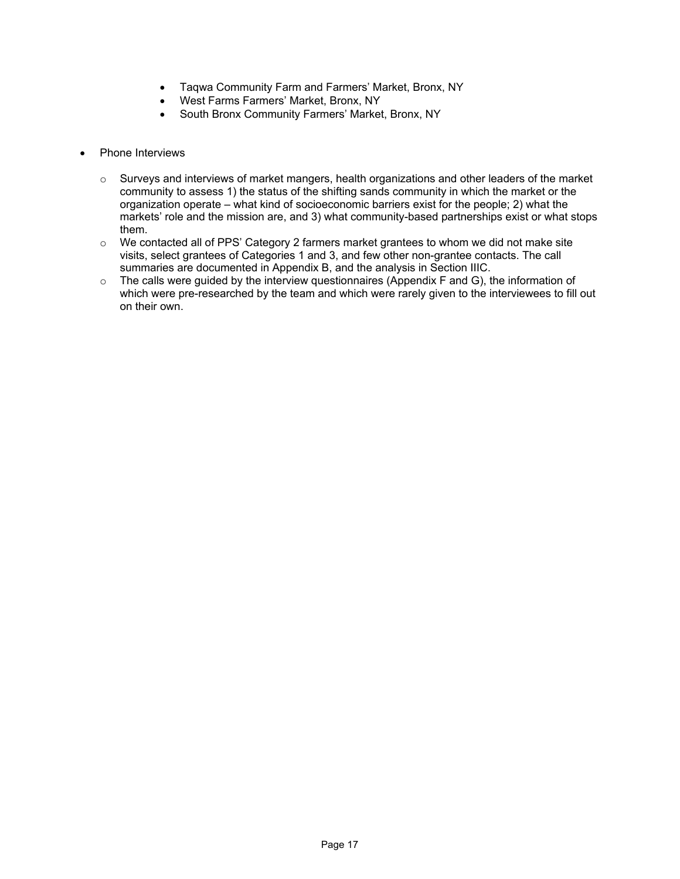- Taqwa Community Farm and Farmers' Market, Bronx, NY
- West Farms Farmers' Market, Bronx, NY
- South Bronx Community Farmers' Market, Bronx, NY
- Phone Interviews
	- $\circ$  Surveys and interviews of market mangers, health organizations and other leaders of the market community to assess 1) the status of the shifting sands community in which the market or the organization operate – what kind of socioeconomic barriers exist for the people; 2) what the markets' role and the mission are, and 3) what community-based partnerships exist or what stops them.
	- $\circ$  We contacted all of PPS' Category 2 farmers market grantees to whom we did not make site visits, select grantees of Categories 1 and 3, and few other non-grantee contacts. The call summaries are documented in Appendix B, and the analysis in Section IIIC.
	- o The calls were guided by the interview questionnaires (Appendix F and G), the information of which were pre-researched by the team and which were rarely given to the interviewees to fill out on their own.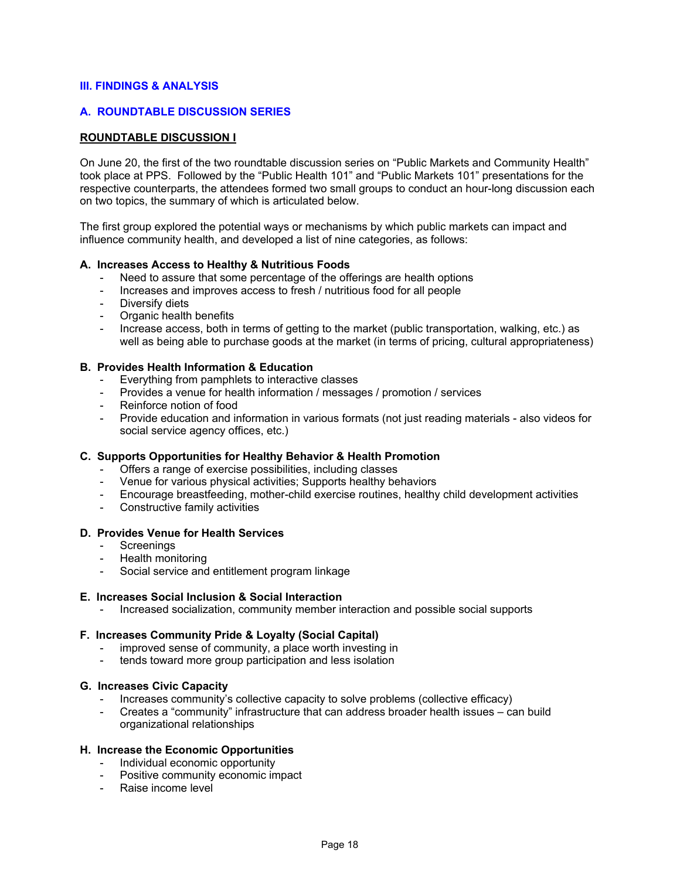#### **III. FINDINGS & ANALYSIS**

#### **A. ROUNDTABLE DISCUSSION SERIES**

#### **ROUNDTABLE DISCUSSION I**

On June 20, the first of the two roundtable discussion series on "Public Markets and Community Health" took place at PPS. Followed by the "Public Health 101" and "Public Markets 101" presentations for the respective counterparts, the attendees formed two small groups to conduct an hour-long discussion each on two topics, the summary of which is articulated below.

The first group explored the potential ways or mechanisms by which public markets can impact and influence community health, and developed a list of nine categories, as follows:

#### **A. Increases Access to Healthy & Nutritious Foods**

- Need to assure that some percentage of the offerings are health options
- Increases and improves access to fresh / nutritious food for all people
- Diversify diets
- Organic health benefits
- Increase access, both in terms of getting to the market (public transportation, walking, etc.) as well as being able to purchase goods at the market (in terms of pricing, cultural appropriateness)

#### **B. Provides Health Information & Education**

- Everything from pamphlets to interactive classes
- Provides a venue for health information / messages / promotion / services
- Reinforce notion of food
- Provide education and information in various formats (not just reading materials also videos for social service agency offices, etc.)

#### **C. Supports Opportunities for Healthy Behavior & Health Promotion**

- Offers a range of exercise possibilities, including classes
- Venue for various physical activities; Supports healthy behaviors
- Encourage breastfeeding, mother-child exercise routines, healthy child development activities
- Constructive family activities

#### **D. Provides Venue for Health Services**

- **Screenings**
- Health monitoring
- Social service and entitlement program linkage

#### **E. Increases Social Inclusion & Social Interaction**

- Increased socialization, community member interaction and possible social supports

#### **F. Increases Community Pride & Loyalty (Social Capital)**

- improved sense of community, a place worth investing in<br>- tends toward more group participation and less isolation
- tends toward more group participation and less isolation

#### **G. Increases Civic Capacity**

- Increases community's collective capacity to solve problems (collective efficacy)
- Creates a "community" infrastructure that can address broader health issues can build organizational relationships

#### **H. Increase the Economic Opportunities**

- Individual economic opportunity
- Positive community economic impact
- Raise income level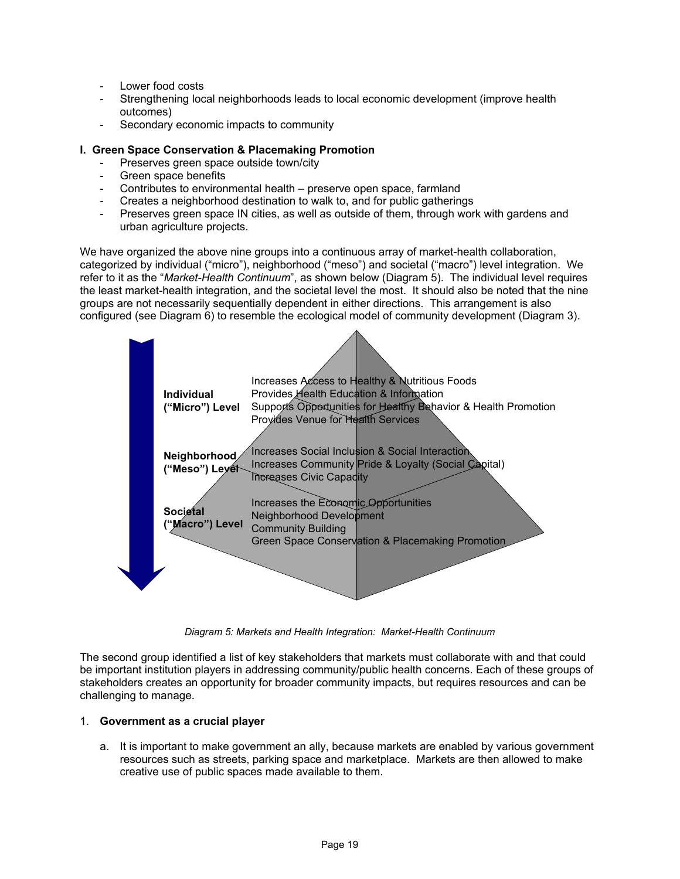- Lower food costs
- Strengthening local neighborhoods leads to local economic development (improve health outcomes)
- Secondary economic impacts to community

# **I. Green Space Conservation & Placemaking Promotion**

- Preserves green space outside town/city
- Green space benefits
- Contributes to environmental health preserve open space, farmland
- Creates a neighborhood destination to walk to, and for public gatherings
- Preserves green space IN cities, as well as outside of them, through work with gardens and urban agriculture projects.

We have organized the above nine groups into a continuous array of market-health collaboration, categorized by individual ("micro"), neighborhood ("meso") and societal ("macro") level integration. We refer to it as the "*Market-Health Continuum*", as shown below (Diagram 5). The individual level requires the least market-health integration, and the societal level the most. It should also be noted that the nine groups are not necessarily sequentially dependent in either directions. This arrangement is also configured (see Diagram 6) to resemble the ecological model of community development (Diagram 3).



*Diagram 5: Markets and Health Integration: Market-Health Continuum* 

The second group identified a list of key stakeholders that markets must collaborate with and that could be important institution players in addressing community/public health concerns. Each of these groups of stakeholders creates an opportunity for broader community impacts, but requires resources and can be challenging to manage.

#### 1. **Government as a crucial player**

a. It is important to make government an ally, because markets are enabled by various government resources such as streets, parking space and marketplace. Markets are then allowed to make creative use of public spaces made available to them.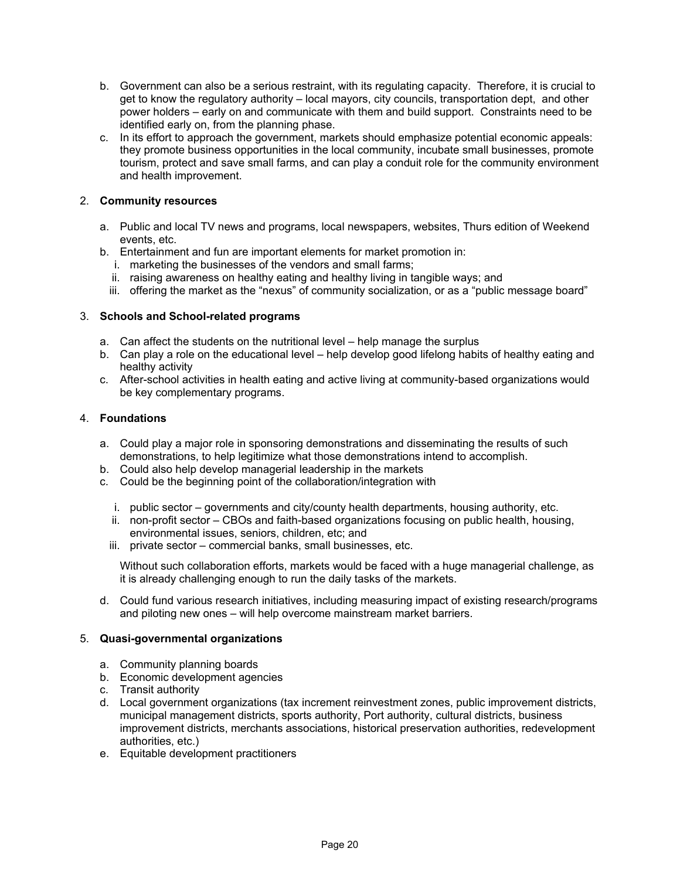- b. Government can also be a serious restraint, with its regulating capacity. Therefore, it is crucial to get to know the regulatory authority – local mayors, city councils, transportation dept, and other power holders – early on and communicate with them and build support. Constraints need to be identified early on, from the planning phase.
- c. In its effort to approach the government, markets should emphasize potential economic appeals: they promote business opportunities in the local community, incubate small businesses, promote tourism, protect and save small farms, and can play a conduit role for the community environment and health improvement.

# 2. **Community resources**

- a. Public and local TV news and programs, local newspapers, websites, Thurs edition of Weekend events, etc.
- b. Entertainment and fun are important elements for market promotion in:
	- i. marketing the businesses of the vendors and small farms;
	- ii. raising awareness on healthy eating and healthy living in tangible ways; and
	- iii. offering the market as the "nexus" of community socialization, or as a "public message board"

# 3. **Schools and School-related programs**

- a. Can affect the students on the nutritional level help manage the surplus
- b. Can play a role on the educational level help develop good lifelong habits of healthy eating and healthy activity
- c. After-school activities in health eating and active living at community-based organizations would be key complementary programs.

# 4. **Foundations**

- a. Could play a major role in sponsoring demonstrations and disseminating the results of such demonstrations, to help legitimize what those demonstrations intend to accomplish.
- b. Could also help develop managerial leadership in the markets
- c. Could be the beginning point of the collaboration/integration with
	- i. public sector governments and city/county health departments, housing authority, etc.
	- ii. non-profit sector CBOs and faith-based organizations focusing on public health, housing, environmental issues, seniors, children, etc; and
	- iii. private sector commercial banks, small businesses, etc.

Without such collaboration efforts, markets would be faced with a huge managerial challenge, as it is already challenging enough to run the daily tasks of the markets.

d. Could fund various research initiatives, including measuring impact of existing research/programs and piloting new ones – will help overcome mainstream market barriers.

# 5. **Quasi-governmental organizations**

- a. Community planning boards
- b. Economic development agencies
- c. Transit authority
- d. Local government organizations (tax increment reinvestment zones, public improvement districts, municipal management districts, sports authority, Port authority, cultural districts, business improvement districts, merchants associations, historical preservation authorities, redevelopment authorities, etc.)
- e. Equitable development practitioners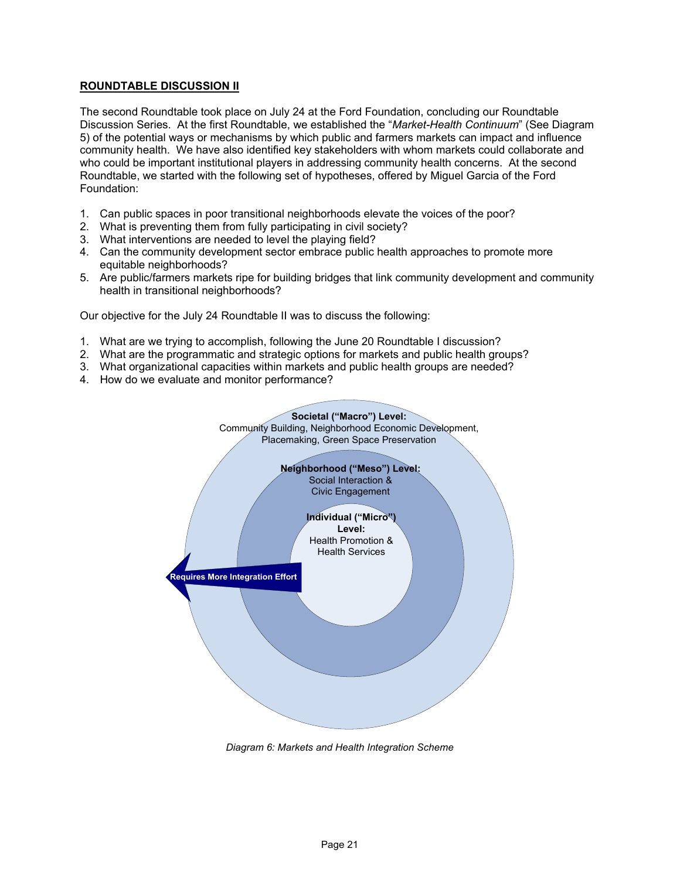# **ROUNDTABLE DISCUSSION II**

The second Roundtable took place on July 24 at the Ford Foundation, concluding our Roundtable Discussion Series. At the first Roundtable, we established the "*Market-Health Continuum*" (See Diagram 5) of the potential ways or mechanisms by which public and farmers markets can impact and influence community health. We have also identified key stakeholders with whom markets could collaborate and who could be important institutional players in addressing community health concerns. At the second Roundtable, we started with the following set of hypotheses, offered by Miguel Garcia of the Ford Foundation:

- 1. Can public spaces in poor transitional neighborhoods elevate the voices of the poor?
- 2. What is preventing them from fully participating in civil society?
- 3. What interventions are needed to level the playing field?
- 4. Can the community development sector embrace public health approaches to promote more equitable neighborhoods?
- 5. Are public/farmers markets ripe for building bridges that link community development and community health in transitional neighborhoods?

Our objective for the July 24 Roundtable II was to discuss the following:

- 1. What are we trying to accomplish, following the June 20 Roundtable I discussion?
- 2. What are the programmatic and strategic options for markets and public health groups?
- 3. What organizational capacities within markets and public health groups are needed?
- 4. How do we evaluate and monitor performance?



*Diagram 6: Markets and Health Integration Scheme*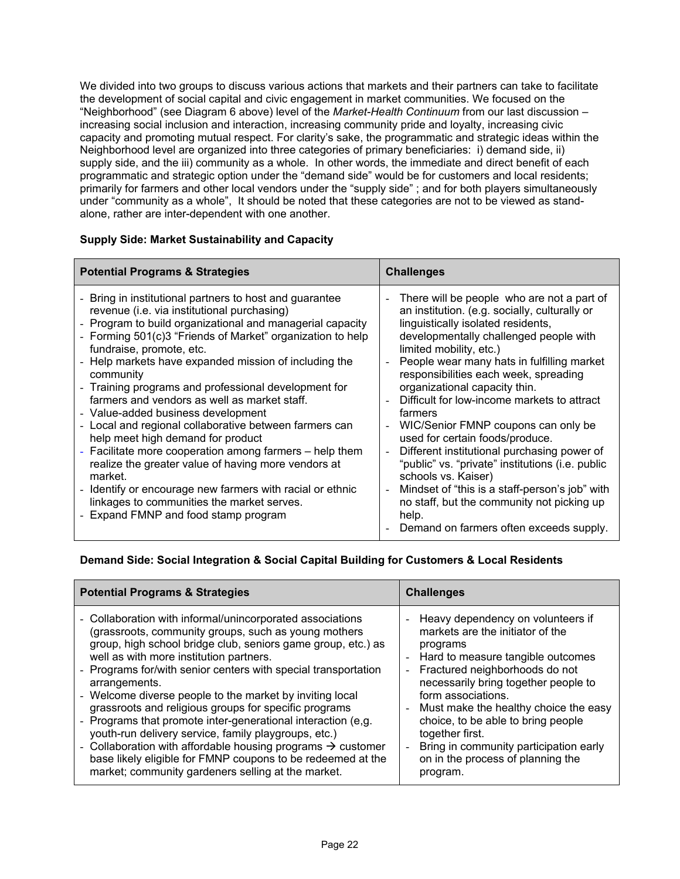We divided into two groups to discuss various actions that markets and their partners can take to facilitate the development of social capital and civic engagement in market communities. We focused on the "Neighborhood" (see Diagram 6 above) level of the *Market-Health Continuum* from our last discussion – increasing social inclusion and interaction, increasing community pride and loyalty, increasing civic capacity and promoting mutual respect. For clarity's sake, the programmatic and strategic ideas within the Neighborhood level are organized into three categories of primary beneficiaries: i) demand side, ii) supply side, and the iii) community as a whole. In other words, the immediate and direct benefit of each programmatic and strategic option under the "demand side" would be for customers and local residents; primarily for farmers and other local vendors under the "supply side" ; and for both players simultaneously under "community as a whole", It should be noted that these categories are not to be viewed as standalone, rather are inter-dependent with one another.

# **Supply Side: Market Sustainability and Capacity**

| <b>Potential Programs &amp; Strategies</b>                                                                                                                                                                                                                                                                                                                                                                                                                                                                                                                                                                                                                                                                                                                                                                                                                       | <b>Challenges</b>                                                                                                                                                                                                                                                                                                                                                                                                                                                                                                                                                                                                                                                                                                                                |
|------------------------------------------------------------------------------------------------------------------------------------------------------------------------------------------------------------------------------------------------------------------------------------------------------------------------------------------------------------------------------------------------------------------------------------------------------------------------------------------------------------------------------------------------------------------------------------------------------------------------------------------------------------------------------------------------------------------------------------------------------------------------------------------------------------------------------------------------------------------|--------------------------------------------------------------------------------------------------------------------------------------------------------------------------------------------------------------------------------------------------------------------------------------------------------------------------------------------------------------------------------------------------------------------------------------------------------------------------------------------------------------------------------------------------------------------------------------------------------------------------------------------------------------------------------------------------------------------------------------------------|
| - Bring in institutional partners to host and guarantee<br>revenue (i.e. via institutional purchasing)<br>- Program to build organizational and managerial capacity<br>- Forming 501(c)3 "Friends of Market" organization to help<br>fundraise, promote, etc.<br>- Help markets have expanded mission of including the<br>community<br>- Training programs and professional development for<br>farmers and vendors as well as market staff.<br>- Value-added business development<br>- Local and regional collaborative between farmers can<br>help meet high demand for product<br>- Facilitate more cooperation among farmers - help them<br>realize the greater value of having more vendors at<br>market.<br>- Identify or encourage new farmers with racial or ethnic<br>linkages to communities the market serves.<br>- Expand FMNP and food stamp program | There will be people who are not a part of<br>an institution. (e.g. socially, culturally or<br>linguistically isolated residents,<br>developmentally challenged people with<br>limited mobility, etc.)<br>People wear many hats in fulfilling market<br>responsibilities each week, spreading<br>organizational capacity thin.<br>Difficult for low-income markets to attract<br>farmers<br>WIC/Senior FMNP coupons can only be<br>used for certain foods/produce.<br>Different institutional purchasing power of<br>"public" vs. "private" institutions (i.e. public<br>schools vs. Kaiser)<br>Mindset of "this is a staff-person's job" with<br>no staff, but the community not picking up<br>help.<br>Demand on farmers often exceeds supply. |

# **Demand Side: Social Integration & Social Capital Building for Customers & Local Residents**

| <b>Potential Programs &amp; Strategies</b>                                                                                                                                                                                                                                                                                                                                                                                                                                                                                                                                                                                                                                                                                                                   | <b>Challenges</b>                                                                                                                                                                                                                                                                                                                                                                                                                                                                                                                 |
|--------------------------------------------------------------------------------------------------------------------------------------------------------------------------------------------------------------------------------------------------------------------------------------------------------------------------------------------------------------------------------------------------------------------------------------------------------------------------------------------------------------------------------------------------------------------------------------------------------------------------------------------------------------------------------------------------------------------------------------------------------------|-----------------------------------------------------------------------------------------------------------------------------------------------------------------------------------------------------------------------------------------------------------------------------------------------------------------------------------------------------------------------------------------------------------------------------------------------------------------------------------------------------------------------------------|
| - Collaboration with informal/unincorporated associations<br>(grassroots, community groups, such as young mothers<br>group, high school bridge club, seniors game group, etc.) as<br>well as with more institution partners.<br>- Programs for/with senior centers with special transportation<br>arrangements.<br>- Welcome diverse people to the market by inviting local<br>grassroots and religious groups for specific programs<br>- Programs that promote inter-generational interaction (e,g.<br>youth-run delivery service, family playgroups, etc.)<br>- Collaboration with affordable housing programs $\rightarrow$ customer<br>base likely eligible for FMNP coupons to be redeemed at the<br>market; community gardeners selling at the market. | Heavy dependency on volunteers if<br>$\blacksquare$<br>markets are the initiator of the<br>programs<br>Hard to measure tangible outcomes<br>$\blacksquare$<br>Fractured neighborhoods do not<br>$\overline{\phantom{a}}$<br>necessarily bring together people to<br>form associations.<br>Must make the healthy choice the easy<br>$\overline{\phantom{a}}$<br>choice, to be able to bring people<br>together first.<br>Bring in community participation early<br>$\overline{a}$<br>on in the process of planning the<br>program. |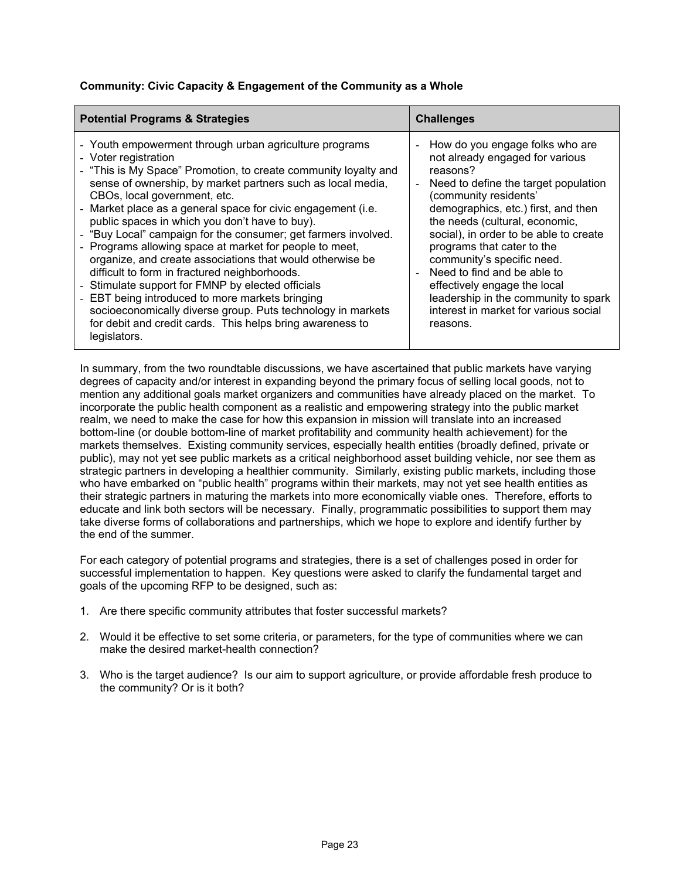# **Community: Civic Capacity & Engagement of the Community as a Whole**

| <b>Potential Programs &amp; Strategies</b>                                                                                                                                                                                                                                                                                                                                                                                                                                                                                                                                                                                                                                                                                                                                                                                                                        | <b>Challenges</b>                                                                                                                                                                                                                                                                                                                                                                                                                                                                          |
|-------------------------------------------------------------------------------------------------------------------------------------------------------------------------------------------------------------------------------------------------------------------------------------------------------------------------------------------------------------------------------------------------------------------------------------------------------------------------------------------------------------------------------------------------------------------------------------------------------------------------------------------------------------------------------------------------------------------------------------------------------------------------------------------------------------------------------------------------------------------|--------------------------------------------------------------------------------------------------------------------------------------------------------------------------------------------------------------------------------------------------------------------------------------------------------------------------------------------------------------------------------------------------------------------------------------------------------------------------------------------|
| - Youth empowerment through urban agriculture programs<br>- Voter registration<br>- "This is My Space" Promotion, to create community loyalty and<br>sense of ownership, by market partners such as local media,<br>CBOs, local government, etc.<br>- Market place as a general space for civic engagement (i.e.<br>public spaces in which you don't have to buy).<br>- "Buy Local" campaign for the consumer; get farmers involved.<br>- Programs allowing space at market for people to meet,<br>organize, and create associations that would otherwise be<br>difficult to form in fractured neighborhoods.<br>- Stimulate support for FMNP by elected officials<br>- EBT being introduced to more markets bringing<br>socioeconomically diverse group. Puts technology in markets<br>for debit and credit cards. This helps bring awareness to<br>legislators. | How do you engage folks who are<br>not already engaged for various<br>reasons?<br>Need to define the target population<br>(community residents'<br>demographics, etc.) first, and then<br>the needs (cultural, economic,<br>social), in order to be able to create<br>programs that cater to the<br>community's specific need.<br>Need to find and be able to<br>effectively engage the local<br>leadership in the community to spark<br>interest in market for various social<br>reasons. |

In summary, from the two roundtable discussions, we have ascertained that public markets have varying degrees of capacity and/or interest in expanding beyond the primary focus of selling local goods, not to mention any additional goals market organizers and communities have already placed on the market. To incorporate the public health component as a realistic and empowering strategy into the public market realm, we need to make the case for how this expansion in mission will translate into an increased bottom-line (or double bottom-line of market profitability and community health achievement) for the markets themselves. Existing community services, especially health entities (broadly defined, private or public), may not yet see public markets as a critical neighborhood asset building vehicle, nor see them as strategic partners in developing a healthier community. Similarly, existing public markets, including those who have embarked on "public health" programs within their markets, may not yet see health entities as their strategic partners in maturing the markets into more economically viable ones. Therefore, efforts to educate and link both sectors will be necessary. Finally, programmatic possibilities to support them may take diverse forms of collaborations and partnerships, which we hope to explore and identify further by the end of the summer.

For each category of potential programs and strategies, there is a set of challenges posed in order for successful implementation to happen. Key questions were asked to clarify the fundamental target and goals of the upcoming RFP to be designed, such as:

- 1. Are there specific community attributes that foster successful markets?
- 2. Would it be effective to set some criteria, or parameters, for the type of communities where we can make the desired market-health connection?
- 3. Who is the target audience? Is our aim to support agriculture, or provide affordable fresh produce to the community? Or is it both?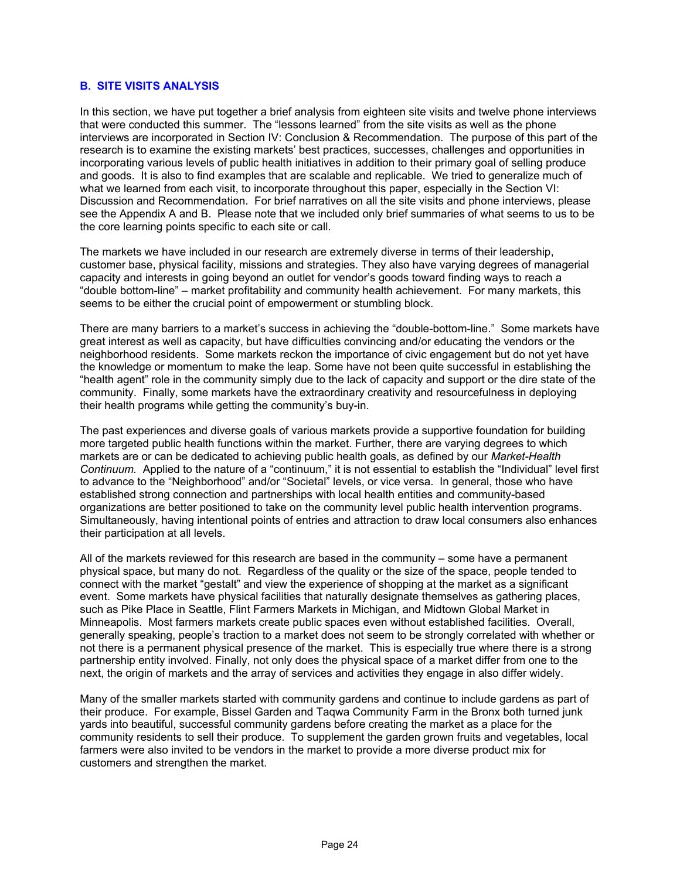# **B. SITE VISITS ANALYSIS**

In this section, we have put together a brief analysis from eighteen site visits and twelve phone interviews that were conducted this summer. The "lessons learned" from the site visits as well as the phone interviews are incorporated in Section IV: Conclusion & Recommendation. The purpose of this part of the research is to examine the existing markets' best practices, successes, challenges and opportunities in incorporating various levels of public health initiatives in addition to their primary goal of selling produce and goods. It is also to find examples that are scalable and replicable. We tried to generalize much of what we learned from each visit, to incorporate throughout this paper, especially in the Section VI: Discussion and Recommendation. For brief narratives on all the site visits and phone interviews, please see the Appendix A and B. Please note that we included only brief summaries of what seems to us to be the core learning points specific to each site or call.

The markets we have included in our research are extremely diverse in terms of their leadership, customer base, physical facility, missions and strategies. They also have varying degrees of managerial capacity and interests in going beyond an outlet for vendor's goods toward finding ways to reach a "double bottom-line" – market profitability and community health achievement. For many markets, this seems to be either the crucial point of empowerment or stumbling block.

There are many barriers to a market's success in achieving the "double-bottom-line." Some markets have great interest as well as capacity, but have difficulties convincing and/or educating the vendors or the neighborhood residents. Some markets reckon the importance of civic engagement but do not yet have the knowledge or momentum to make the leap. Some have not been quite successful in establishing the "health agent" role in the community simply due to the lack of capacity and support or the dire state of the community. Finally, some markets have the extraordinary creativity and resourcefulness in deploying their health programs while getting the community's buy-in.

The past experiences and diverse goals of various markets provide a supportive foundation for building more targeted public health functions within the market. Further, there are varying degrees to which markets are or can be dedicated to achieving public health goals, as defined by our *Market-Health Continuum.* Applied to the nature of a "continuum," it is not essential to establish the "Individual" level first to advance to the "Neighborhood" and/or "Societal" levels, or vice versa. In general, those who have established strong connection and partnerships with local health entities and community-based organizations are better positioned to take on the community level public health intervention programs. Simultaneously, having intentional points of entries and attraction to draw local consumers also enhances their participation at all levels.

All of the markets reviewed for this research are based in the community – some have a permanent physical space, but many do not. Regardless of the quality or the size of the space, people tended to connect with the market "gestalt" and view the experience of shopping at the market as a significant event. Some markets have physical facilities that naturally designate themselves as gathering places, such as Pike Place in Seattle, Flint Farmers Markets in Michigan, and Midtown Global Market in Minneapolis. Most farmers markets create public spaces even without established facilities. Overall, generally speaking, people's traction to a market does not seem to be strongly correlated with whether or not there is a permanent physical presence of the market. This is especially true where there is a strong partnership entity involved. Finally, not only does the physical space of a market differ from one to the next, the origin of markets and the array of services and activities they engage in also differ widely.

Many of the smaller markets started with community gardens and continue to include gardens as part of their produce. For example, Bissel Garden and Taqwa Community Farm in the Bronx both turned junk yards into beautiful, successful community gardens before creating the market as a place for the community residents to sell their produce. To supplement the garden grown fruits and vegetables, local farmers were also invited to be vendors in the market to provide a more diverse product mix for customers and strengthen the market.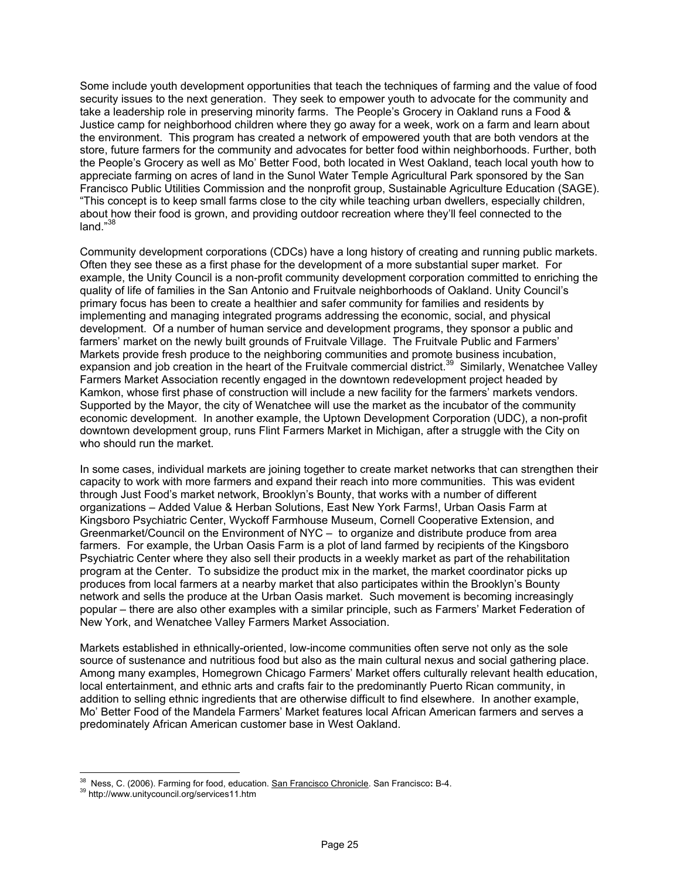Some include youth development opportunities that teach the techniques of farming and the value of food security issues to the next generation. They seek to empower youth to advocate for the community and take a leadership role in preserving minority farms. The People's Grocery in Oakland runs a Food & Justice camp for neighborhood children where they go away for a week, work on a farm and learn about the environment. This program has created a network of empowered youth that are both vendors at the store, future farmers for the community and advocates for better food within neighborhoods. Further, both the People's Grocery as well as Mo' Better Food, both located in West Oakland, teach local youth how to appreciate farming on acres of land in the Sunol Water Temple Agricultural Park sponsored by the San Francisco Public Utilities Commission and the nonprofit group, Sustainable Agriculture Education (SAGE). "This concept is to keep small farms close to the city while teaching urban dwellers, especially children, about how their food is grown, and providing outdoor recreation where they'll feel connected to the land."38

Community development corporations (CDCs) have a long history of creating and running public markets. Often they see these as a first phase for the development of a more substantial super market. For example, the Unity Council is a non-profit community development corporation committed to enriching the quality of life of families in the San Antonio and Fruitvale neighborhoods of Oakland. Unity Council's primary focus has been to create a healthier and safer community for families and residents by implementing and managing integrated programs addressing the economic, social, and physical development. Of a number of human service and development programs, they sponsor a public and farmers' market on the newly built grounds of Fruitvale Village. The Fruitvale Public and Farmers' Markets provide fresh produce to the neighboring communities and promote business incubation, expansion and job creation in the heart of the Fruitvale commercial district.<sup>39</sup> Similarly, Wenatchee Valley Farmers Market Association recently engaged in the downtown redevelopment project headed by Kamkon, whose first phase of construction will include a new facility for the farmers' markets vendors. Supported by the Mayor, the city of Wenatchee will use the market as the incubator of the community economic development. In another example, the Uptown Development Corporation (UDC), a non-profit downtown development group, runs Flint Farmers Market in Michigan, after a struggle with the City on who should run the market.

In some cases, individual markets are joining together to create market networks that can strengthen their capacity to work with more farmers and expand their reach into more communities. This was evident through Just Food's market network, Brooklyn's Bounty, that works with a number of different organizations – Added Value & Herban Solutions, East New York Farms!, Urban Oasis Farm at Kingsboro Psychiatric Center, Wyckoff Farmhouse Museum, Cornell Cooperative Extension, and Greenmarket/Council on the Environment of NYC – to organize and distribute produce from area farmers. For example, the Urban Oasis Farm is a plot of land farmed by recipients of the Kingsboro Psychiatric Center where they also sell their products in a weekly market as part of the rehabilitation program at the Center. To subsidize the product mix in the market, the market coordinator picks up produces from local farmers at a nearby market that also participates within the Brooklyn's Bounty network and sells the produce at the Urban Oasis market. Such movement is becoming increasingly popular – there are also other examples with a similar principle, such as Farmers' Market Federation of New York, and Wenatchee Valley Farmers Market Association.

Markets established in ethnically-oriented, low-income communities often serve not only as the sole source of sustenance and nutritious food but also as the main cultural nexus and social gathering place. Among many examples, Homegrown Chicago Farmers' Market offers culturally relevant health education, local entertainment, and ethnic arts and crafts fair to the predominantly Puerto Rican community, in addition to selling ethnic ingredients that are otherwise difficult to find elsewhere. In another example, Mo' Better Food of the Mandela Farmers' Market features local African American farmers and serves a predominately African American customer base in West Oakland.

 $\overline{a}$ <sup>38</sup> Ness, C. (2006). Farming for food, education. <u>San Francisco Chronicle</u>. San Francisco: B-4.<br><sup>39</sup> http://www.unitycouncil.org/services11.htm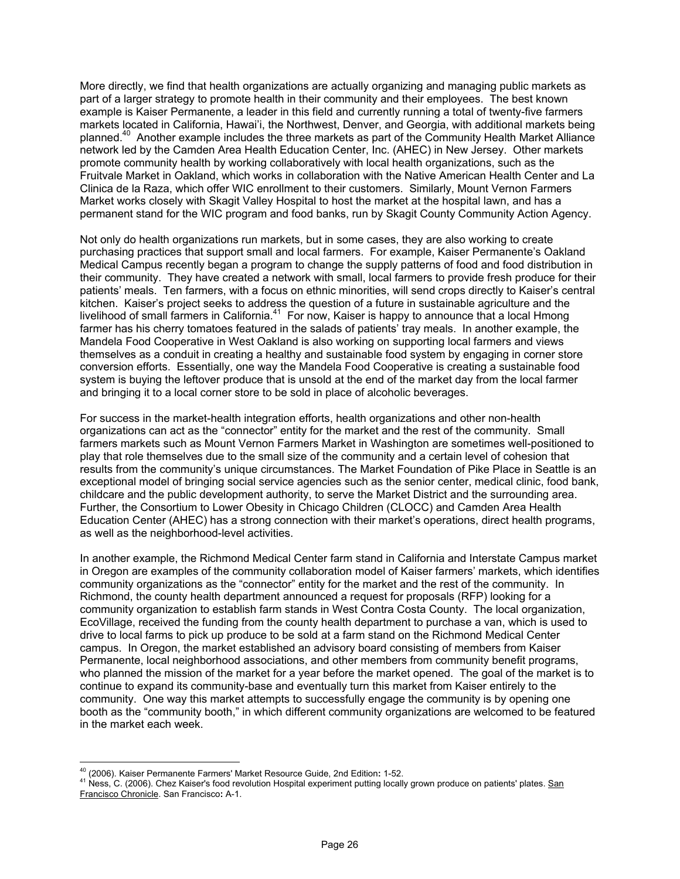More directly, we find that health organizations are actually organizing and managing public markets as part of a larger strategy to promote health in their community and their employees. The best known example is Kaiser Permanente, a leader in this field and currently running a total of twenty-five farmers markets located in California, Hawai'i, the Northwest, Denver, and Georgia, with additional markets being planned.40 Another example includes the three markets as part of the Community Health Market Alliance network led by the Camden Area Health Education Center, Inc. (AHEC) in New Jersey. Other markets promote community health by working collaboratively with local health organizations, such as the Fruitvale Market in Oakland, which works in collaboration with the Native American Health Center and La Clinica de la Raza, which offer WIC enrollment to their customers. Similarly, Mount Vernon Farmers Market works closely with Skagit Valley Hospital to host the market at the hospital lawn, and has a permanent stand for the WIC program and food banks, run by Skagit County Community Action Agency.

Not only do health organizations run markets, but in some cases, they are also working to create purchasing practices that support small and local farmers. For example, Kaiser Permanente's Oakland Medical Campus recently began a program to change the supply patterns of food and food distribution in their community. They have created a network with small, local farmers to provide fresh produce for their patients' meals. Ten farmers, with a focus on ethnic minorities, will send crops directly to Kaiser's central kitchen. Kaiser's project seeks to address the question of a future in sustainable agriculture and the livelihood of small farmers in California.<sup>41</sup> For now, Kaiser is happy to announce that a local Hmong farmer has his cherry tomatoes featured in the salads of patients' tray meals. In another example, the Mandela Food Cooperative in West Oakland is also working on supporting local farmers and views themselves as a conduit in creating a healthy and sustainable food system by engaging in corner store conversion efforts. Essentially, one way the Mandela Food Cooperative is creating a sustainable food system is buying the leftover produce that is unsold at the end of the market day from the local farmer and bringing it to a local corner store to be sold in place of alcoholic beverages.

For success in the market-health integration efforts, health organizations and other non-health organizations can act as the "connector" entity for the market and the rest of the community. Small farmers markets such as Mount Vernon Farmers Market in Washington are sometimes well-positioned to play that role themselves due to the small size of the community and a certain level of cohesion that results from the community's unique circumstances. The Market Foundation of Pike Place in Seattle is an exceptional model of bringing social service agencies such as the senior center, medical clinic, food bank, childcare and the public development authority, to serve the Market District and the surrounding area. Further, the Consortium to Lower Obesity in Chicago Children (CLOCC) and Camden Area Health Education Center (AHEC) has a strong connection with their market's operations, direct health programs, as well as the neighborhood-level activities.

In another example, the Richmond Medical Center farm stand in California and Interstate Campus market in Oregon are examples of the community collaboration model of Kaiser farmers' markets, which identifies community organizations as the "connector" entity for the market and the rest of the community. In Richmond, the county health department announced a request for proposals (RFP) looking for a community organization to establish farm stands in West Contra Costa County. The local organization, EcoVillage, received the funding from the county health department to purchase a van, which is used to drive to local farms to pick up produce to be sold at a farm stand on the Richmond Medical Center campus. In Oregon, the market established an advisory board consisting of members from Kaiser Permanente, local neighborhood associations, and other members from community benefit programs, who planned the mission of the market for a year before the market opened. The goal of the market is to continue to expand its community-base and eventually turn this market from Kaiser entirely to the community. One way this market attempts to successfully engage the community is by opening one booth as the "community booth," in which different community organizations are welcomed to be featured in the market each week.

<sup>&</sup>lt;sup>40</sup> (2006). Kaiser Permanente Farmers' Market Resource Guide, 2nd Edition: 1-52.

<sup>41</sup> Ness, C. (2006). Chez Kaiser's food revolution Hospital experiment putting locally grown produce on patients' plates. San Francisco Chronicle. San Francisco**:** A-1.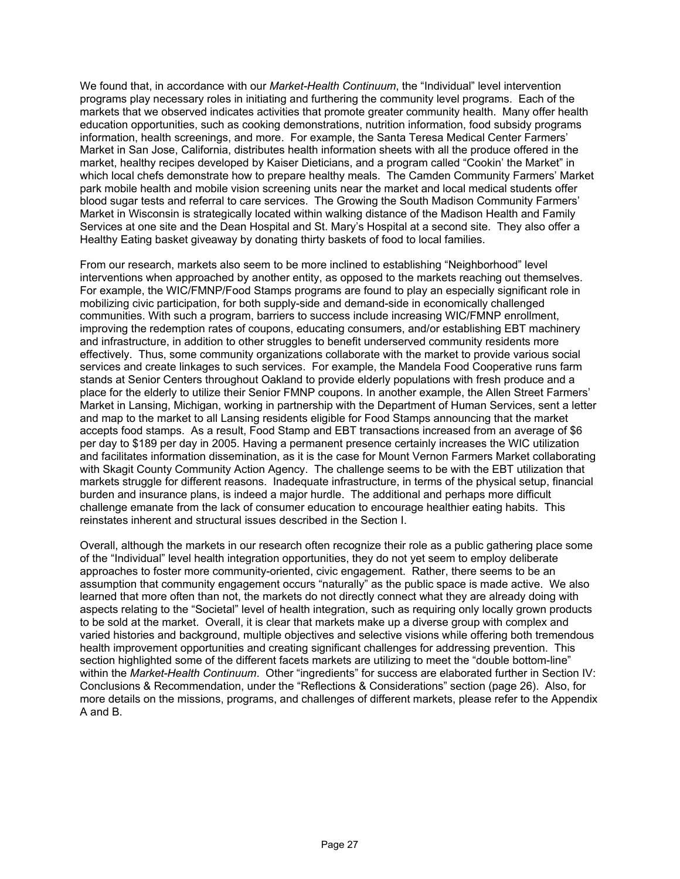We found that, in accordance with our *Market-Health Continuum*, the "Individual" level intervention programs play necessary roles in initiating and furthering the community level programs. Each of the markets that we observed indicates activities that promote greater community health. Many offer health education opportunities, such as cooking demonstrations, nutrition information, food subsidy programs information, health screenings, and more. For example, the Santa Teresa Medical Center Farmers' Market in San Jose, California, distributes health information sheets with all the produce offered in the market, healthy recipes developed by Kaiser Dieticians, and a program called "Cookin' the Market" in which local chefs demonstrate how to prepare healthy meals. The Camden Community Farmers' Market park mobile health and mobile vision screening units near the market and local medical students offer blood sugar tests and referral to care services. The Growing the South Madison Community Farmers' Market in Wisconsin is strategically located within walking distance of the Madison Health and Family Services at one site and the Dean Hospital and St. Mary's Hospital at a second site. They also offer a Healthy Eating basket giveaway by donating thirty baskets of food to local families.

From our research, markets also seem to be more inclined to establishing "Neighborhood" level interventions when approached by another entity, as opposed to the markets reaching out themselves. For example, the WIC/FMNP/Food Stamps programs are found to play an especially significant role in mobilizing civic participation, for both supply-side and demand-side in economically challenged communities. With such a program, barriers to success include increasing WIC/FMNP enrollment, improving the redemption rates of coupons, educating consumers, and/or establishing EBT machinery and infrastructure, in addition to other struggles to benefit underserved community residents more effectively. Thus, some community organizations collaborate with the market to provide various social services and create linkages to such services. For example, the Mandela Food Cooperative runs farm stands at Senior Centers throughout Oakland to provide elderly populations with fresh produce and a place for the elderly to utilize their Senior FMNP coupons. In another example, the Allen Street Farmers' Market in Lansing, Michigan, working in partnership with the Department of Human Services, sent a letter and map to the market to all Lansing residents eligible for Food Stamps announcing that the market accepts food stamps. As a result, Food Stamp and EBT transactions increased from an average of \$6 per day to \$189 per day in 2005. Having a permanent presence certainly increases the WIC utilization and facilitates information dissemination, as it is the case for Mount Vernon Farmers Market collaborating with Skagit County Community Action Agency. The challenge seems to be with the EBT utilization that markets struggle for different reasons. Inadequate infrastructure, in terms of the physical setup, financial burden and insurance plans, is indeed a major hurdle. The additional and perhaps more difficult challenge emanate from the lack of consumer education to encourage healthier eating habits. This reinstates inherent and structural issues described in the Section I.

Overall, although the markets in our research often recognize their role as a public gathering place some of the "Individual" level health integration opportunities, they do not yet seem to employ deliberate approaches to foster more community-oriented, civic engagement. Rather, there seems to be an assumption that community engagement occurs "naturally" as the public space is made active. We also learned that more often than not, the markets do not directly connect what they are already doing with aspects relating to the "Societal" level of health integration, such as requiring only locally grown products to be sold at the market. Overall, it is clear that markets make up a diverse group with complex and varied histories and background, multiple objectives and selective visions while offering both tremendous health improvement opportunities and creating significant challenges for addressing prevention. This section highlighted some of the different facets markets are utilizing to meet the "double bottom-line" within the *Market-Health Continuum*. Other "ingredients" for success are elaborated further in Section IV: Conclusions & Recommendation, under the "Reflections & Considerations" section (page 26). Also, for more details on the missions, programs, and challenges of different markets, please refer to the Appendix A and B.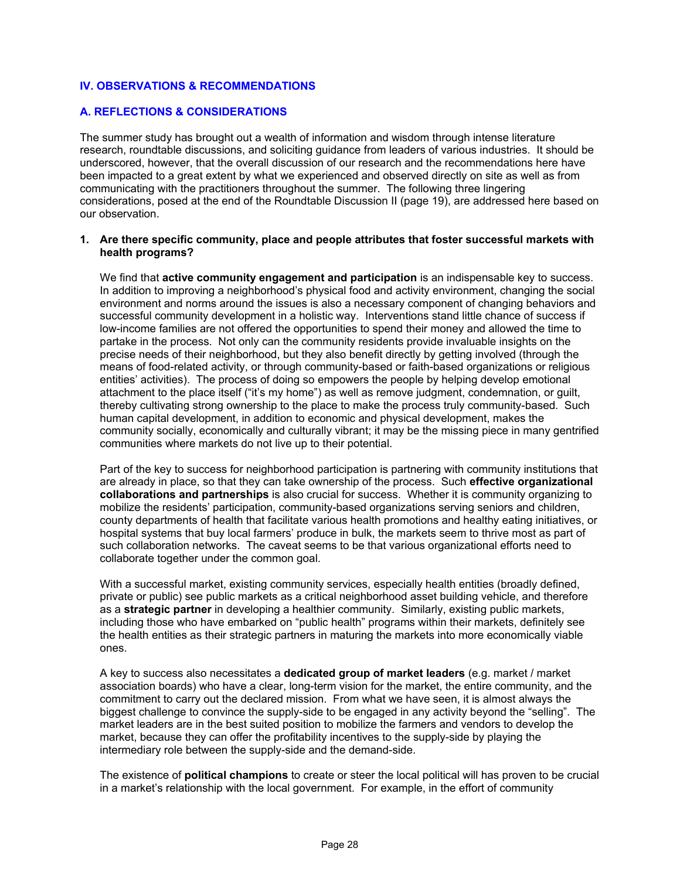### **IV. OBSERVATIONS & RECOMMENDATIONS**

#### **A. REFLECTIONS & CONSIDERATIONS**

The summer study has brought out a wealth of information and wisdom through intense literature research, roundtable discussions, and soliciting guidance from leaders of various industries. It should be underscored, however, that the overall discussion of our research and the recommendations here have been impacted to a great extent by what we experienced and observed directly on site as well as from communicating with the practitioners throughout the summer. The following three lingering considerations, posed at the end of the Roundtable Discussion II (page 19), are addressed here based on our observation.

#### **1. Are there specific community, place and people attributes that foster successful markets with health programs?**

We find that **active community engagement and participation** is an indispensable key to success. In addition to improving a neighborhood's physical food and activity environment, changing the social environment and norms around the issues is also a necessary component of changing behaviors and successful community development in a holistic way. Interventions stand little chance of success if low-income families are not offered the opportunities to spend their money and allowed the time to partake in the process. Not only can the community residents provide invaluable insights on the precise needs of their neighborhood, but they also benefit directly by getting involved (through the means of food-related activity, or through community-based or faith-based organizations or religious entities' activities). The process of doing so empowers the people by helping develop emotional attachment to the place itself ("it's my home") as well as remove judgment, condemnation, or guilt, thereby cultivating strong ownership to the place to make the process truly community-based. Such human capital development, in addition to economic and physical development, makes the community socially, economically and culturally vibrant; it may be the missing piece in many gentrified communities where markets do not live up to their potential.

Part of the key to success for neighborhood participation is partnering with community institutions that are already in place, so that they can take ownership of the process. Such **effective organizational collaborations and partnerships** is also crucial for success. Whether it is community organizing to mobilize the residents' participation, community-based organizations serving seniors and children, county departments of health that facilitate various health promotions and healthy eating initiatives, or hospital systems that buy local farmers' produce in bulk, the markets seem to thrive most as part of such collaboration networks. The caveat seems to be that various organizational efforts need to collaborate together under the common goal.

With a successful market, existing community services, especially health entities (broadly defined, private or public) see public markets as a critical neighborhood asset building vehicle, and therefore as a **strategic partner** in developing a healthier community. Similarly, existing public markets, including those who have embarked on "public health" programs within their markets, definitely see the health entities as their strategic partners in maturing the markets into more economically viable ones.

A key to success also necessitates a **dedicated group of market leaders** (e.g. market / market association boards) who have a clear, long-term vision for the market, the entire community, and the commitment to carry out the declared mission. From what we have seen, it is almost always the biggest challenge to convince the supply-side to be engaged in any activity beyond the "selling". The market leaders are in the best suited position to mobilize the farmers and vendors to develop the market, because they can offer the profitability incentives to the supply-side by playing the intermediary role between the supply-side and the demand-side.

The existence of **political champions** to create or steer the local political will has proven to be crucial in a market's relationship with the local government. For example, in the effort of community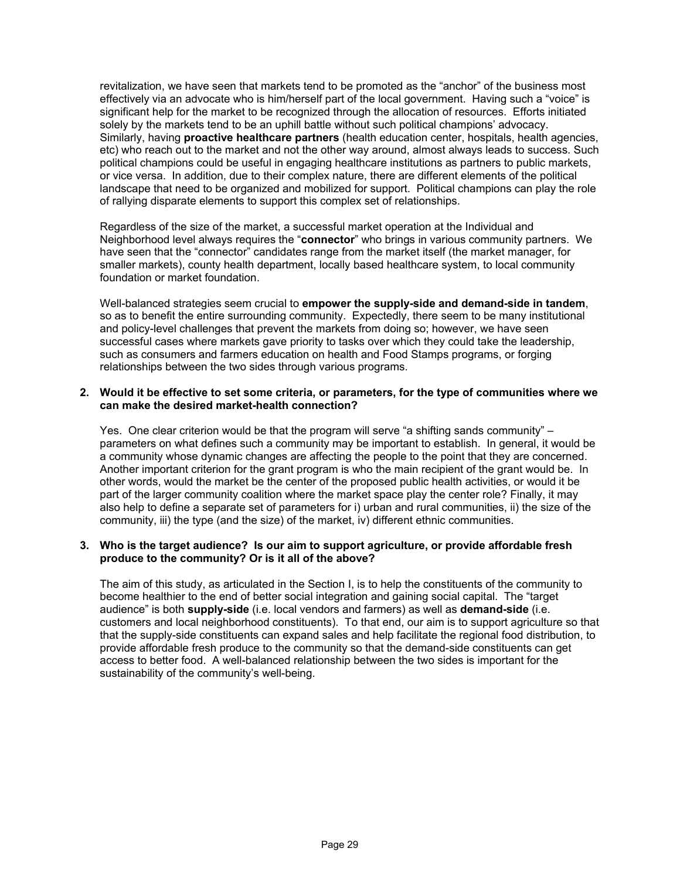revitalization, we have seen that markets tend to be promoted as the "anchor" of the business most effectively via an advocate who is him/herself part of the local government. Having such a "voice" is significant help for the market to be recognized through the allocation of resources. Efforts initiated solely by the markets tend to be an uphill battle without such political champions' advocacy. Similarly, having **proactive healthcare partners** (health education center, hospitals, health agencies, etc) who reach out to the market and not the other way around, almost always leads to success. Such political champions could be useful in engaging healthcare institutions as partners to public markets, or vice versa. In addition, due to their complex nature, there are different elements of the political landscape that need to be organized and mobilized for support. Political champions can play the role of rallying disparate elements to support this complex set of relationships.

Regardless of the size of the market, a successful market operation at the Individual and Neighborhood level always requires the "**connector**" who brings in various community partners. We have seen that the "connector" candidates range from the market itself (the market manager, for smaller markets), county health department, locally based healthcare system, to local community foundation or market foundation.

Well-balanced strategies seem crucial to **empower the supply-side and demand-side in tandem**, so as to benefit the entire surrounding community. Expectedly, there seem to be many institutional and policy-level challenges that prevent the markets from doing so; however, we have seen successful cases where markets gave priority to tasks over which they could take the leadership, such as consumers and farmers education on health and Food Stamps programs, or forging relationships between the two sides through various programs.

#### **2. Would it be effective to set some criteria, or parameters, for the type of communities where we can make the desired market-health connection?**

Yes. One clear criterion would be that the program will serve "a shifting sands community" – parameters on what defines such a community may be important to establish. In general, it would be a community whose dynamic changes are affecting the people to the point that they are concerned. Another important criterion for the grant program is who the main recipient of the grant would be. In other words, would the market be the center of the proposed public health activities, or would it be part of the larger community coalition where the market space play the center role? Finally, it may also help to define a separate set of parameters for i) urban and rural communities, ii) the size of the community, iii) the type (and the size) of the market, iv) different ethnic communities.

#### **3. Who is the target audience? Is our aim to support agriculture, or provide affordable fresh produce to the community? Or is it all of the above?**

The aim of this study, as articulated in the Section I, is to help the constituents of the community to become healthier to the end of better social integration and gaining social capital. The "target audience" is both **supply-side** (i.e. local vendors and farmers) as well as **demand-side** (i.e. customers and local neighborhood constituents). To that end, our aim is to support agriculture so that that the supply-side constituents can expand sales and help facilitate the regional food distribution, to provide affordable fresh produce to the community so that the demand-side constituents can get access to better food. A well-balanced relationship between the two sides is important for the sustainability of the community's well-being.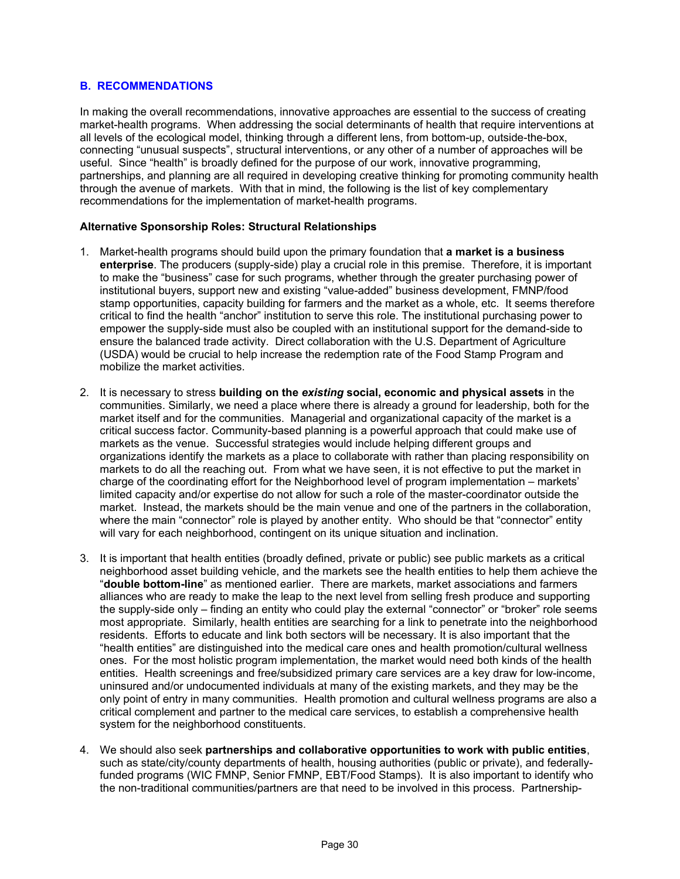# **B. RECOMMENDATIONS**

In making the overall recommendations, innovative approaches are essential to the success of creating market-health programs. When addressing the social determinants of health that require interventions at all levels of the ecological model, thinking through a different lens, from bottom-up, outside-the-box, connecting "unusual suspects", structural interventions, or any other of a number of approaches will be useful. Since "health" is broadly defined for the purpose of our work, innovative programming, partnerships, and planning are all required in developing creative thinking for promoting community health through the avenue of markets. With that in mind, the following is the list of key complementary recommendations for the implementation of market-health programs.

#### **Alternative Sponsorship Roles: Structural Relationships**

- 1. Market-health programs should build upon the primary foundation that **a market is a business enterprise**. The producers (supply-side) play a crucial role in this premise. Therefore, it is important to make the "business" case for such programs, whether through the greater purchasing power of institutional buyers, support new and existing "value-added" business development, FMNP/food stamp opportunities, capacity building for farmers and the market as a whole, etc. It seems therefore critical to find the health "anchor" institution to serve this role. The institutional purchasing power to empower the supply-side must also be coupled with an institutional support for the demand-side to ensure the balanced trade activity. Direct collaboration with the U.S. Department of Agriculture (USDA) would be crucial to help increase the redemption rate of the Food Stamp Program and mobilize the market activities.
- 2. It is necessary to stress **building on the** *existing* **social, economic and physical assets** in the communities. Similarly, we need a place where there is already a ground for leadership, both for the market itself and for the communities. Managerial and organizational capacity of the market is a critical success factor. Community-based planning is a powerful approach that could make use of markets as the venue. Successful strategies would include helping different groups and organizations identify the markets as a place to collaborate with rather than placing responsibility on markets to do all the reaching out. From what we have seen, it is not effective to put the market in charge of the coordinating effort for the Neighborhood level of program implementation – markets' limited capacity and/or expertise do not allow for such a role of the master-coordinator outside the market. Instead, the markets should be the main venue and one of the partners in the collaboration, where the main "connector" role is played by another entity. Who should be that "connector" entity will vary for each neighborhood, contingent on its unique situation and inclination.
- 3. It is important that health entities (broadly defined, private or public) see public markets as a critical neighborhood asset building vehicle, and the markets see the health entities to help them achieve the "**double bottom-line**" as mentioned earlier. There are markets, market associations and farmers alliances who are ready to make the leap to the next level from selling fresh produce and supporting the supply-side only – finding an entity who could play the external "connector" or "broker" role seems most appropriate. Similarly, health entities are searching for a link to penetrate into the neighborhood residents. Efforts to educate and link both sectors will be necessary. It is also important that the "health entities" are distinguished into the medical care ones and health promotion/cultural wellness ones. For the most holistic program implementation, the market would need both kinds of the health entities. Health screenings and free/subsidized primary care services are a key draw for low-income, uninsured and/or undocumented individuals at many of the existing markets, and they may be the only point of entry in many communities. Health promotion and cultural wellness programs are also a critical complement and partner to the medical care services, to establish a comprehensive health system for the neighborhood constituents.
- 4. We should also seek **partnerships and collaborative opportunities to work with public entities**, such as state/city/county departments of health, housing authorities (public or private), and federallyfunded programs (WIC FMNP, Senior FMNP, EBT/Food Stamps). It is also important to identify who the non-traditional communities/partners are that need to be involved in this process. Partnership-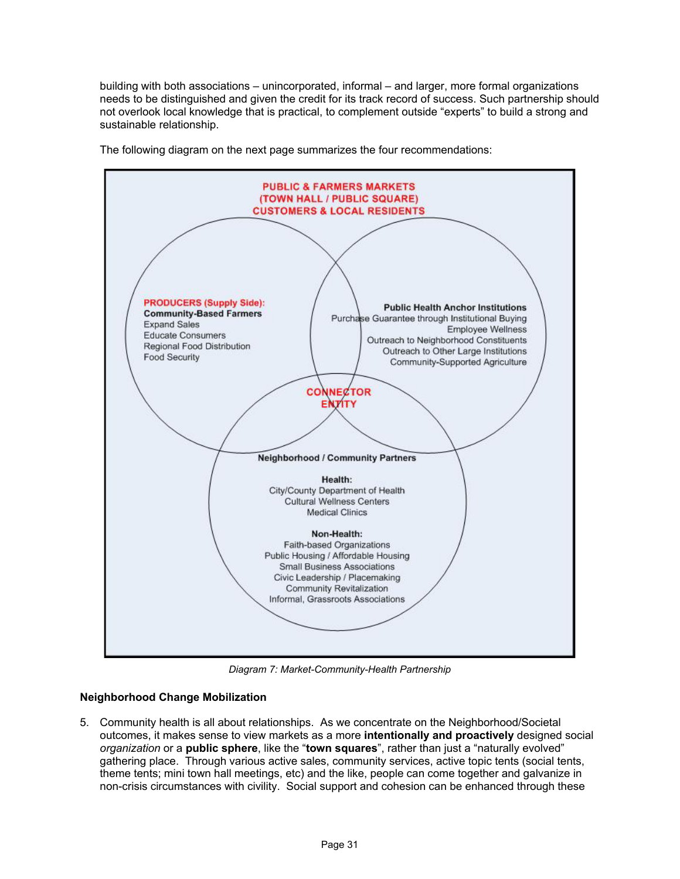building with both associations – unincorporated, informal – and larger, more formal organizations needs to be distinguished and given the credit for its track record of success. Such partnership should not overlook local knowledge that is practical, to complement outside "experts" to build a strong and sustainable relationship.



The following diagram on the next page summarizes the four recommendations:

*Diagram 7: Market-Community-Health Partnership*

# **Neighborhood Change Mobilization**

5. Community health is all about relationships. As we concentrate on the Neighborhood/Societal outcomes, it makes sense to view markets as a more **intentionally and proactively** designed social *organization* or a **public sphere**, like the "**town squares**", rather than just a "naturally evolved" gathering place. Through various active sales, community services, active topic tents (social tents, theme tents; mini town hall meetings, etc) and the like, people can come together and galvanize in non-crisis circumstances with civility. Social support and cohesion can be enhanced through these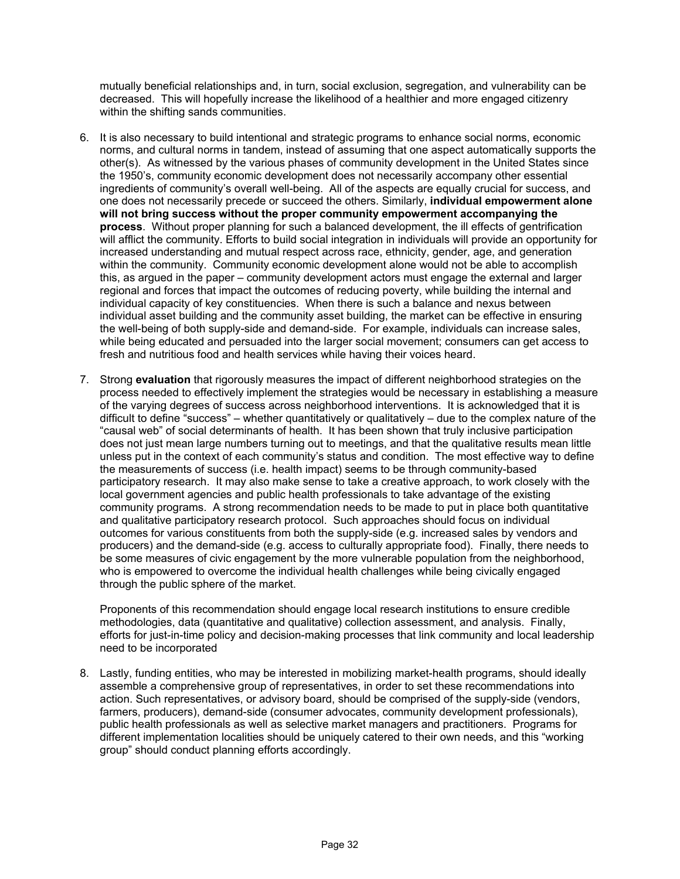mutually beneficial relationships and, in turn, social exclusion, segregation, and vulnerability can be decreased. This will hopefully increase the likelihood of a healthier and more engaged citizenry within the shifting sands communities.

- 6. It is also necessary to build intentional and strategic programs to enhance social norms, economic norms, and cultural norms in tandem, instead of assuming that one aspect automatically supports the other(s). As witnessed by the various phases of community development in the United States since the 1950's, community economic development does not necessarily accompany other essential ingredients of community's overall well-being. All of the aspects are equally crucial for success, and one does not necessarily precede or succeed the others. Similarly, **individual empowerment alone will not bring success without the proper community empowerment accompanying the process**. Without proper planning for such a balanced development, the ill effects of gentrification will afflict the community. Efforts to build social integration in individuals will provide an opportunity for increased understanding and mutual respect across race, ethnicity, gender, age, and generation within the community. Community economic development alone would not be able to accomplish this, as argued in the paper – community development actors must engage the external and larger regional and forces that impact the outcomes of reducing poverty, while building the internal and individual capacity of key constituencies. When there is such a balance and nexus between individual asset building and the community asset building, the market can be effective in ensuring the well-being of both supply-side and demand-side. For example, individuals can increase sales, while being educated and persuaded into the larger social movement; consumers can get access to fresh and nutritious food and health services while having their voices heard.
- 7. Strong **evaluation** that rigorously measures the impact of different neighborhood strategies on the process needed to effectively implement the strategies would be necessary in establishing a measure of the varying degrees of success across neighborhood interventions. It is acknowledged that it is difficult to define "success" – whether quantitatively or qualitatively – due to the complex nature of the "causal web" of social determinants of health. It has been shown that truly inclusive participation does not just mean large numbers turning out to meetings, and that the qualitative results mean little unless put in the context of each community's status and condition. The most effective way to define the measurements of success (i.e. health impact) seems to be through community-based participatory research. It may also make sense to take a creative approach, to work closely with the local government agencies and public health professionals to take advantage of the existing community programs. A strong recommendation needs to be made to put in place both quantitative and qualitative participatory research protocol. Such approaches should focus on individual outcomes for various constituents from both the supply-side (e.g. increased sales by vendors and producers) and the demand-side (e.g. access to culturally appropriate food). Finally, there needs to be some measures of civic engagement by the more vulnerable population from the neighborhood, who is empowered to overcome the individual health challenges while being civically engaged through the public sphere of the market.

Proponents of this recommendation should engage local research institutions to ensure credible methodologies, data (quantitative and qualitative) collection assessment, and analysis. Finally, efforts for just-in-time policy and decision-making processes that link community and local leadership need to be incorporated

8. Lastly, funding entities, who may be interested in mobilizing market-health programs, should ideally assemble a comprehensive group of representatives, in order to set these recommendations into action. Such representatives, or advisory board, should be comprised of the supply-side (vendors, farmers, producers), demand-side (consumer advocates, community development professionals), public health professionals as well as selective market managers and practitioners. Programs for different implementation localities should be uniquely catered to their own needs, and this "working group" should conduct planning efforts accordingly.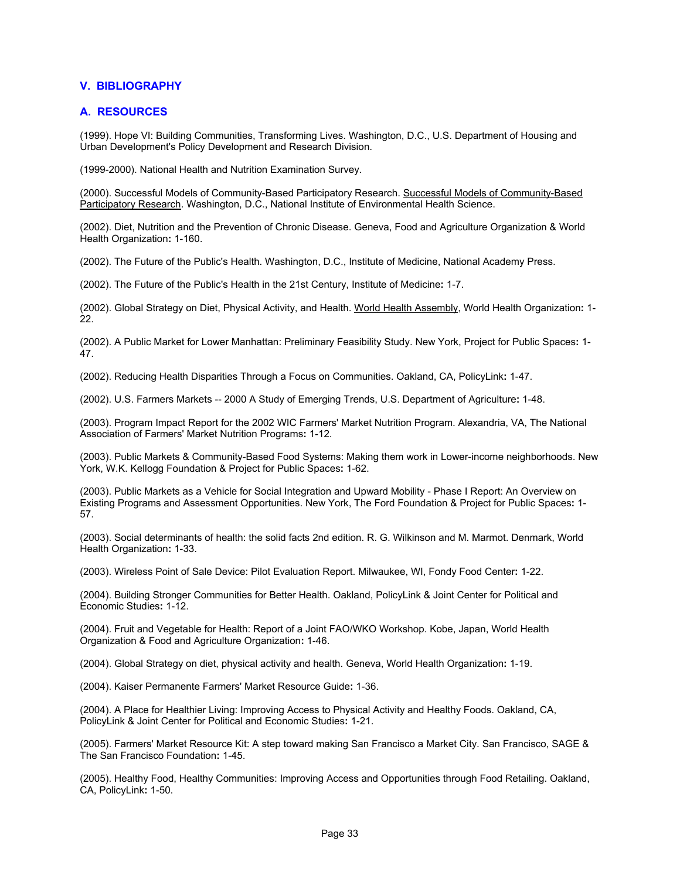### **V. BIBLIOGRAPHY**

#### **A. RESOURCES**

(1999). Hope VI: Building Communities, Transforming Lives. Washington, D.C., U.S. Department of Housing and Urban Development's Policy Development and Research Division.

(1999-2000). National Health and Nutrition Examination Survey.

(2000). Successful Models of Community-Based Participatory Research. Successful Models of Community-Based Participatory Research. Washington, D.C., National Institute of Environmental Health Science.

(2002). Diet, Nutrition and the Prevention of Chronic Disease. Geneva, Food and Agriculture Organization & World Health Organization**:** 1-160.

(2002). The Future of the Public's Health. Washington, D.C., Institute of Medicine, National Academy Press.

(2002). The Future of the Public's Health in the 21st Century, Institute of Medicine**:** 1-7.

(2002). Global Strategy on Diet, Physical Activity, and Health. World Health Assembly, World Health Organization**:** 1- 22.

(2002). A Public Market for Lower Manhattan: Preliminary Feasibility Study. New York, Project for Public Spaces**:** 1- 47.

(2002). Reducing Health Disparities Through a Focus on Communities. Oakland, CA, PolicyLink**:** 1-47.

(2002). U.S. Farmers Markets -- 2000 A Study of Emerging Trends, U.S. Department of Agriculture**:** 1-48.

(2003). Program Impact Report for the 2002 WIC Farmers' Market Nutrition Program. Alexandria, VA, The National Association of Farmers' Market Nutrition Programs**:** 1-12.

(2003). Public Markets & Community-Based Food Systems: Making them work in Lower-income neighborhoods. New York, W.K. Kellogg Foundation & Project for Public Spaces**:** 1-62.

(2003). Public Markets as a Vehicle for Social Integration and Upward Mobility - Phase I Report: An Overview on Existing Programs and Assessment Opportunities. New York, The Ford Foundation & Project for Public Spaces**:** 1- 57.

(2003). Social determinants of health: the solid facts 2nd edition. R. G. Wilkinson and M. Marmot. Denmark, World Health Organization**:** 1-33.

(2003). Wireless Point of Sale Device: Pilot Evaluation Report. Milwaukee, WI, Fondy Food Center**:** 1-22.

(2004). Building Stronger Communities for Better Health. Oakland, PolicyLink & Joint Center for Political and Economic Studies**:** 1-12.

(2004). Fruit and Vegetable for Health: Report of a Joint FAO/WKO Workshop. Kobe, Japan, World Health Organization & Food and Agriculture Organization**:** 1-46.

(2004). Global Strategy on diet, physical activity and health. Geneva, World Health Organization**:** 1-19.

(2004). Kaiser Permanente Farmers' Market Resource Guide**:** 1-36.

(2004). A Place for Healthier Living: Improving Access to Physical Activity and Healthy Foods. Oakland, CA, PolicyLink & Joint Center for Political and Economic Studies**:** 1-21.

(2005). Farmers' Market Resource Kit: A step toward making San Francisco a Market City. San Francisco, SAGE & The San Francisco Foundation**:** 1-45.

(2005). Healthy Food, Healthy Communities: Improving Access and Opportunities through Food Retailing. Oakland, CA, PolicyLink**:** 1-50.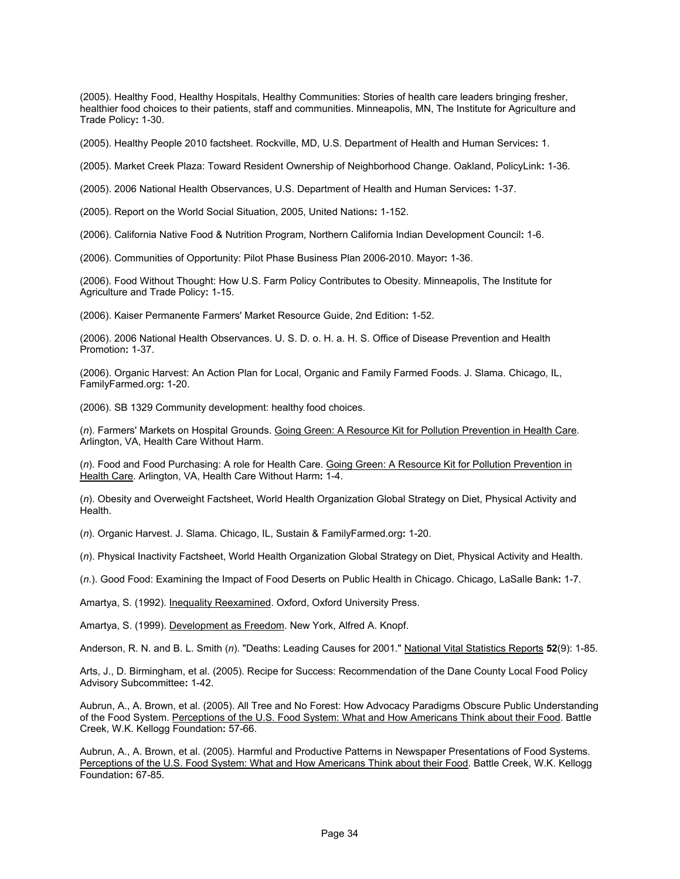(2005). Healthy Food, Healthy Hospitals, Healthy Communities: Stories of health care leaders bringing fresher, healthier food choices to their patients, staff and communities. Minneapolis, MN, The Institute for Agriculture and Trade Policy**:** 1-30.

(2005). Healthy People 2010 factsheet. Rockville, MD, U.S. Department of Health and Human Services**:** 1.

(2005). Market Creek Plaza: Toward Resident Ownership of Neighborhood Change. Oakland, PolicyLink**:** 1-36.

(2005). 2006 National Health Observances, U.S. Department of Health and Human Services**:** 1-37.

(2005). Report on the World Social Situation, 2005, United Nations**:** 1-152.

(2006). California Native Food & Nutrition Program, Northern California Indian Development Council**:** 1-6.

(2006). Communities of Opportunity: Pilot Phase Business Plan 2006-2010. Mayor**:** 1-36.

(2006). Food Without Thought: How U.S. Farm Policy Contributes to Obesity. Minneapolis, The Institute for Agriculture and Trade Policy**:** 1-15.

(2006). Kaiser Permanente Farmers' Market Resource Guide, 2nd Edition**:** 1-52.

(2006). 2006 National Health Observances. U. S. D. o. H. a. H. S. Office of Disease Prevention and Health Promotion**:** 1-37.

(2006). Organic Harvest: An Action Plan for Local, Organic and Family Farmed Foods. J. Slama. Chicago, IL, FamilyFarmed.org**:** 1-20.

(2006). SB 1329 Community development: healthy food choices.

(*n*). Farmers' Markets on Hospital Grounds. Going Green: A Resource Kit for Pollution Prevention in Health Care. Arlington, VA, Health Care Without Harm.

(*n*). Food and Food Purchasing: A role for Health Care. Going Green: A Resource Kit for Pollution Prevention in Health Care. Arlington, VA, Health Care Without Harm**:** 1-4.

(*n*). Obesity and Overweight Factsheet, World Health Organization Global Strategy on Diet, Physical Activity and Health.

(*n*). Organic Harvest. J. Slama. Chicago, IL, Sustain & FamilyFarmed.org**:** 1-20.

(*n*). Physical Inactivity Factsheet, World Health Organization Global Strategy on Diet, Physical Activity and Health.

(*n*.). Good Food: Examining the Impact of Food Deserts on Public Health in Chicago. Chicago, LaSalle Bank**:** 1-7.

Amartya, S. (1992). Inequality Reexamined. Oxford, Oxford University Press.

Amartya, S. (1999). Development as Freedom. New York, Alfred A. Knopf.

Anderson, R. N. and B. L. Smith (*n*). "Deaths: Leading Causes for 2001." National Vital Statistics Reports **52**(9): 1-85.

Arts, J., D. Birmingham, et al. (2005). Recipe for Success: Recommendation of the Dane County Local Food Policy Advisory Subcommittee**:** 1-42.

Aubrun, A., A. Brown, et al. (2005). All Tree and No Forest: How Advocacy Paradigms Obscure Public Understanding of the Food System. Perceptions of the U.S. Food System: What and How Americans Think about their Food. Battle Creek, W.K. Kellogg Foundation**:** 57-66.

Aubrun, A., A. Brown, et al. (2005). Harmful and Productive Patterns in Newspaper Presentations of Food Systems. Perceptions of the U.S. Food System: What and How Americans Think about their Food. Battle Creek, W.K. Kellogg Foundation**:** 67-85.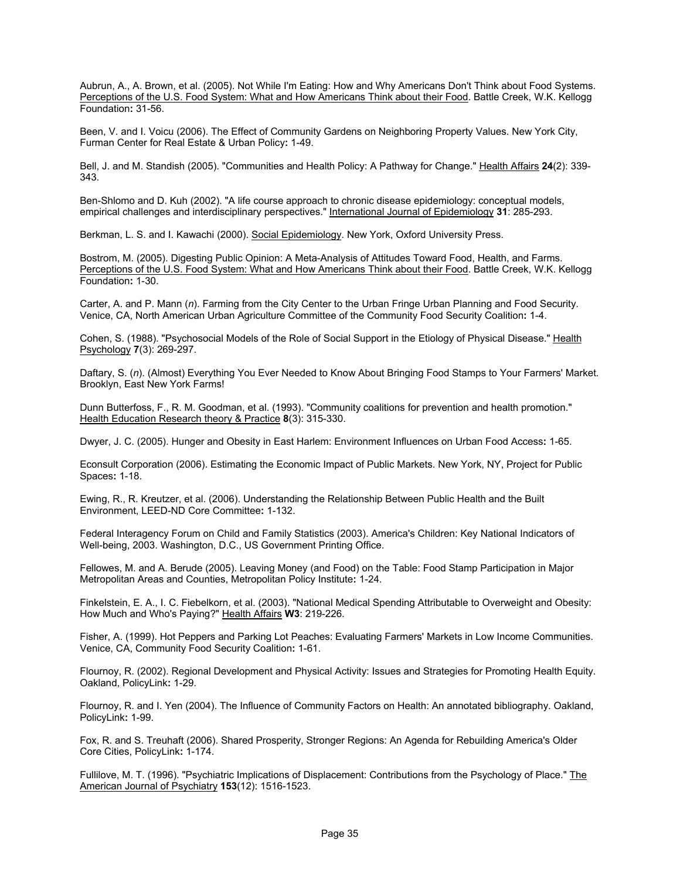Aubrun, A., A. Brown, et al. (2005). Not While I'm Eating: How and Why Americans Don't Think about Food Systems. Perceptions of the U.S. Food System: What and How Americans Think about their Food. Battle Creek, W.K. Kellogg Foundation**:** 31-56.

Been, V. and I. Voicu (2006). The Effect of Community Gardens on Neighboring Property Values. New York City, Furman Center for Real Estate & Urban Policy**:** 1-49.

Bell, J. and M. Standish (2005). "Communities and Health Policy: A Pathway for Change." Health Affairs **24**(2): 339- 343.

Ben-Shlomo and D. Kuh (2002). "A life course approach to chronic disease epidemiology: conceptual models, empirical challenges and interdisciplinary perspectives." International Journal of Epidemiology **31**: 285-293.

Berkman, L. S. and I. Kawachi (2000). Social Epidemiology. New York, Oxford University Press.

Bostrom, M. (2005). Digesting Public Opinion: A Meta-Analysis of Attitudes Toward Food, Health, and Farms. Perceptions of the U.S. Food System: What and How Americans Think about their Food. Battle Creek, W.K. Kellogg Foundation**:** 1-30.

Carter, A. and P. Mann (*n*). Farming from the City Center to the Urban Fringe Urban Planning and Food Security. Venice, CA, North American Urban Agriculture Committee of the Community Food Security Coalition**:** 1-4.

Cohen, S. (1988). "Psychosocial Models of the Role of Social Support in the Etiology of Physical Disease." Health Psychology **7**(3): 269-297.

Daftary, S. (*n*). (Almost) Everything You Ever Needed to Know About Bringing Food Stamps to Your Farmers' Market. Brooklyn, East New York Farms!

Dunn Butterfoss, F., R. M. Goodman, et al. (1993). "Community coalitions for prevention and health promotion." Health Education Research theory & Practice **8**(3): 315-330.

Dwyer, J. C. (2005). Hunger and Obesity in East Harlem: Environment Influences on Urban Food Access**:** 1-65.

Econsult Corporation (2006). Estimating the Economic Impact of Public Markets. New York, NY, Project for Public Spaces**:** 1-18.

Ewing, R., R. Kreutzer, et al. (2006). Understanding the Relationship Between Public Health and the Built Environment, LEED-ND Core Committee**:** 1-132.

Federal Interagency Forum on Child and Family Statistics (2003). America's Children: Key National Indicators of Well-being, 2003. Washington, D.C., US Government Printing Office.

Fellowes, M. and A. Berude (2005). Leaving Money (and Food) on the Table: Food Stamp Participation in Major Metropolitan Areas and Counties, Metropolitan Policy Institute**:** 1-24.

Finkelstein, E. A., I. C. Fiebelkorn, et al. (2003). "National Medical Spending Attributable to Overweight and Obesity: How Much and Who's Paying?" Health Affairs **W3**: 219-226.

Fisher, A. (1999). Hot Peppers and Parking Lot Peaches: Evaluating Farmers' Markets in Low Income Communities. Venice, CA, Community Food Security Coalition**:** 1-61.

Flournoy, R. (2002). Regional Development and Physical Activity: Issues and Strategies for Promoting Health Equity. Oakland, PolicyLink**:** 1-29.

Flournoy, R. and I. Yen (2004). The Influence of Community Factors on Health: An annotated bibliography. Oakland, PolicyLink**:** 1-99.

Fox, R. and S. Treuhaft (2006). Shared Prosperity, Stronger Regions: An Agenda for Rebuilding America's Older Core Cities, PolicyLink**:** 1-174.

Fullilove, M. T. (1996). "Psychiatric Implications of Displacement: Contributions from the Psychology of Place." The American Journal of Psychiatry **153**(12): 1516-1523.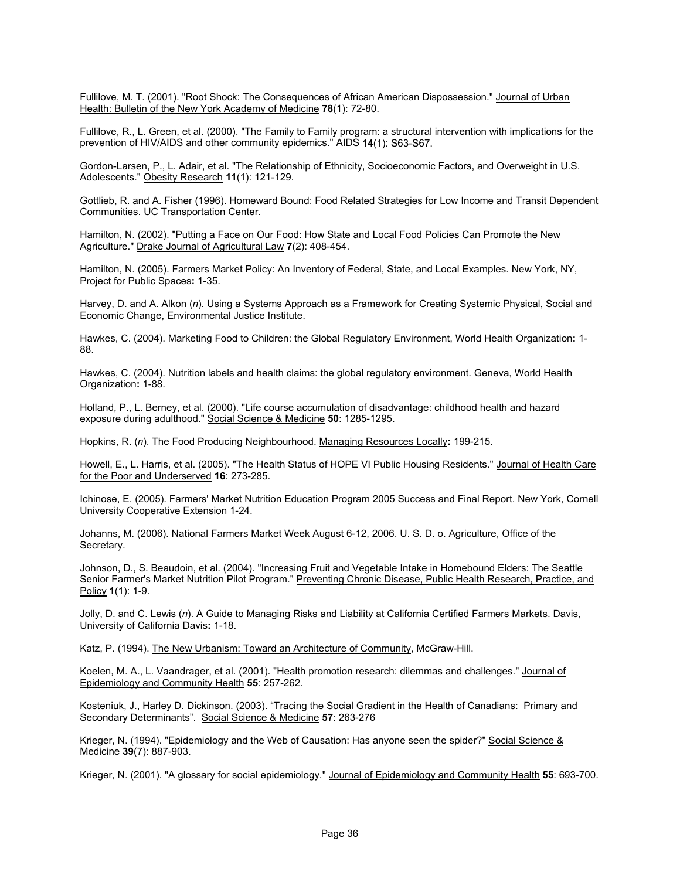Fullilove, M. T. (2001). "Root Shock: The Consequences of African American Dispossession." Journal of Urban Health: Bulletin of the New York Academy of Medicine **78**(1): 72-80.

Fullilove, R., L. Green, et al. (2000). "The Family to Family program: a structural intervention with implications for the prevention of HIV/AIDS and other community epidemics." AIDS **14**(1): S63-S67.

Gordon-Larsen, P., L. Adair, et al. "The Relationship of Ethnicity, Socioeconomic Factors, and Overweight in U.S. Adolescents." Obesity Research **11**(1): 121-129.

Gottlieb, R. and A. Fisher (1996). Homeward Bound: Food Related Strategies for Low Income and Transit Dependent Communities. UC Transportation Center.

Hamilton, N. (2002). "Putting a Face on Our Food: How State and Local Food Policies Can Promote the New Agriculture." Drake Journal of Agricultural Law **7**(2): 408-454.

Hamilton, N. (2005). Farmers Market Policy: An Inventory of Federal, State, and Local Examples. New York, NY, Project for Public Spaces**:** 1-35.

Harvey, D. and A. Alkon (*n*). Using a Systems Approach as a Framework for Creating Systemic Physical, Social and Economic Change, Environmental Justice Institute.

Hawkes, C. (2004). Marketing Food to Children: the Global Regulatory Environment, World Health Organization**:** 1- 88.

Hawkes, C. (2004). Nutrition labels and health claims: the global regulatory environment. Geneva, World Health Organization**:** 1-88.

Holland, P., L. Berney, et al. (2000). "Life course accumulation of disadvantage: childhood health and hazard exposure during adulthood." Social Science & Medicine **50**: 1285-1295.

Hopkins, R. (*n*). The Food Producing Neighbourhood. Managing Resources Locally**:** 199-215.

Howell, E., L. Harris, et al. (2005). "The Health Status of HOPE VI Public Housing Residents." Journal of Health Care for the Poor and Underserved **16**: 273-285.

Ichinose, E. (2005). Farmers' Market Nutrition Education Program 2005 Success and Final Report. New York, Cornell University Cooperative Extension 1-24.

Johanns, M. (2006). National Farmers Market Week August 6-12, 2006. U. S. D. o. Agriculture, Office of the Secretary.

Johnson, D., S. Beaudoin, et al. (2004). "Increasing Fruit and Vegetable Intake in Homebound Elders: The Seattle Senior Farmer's Market Nutrition Pilot Program." Preventing Chronic Disease, Public Health Research, Practice, and Policy **1**(1): 1-9.

Jolly, D. and C. Lewis (*n*). A Guide to Managing Risks and Liability at California Certified Farmers Markets. Davis, University of California Davis**:** 1-18.

Katz, P. (1994). The New Urbanism: Toward an Architecture of Community, McGraw-Hill.

Koelen, M. A., L. Vaandrager, et al. (2001). "Health promotion research: dilemmas and challenges." Journal of Epidemiology and Community Health **55**: 257-262.

Kosteniuk, J., Harley D. Dickinson. (2003). "Tracing the Social Gradient in the Health of Canadians: Primary and Secondary Determinants". Social Science & Medicine **57**: 263-276

Krieger, N. (1994). "Epidemiology and the Web of Causation: Has anyone seen the spider?" Social Science & Medicine **39**(7): 887-903.

Krieger, N. (2001). "A glossary for social epidemiology." Journal of Epidemiology and Community Health **55**: 693-700.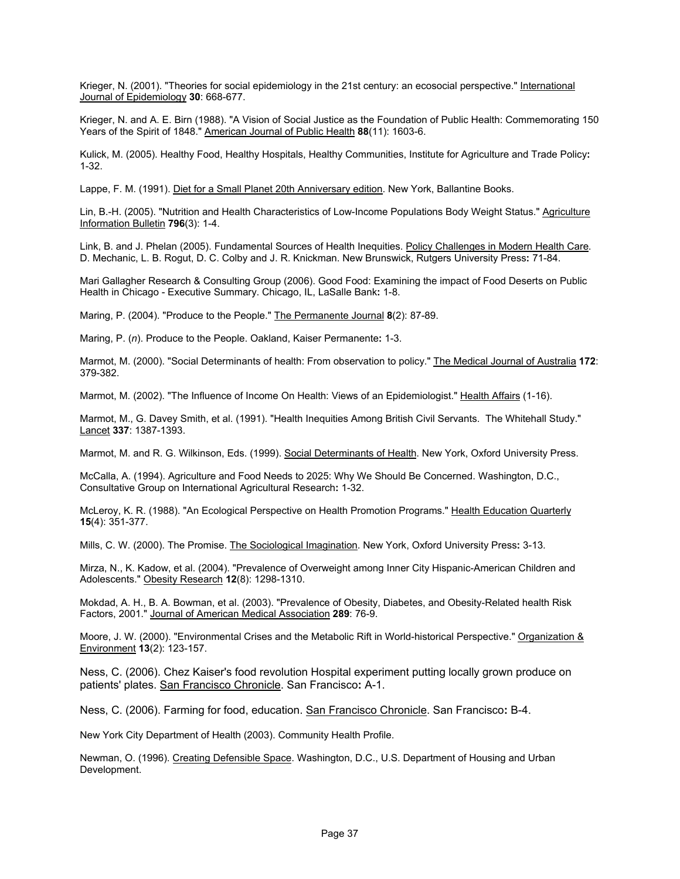Krieger, N. (2001). "Theories for social epidemiology in the 21st century: an ecosocial perspective." International Journal of Epidemiology **30**: 668-677.

Krieger, N. and A. E. Birn (1988). "A Vision of Social Justice as the Foundation of Public Health: Commemorating 150 Years of the Spirit of 1848." American Journal of Public Health **88**(11): 1603-6.

Kulick, M. (2005). Healthy Food, Healthy Hospitals, Healthy Communities, Institute for Agriculture and Trade Policy**:**  1-32.

Lappe, F. M. (1991). Diet for a Small Planet 20th Anniversary edition. New York, Ballantine Books.

Lin, B.-H. (2005). "Nutrition and Health Characteristics of Low-Income Populations Body Weight Status." Agriculture Information Bulletin **796**(3): 1-4.

Link, B. and J. Phelan (2005). Fundamental Sources of Health Inequities. Policy Challenges in Modern Health Care. D. Mechanic, L. B. Rogut, D. C. Colby and J. R. Knickman. New Brunswick, Rutgers University Press**:** 71-84.

Mari Gallagher Research & Consulting Group (2006). Good Food: Examining the impact of Food Deserts on Public Health in Chicago - Executive Summary. Chicago, IL, LaSalle Bank**:** 1-8.

Maring, P. (2004). "Produce to the People." The Permanente Journal **8**(2): 87-89.

Maring, P. (*n*). Produce to the People. Oakland, Kaiser Permanente**:** 1-3.

Marmot, M. (2000). "Social Determinants of health: From observation to policy." The Medical Journal of Australia **172**: 379-382.

Marmot, M. (2002). "The Influence of Income On Health: Views of an Epidemiologist." Health Affairs (1-16).

Marmot, M., G. Davey Smith, et al. (1991). "Health Inequities Among British Civil Servants. The Whitehall Study." Lancet **337**: 1387-1393.

Marmot, M. and R. G. Wilkinson, Eds. (1999). Social Determinants of Health. New York, Oxford University Press.

McCalla, A. (1994). Agriculture and Food Needs to 2025: Why We Should Be Concerned. Washington, D.C., Consultative Group on International Agricultural Research**:** 1-32.

McLeroy, K. R. (1988). "An Ecological Perspective on Health Promotion Programs." Health Education Quarterly **15**(4): 351-377.

Mills, C. W. (2000). The Promise. The Sociological Imagination. New York, Oxford University Press**:** 3-13.

Mirza, N., K. Kadow, et al. (2004). "Prevalence of Overweight among Inner City Hispanic-American Children and Adolescents." Obesity Research **12**(8): 1298-1310.

Mokdad, A. H., B. A. Bowman, et al. (2003). "Prevalence of Obesity, Diabetes, and Obesity-Related health Risk Factors, 2001." Journal of American Medical Association **289**: 76-9.

Moore, J. W. (2000). "Environmental Crises and the Metabolic Rift in World-historical Perspective." Organization & Environment **13**(2): 123-157.

Ness, C. (2006). Chez Kaiser's food revolution Hospital experiment putting locally grown produce on patients' plates. San Francisco Chronicle. San Francisco**:** A-1.

Ness, C. (2006). Farming for food, education. San Francisco Chronicle. San Francisco**:** B-4.

New York City Department of Health (2003). Community Health Profile.

Newman, O. (1996). Creating Defensible Space. Washington, D.C., U.S. Department of Housing and Urban Development.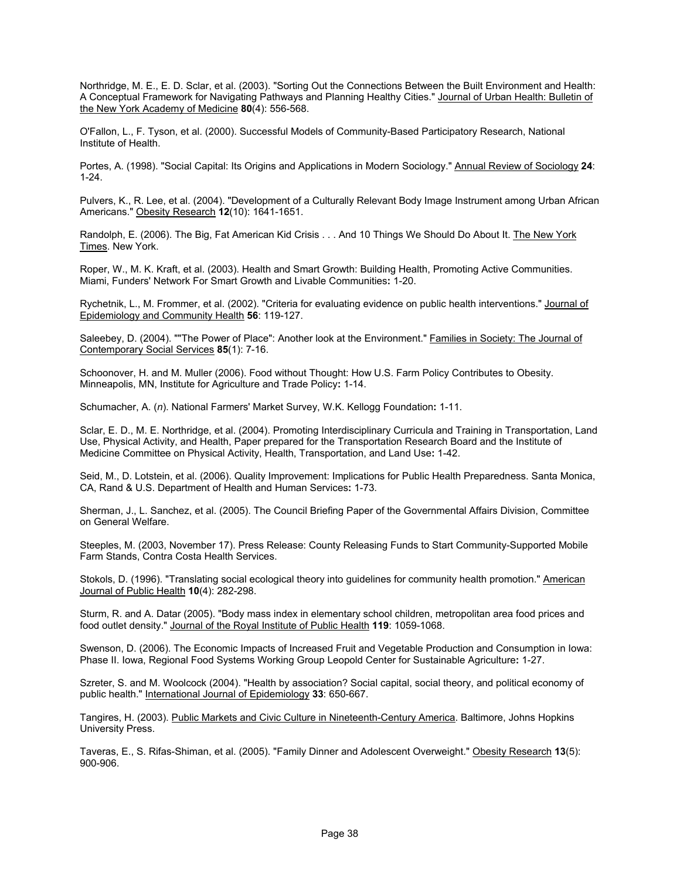Northridge, M. E., E. D. Sclar, et al. (2003). "Sorting Out the Connections Between the Built Environment and Health: A Conceptual Framework for Navigating Pathways and Planning Healthy Cities." Journal of Urban Health: Bulletin of the New York Academy of Medicine **80**(4): 556-568.

O'Fallon, L., F. Tyson, et al. (2000). Successful Models of Community-Based Participatory Research, National Institute of Health.

Portes, A. (1998). "Social Capital: Its Origins and Applications in Modern Sociology." Annual Review of Sociology **24**: 1-24.

Pulvers, K., R. Lee, et al. (2004). "Development of a Culturally Relevant Body Image Instrument among Urban African Americans." Obesity Research **12**(10): 1641-1651.

Randolph, E. (2006). The Big, Fat American Kid Crisis . . . And 10 Things We Should Do About It. The New York Times. New York.

Roper, W., M. K. Kraft, et al. (2003). Health and Smart Growth: Building Health, Promoting Active Communities. Miami, Funders' Network For Smart Growth and Livable Communities**:** 1-20.

Rychetnik, L., M. Frommer, et al. (2002). "Criteria for evaluating evidence on public health interventions." Journal of Epidemiology and Community Health **56**: 119-127.

Saleebey, D. (2004). ""The Power of Place": Another look at the Environment." Families in Society: The Journal of Contemporary Social Services **85**(1): 7-16.

Schoonover, H. and M. Muller (2006). Food without Thought: How U.S. Farm Policy Contributes to Obesity. Minneapolis, MN, Institute for Agriculture and Trade Policy**:** 1-14.

Schumacher, A. (*n*). National Farmers' Market Survey, W.K. Kellogg Foundation**:** 1-11.

Sclar, E. D., M. E. Northridge, et al. (2004). Promoting Interdisciplinary Curricula and Training in Transportation, Land Use, Physical Activity, and Health, Paper prepared for the Transportation Research Board and the Institute of Medicine Committee on Physical Activity, Health, Transportation, and Land Use**:** 1-42.

Seid, M., D. Lotstein, et al. (2006). Quality Improvement: Implications for Public Health Preparedness. Santa Monica, CA, Rand & U.S. Department of Health and Human Services**:** 1-73.

Sherman, J., L. Sanchez, et al. (2005). The Council Briefing Paper of the Governmental Affairs Division, Committee on General Welfare.

Steeples, M. (2003, November 17). Press Release: County Releasing Funds to Start Community-Supported Mobile Farm Stands, Contra Costa Health Services.

Stokols, D. (1996). "Translating social ecological theory into guidelines for community health promotion." American Journal of Public Health **10**(4): 282-298.

Sturm, R. and A. Datar (2005). "Body mass index in elementary school children, metropolitan area food prices and food outlet density." Journal of the Royal Institute of Public Health **119**: 1059-1068.

Swenson, D. (2006). The Economic Impacts of Increased Fruit and Vegetable Production and Consumption in Iowa: Phase II. Iowa, Regional Food Systems Working Group Leopold Center for Sustainable Agriculture**:** 1-27.

Szreter, S. and M. Woolcock (2004). "Health by association? Social capital, social theory, and political economy of public health." International Journal of Epidemiology **33**: 650-667.

Tangires, H. (2003). Public Markets and Civic Culture in Nineteenth-Century America. Baltimore, Johns Hopkins University Press.

Taveras, E., S. Rifas-Shiman, et al. (2005). "Family Dinner and Adolescent Overweight." Obesity Research **13**(5): 900-906.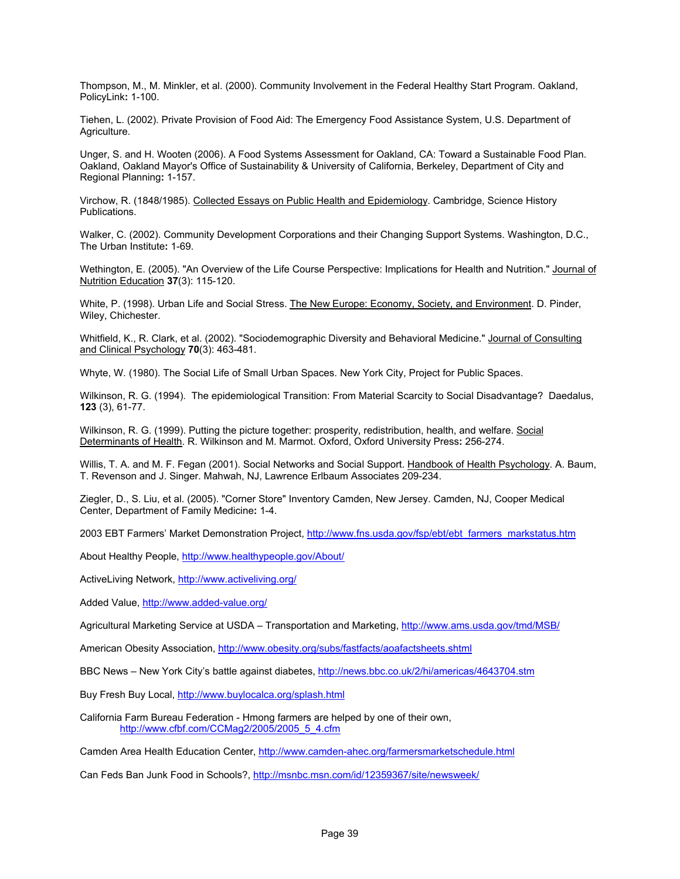Thompson, M., M. Minkler, et al. (2000). Community Involvement in the Federal Healthy Start Program. Oakland, PolicyLink**:** 1-100.

Tiehen, L. (2002). Private Provision of Food Aid: The Emergency Food Assistance System, U.S. Department of Agriculture.

Unger, S. and H. Wooten (2006). A Food Systems Assessment for Oakland, CA: Toward a Sustainable Food Plan. Oakland, Oakland Mayor's Office of Sustainability & University of California, Berkeley, Department of City and Regional Planning**:** 1-157.

Virchow, R. (1848/1985). Collected Essays on Public Health and Epidemiology. Cambridge, Science History Publications.

Walker, C. (2002). Community Development Corporations and their Changing Support Systems. Washington, D.C., The Urban Institute**:** 1-69.

Wethington, E. (2005). "An Overview of the Life Course Perspective: Implications for Health and Nutrition." Journal of Nutrition Education **37**(3): 115-120.

White, P. (1998). Urban Life and Social Stress. The New Europe: Economy, Society, and Environment. D. Pinder, Wiley, Chichester.

Whitfield, K., R. Clark, et al. (2002). "Sociodemographic Diversity and Behavioral Medicine." Journal of Consulting and Clinical Psychology **70**(3): 463-481.

Whyte, W. (1980). The Social Life of Small Urban Spaces. New York City, Project for Public Spaces.

Wilkinson, R. G. (1994). The epidemiological Transition: From Material Scarcity to Social Disadvantage? Daedalus, **123** (3), 61-77.

Wilkinson, R. G. (1999). Putting the picture together: prosperity, redistribution, health, and welfare. Social Determinants of Health. R. Wilkinson and M. Marmot. Oxford, Oxford University Press**:** 256-274.

Willis, T. A. and M. F. Fegan (2001). Social Networks and Social Support. Handbook of Health Psychology. A. Baum, T. Revenson and J. Singer. Mahwah, NJ, Lawrence Erlbaum Associates 209-234.

Ziegler, D., S. Liu, et al. (2005). "Corner Store" Inventory Camden, New Jersey. Camden, NJ, Cooper Medical Center, Department of Family Medicine**:** 1-4.

2003 EBT Farmers' Market Demonstration Project, http://www.fns.usda.gov/fsp/ebt/ebt\_farmers\_markstatus.htm

About Healthy People, http://www.healthypeople.gov/About/

ActiveLiving Network, http://www.activeliving.org/

Added Value, http://www.added-value.org/

Agricultural Marketing Service at USDA – Transportation and Marketing, http://www.ams.usda.gov/tmd/MSB/

American Obesity Association, http://www.obesity.org/subs/fastfacts/aoafactsheets.shtml

BBC News – New York City's battle against diabetes, http://news.bbc.co.uk/2/hi/americas/4643704.stm

Buy Fresh Buy Local, http://www.buylocalca.org/splash.html

California Farm Bureau Federation - Hmong farmers are helped by one of their own, http://www.cfbf.com/CCMag2/2005/2005\_5\_4.cfm

Camden Area Health Education Center, http://www.camden-ahec.org/farmersmarketschedule.html

Can Feds Ban Junk Food in Schools?, http://msnbc.msn.com/id/12359367/site/newsweek/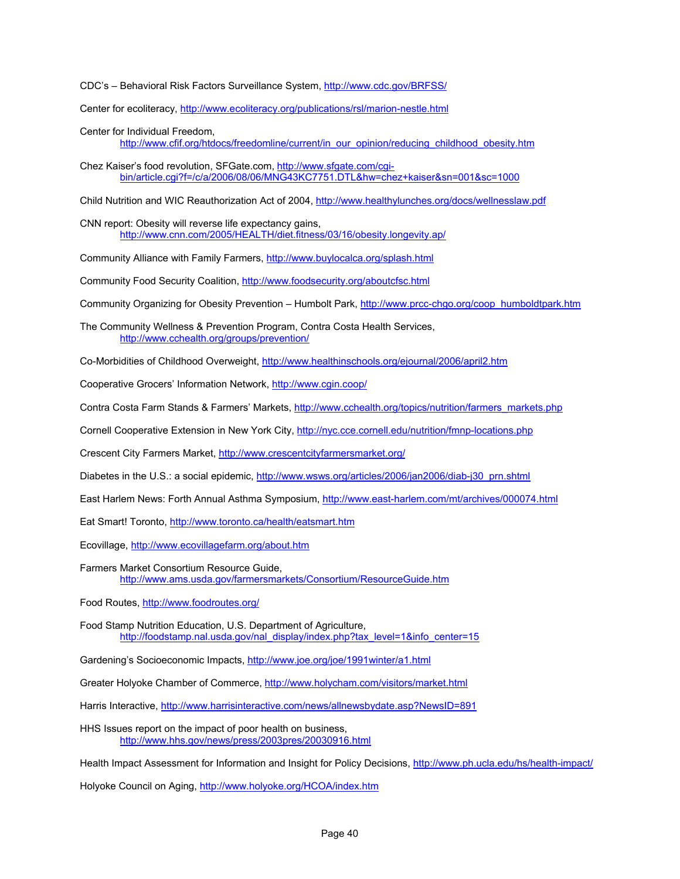CDC's – Behavioral Risk Factors Surveillance System, http://www.cdc.gov/BRFSS/

Center for ecoliteracy, http://www.ecoliteracy.org/publications/rsl/marion-nestle.html

- Center for Individual Freedom, http://www.cfif.org/htdocs/freedomline/current/in\_our\_opinion/reducing\_childhood\_obesity.htm
- Chez Kaiser's food revolution, SFGate.com, http://www.sfgate.com/cgibin/article.cgi?f=/c/a/2006/08/06/MNG43KC7751.DTL&hw=chez+kaiser&sn=001&sc=1000

Child Nutrition and WIC Reauthorization Act of 2004, http://www.healthylunches.org/docs/wellnesslaw.pdf

CNN report: Obesity will reverse life expectancy gains, http://www.cnn.com/2005/HEALTH/diet.fitness/03/16/obesity.longevity.ap/

Community Alliance with Family Farmers, http://www.buylocalca.org/splash.html

Community Food Security Coalition, http://www.foodsecurity.org/aboutcfsc.html

Community Organizing for Obesity Prevention – Humbolt Park, http://www.prcc-chgo.org/coop\_humboldtpark.htm

The Community Wellness & Prevention Program, Contra Costa Health Services, http://www.cchealth.org/groups/prevention/

Co-Morbidities of Childhood Overweight, http://www.healthinschools.org/ejournal/2006/april2.htm

Cooperative Grocers' Information Network, http://www.cgin.coop/

Contra Costa Farm Stands & Farmers' Markets, http://www.cchealth.org/topics/nutrition/farmers\_markets.php

Cornell Cooperative Extension in New York City, http://nyc.cce.cornell.edu/nutrition/fmnp-locations.php

Crescent City Farmers Market, http://www.crescentcityfarmersmarket.org/

Diabetes in the U.S.: a social epidemic, http://www.wsws.org/articles/2006/jan2006/diab-j30\_prn.shtml

East Harlem News: Forth Annual Asthma Symposium, http://www.east-harlem.com/mt/archives/000074.html

Eat Smart! Toronto, http://www.toronto.ca/health/eatsmart.htm

Ecovillage, http://www.ecovillagefarm.org/about.htm

- Farmers Market Consortium Resource Guide, http://www.ams.usda.gov/farmersmarkets/Consortium/ResourceGuide.htm
- Food Routes, http://www.foodroutes.org/
- Food Stamp Nutrition Education, U.S. Department of Agriculture, http://foodstamp.nal.usda.gov/nal\_display/index.php?tax\_level=1&info\_center=15

Gardening's Socioeconomic Impacts, http://www.joe.org/joe/1991winter/a1.html

Greater Holyoke Chamber of Commerce, http://www.holycham.com/visitors/market.html

Harris Interactive, http://www.harrisinteractive.com/news/allnewsbydate.asp?NewsID=891

HHS Issues report on the impact of poor health on business, http://www.hhs.gov/news/press/2003pres/20030916.html

Health Impact Assessment for Information and Insight for Policy Decisions, http://www.ph.ucla.edu/hs/health-impact/

Holyoke Council on Aging, http://www.holyoke.org/HCOA/index.htm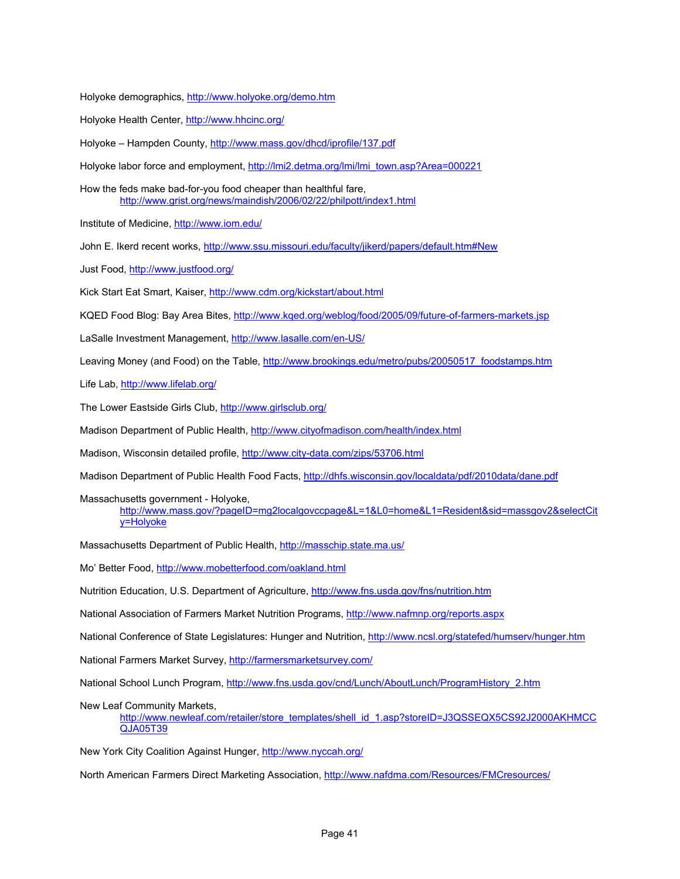Holyoke demographics, http://www.holyoke.org/demo.htm

Holyoke Health Center, http://www.hhcinc.org/

Holyoke – Hampden County, http://www.mass.gov/dhcd/iprofile/137.pdf

Holyoke labor force and employment, http://lmi2.detma.org/lmi/lmi\_town.asp?Area=000221

How the feds make bad-for-you food cheaper than healthful fare, http://www.grist.org/news/maindish/2006/02/22/philpott/index1.html

Institute of Medicine, http://www.iom.edu/

John E. Ikerd recent works, http://www.ssu.missouri.edu/faculty/jikerd/papers/default.htm#New

Just Food, http://www.justfood.org/

Kick Start Eat Smart, Kaiser, http://www.cdm.org/kickstart/about.html

KQED Food Blog: Bay Area Bites, http://www.kqed.org/weblog/food/2005/09/future-of-farmers-markets.jsp

LaSalle Investment Management, http://www.lasalle.com/en-US/

Leaving Money (and Food) on the Table, http://www.brookings.edu/metro/pubs/20050517\_foodstamps.htm

Life Lab, http://www.lifelab.org/

The Lower Eastside Girls Club, http://www.girlsclub.org/

Madison Department of Public Health, http://www.cityofmadison.com/health/index.html

Madison, Wisconsin detailed profile, http://www.city-data.com/zips/53706.html

Madison Department of Public Health Food Facts, http://dhfs.wisconsin.gov/localdata/pdf/2010data/dane.pdf

Massachusetts government - Holyoke,

http://www.mass.gov/?pageID=mg2localgovccpage&L=1&L0=home&L1=Resident&sid=massgov2&selectCit y=Holyoke

Massachusetts Department of Public Health, http://masschip.state.ma.us/

Mo' Better Food, http://www.mobetterfood.com/oakland.html

Nutrition Education, U.S. Department of Agriculture, http://www.fns.usda.gov/fns/nutrition.htm

National Association of Farmers Market Nutrition Programs, http://www.nafmnp.org/reports.aspx

National Conference of State Legislatures: Hunger and Nutrition, http://www.ncsl.org/statefed/humserv/hunger.htm

National Farmers Market Survey, http://farmersmarketsurvey.com/

National School Lunch Program, http://www.fns.usda.gov/cnd/Lunch/AboutLunch/ProgramHistory\_2.htm

New Leaf Community Markets,

http://www.newleaf.com/retailer/store\_templates/shell\_id\_1.asp?storeID=J3QSSEQX5CS92J2000AKHMCC QJA05T39

New York City Coalition Against Hunger, http://www.nyccah.org/

North American Farmers Direct Marketing Association, http://www.nafdma.com/Resources/FMCresources/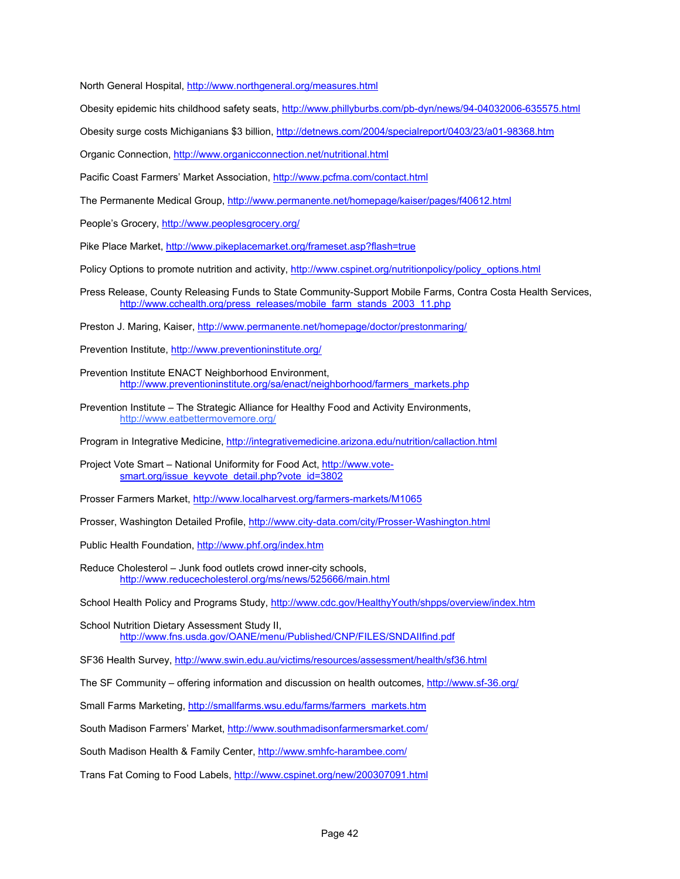North General Hospital, http://www.northgeneral.org/measures.html

Obesity epidemic hits childhood safety seats, http://www.phillyburbs.com/pb-dyn/news/94-04032006-635575.html

Obesity surge costs Michiganians \$3 billion, http://detnews.com/2004/specialreport/0403/23/a01-98368.htm

Organic Connection, http://www.organicconnection.net/nutritional.html

Pacific Coast Farmers' Market Association, http://www.pcfma.com/contact.html

The Permanente Medical Group, http://www.permanente.net/homepage/kaiser/pages/f40612.html

People's Grocery, http://www.peoplesgrocery.org/

Pike Place Market, http://www.pikeplacemarket.org/frameset.asp?flash=true

Policy Options to promote nutrition and activity, http://www.cspinet.org/nutritionpolicy/policy\_options.html

- Press Release, County Releasing Funds to State Community-Support Mobile Farms, Contra Costa Health Services, http://www.cchealth.org/press\_releases/mobile\_farm\_stands\_2003\_11.php
- Preston J. Maring, Kaiser, http://www.permanente.net/homepage/doctor/prestonmaring/

Prevention Institute, http://www.preventioninstitute.org/

- Prevention Institute ENACT Neighborhood Environment, http://www.preventioninstitute.org/sa/enact/neighborhood/farmers\_markets.php
- Prevention Institute The Strategic Alliance for Healthy Food and Activity Environments, http://www.eatbettermovemore.org/

Program in Integrative Medicine, http://integrativemedicine.arizona.edu/nutrition/callaction.html

Project Vote Smart – National Uniformity for Food Act, http://www.votesmart.org/issue\_keyvote\_detail.php?vote\_id=3802

Prosser Farmers Market, http://www.localharvest.org/farmers-markets/M1065

Prosser, Washington Detailed Profile, http://www.city-data.com/city/Prosser-Washington.html

Public Health Foundation, http://www.phf.org/index.htm

Reduce Cholesterol – Junk food outlets crowd inner-city schools, http://www.reducecholesterol.org/ms/news/525666/main.html

School Health Policy and Programs Study, http://www.cdc.gov/HealthyYouth/shpps/overview/index.htm

School Nutrition Dietary Assessment Study II, http://www.fns.usda.gov/OANE/menu/Published/CNP/FILES/SNDAIIfind.pdf

SF36 Health Survey, http://www.swin.edu.au/victims/resources/assessment/health/sf36.html

The SF Community – offering information and discussion on health outcomes, http://www.sf-36.org/

Small Farms Marketing, http://smallfarms.wsu.edu/farms/farmers\_markets.htm

South Madison Farmers' Market, http://www.southmadisonfarmersmarket.com/

South Madison Health & Family Center, http://www.smhfc-harambee.com/

Trans Fat Coming to Food Labels, http://www.cspinet.org/new/200307091.html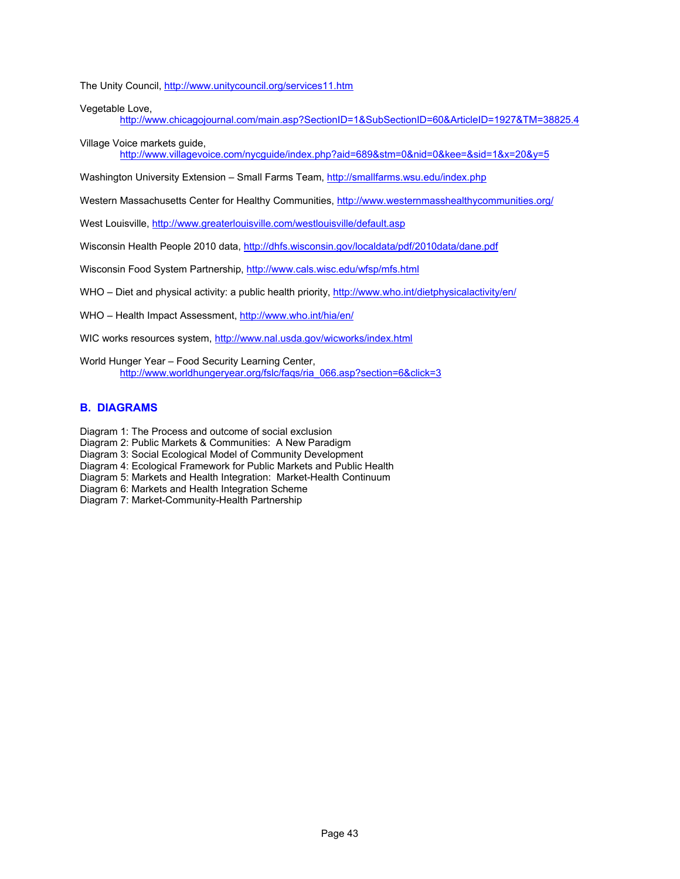The Unity Council, http://www.unitycouncil.org/services11.htm

Vegetable Love,

http://www.chicagojournal.com/main.asp?SectionID=1&SubSectionID=60&ArticleID=1927&TM=38825.4

Village Voice markets guide,

http://www.villagevoice.com/nycguide/index.php?aid=689&stm=0&nid=0&kee=&sid=1&x=20&y=5

Washington University Extension - Small Farms Team, http://smallfarms.wsu.edu/index.php

Western Massachusetts Center for Healthy Communities, http://www.westernmasshealthycommunities.org/

West Louisville, http://www.greaterlouisville.com/westlouisville/default.asp

Wisconsin Health People 2010 data, http://dhfs.wisconsin.gov/localdata/pdf/2010data/dane.pdf

Wisconsin Food System Partnership, http://www.cals.wisc.edu/wfsp/mfs.html

WHO - Diet and physical activity: a public health priority, http://www.who.int/dietphysicalactivity/en/

WHO – Health Impact Assessment, http://www.who.int/hia/en/

WIC works resources system, http://www.nal.usda.gov/wicworks/index.html

World Hunger Year – Food Security Learning Center, http://www.worldhungeryear.org/fslc/faqs/ria\_066.asp?section=6&click=3

#### **B. DIAGRAMS**

Diagram 1: The Process and outcome of social exclusion

Diagram 2: Public Markets & Communities: A New Paradigm

Diagram 3: Social Ecological Model of Community Development

Diagram 4: Ecological Framework for Public Markets and Public Health

Diagram 5: Markets and Health Integration: Market-Health Continuum

Diagram 6: Markets and Health Integration Scheme

Diagram 7: Market-Community-Health Partnership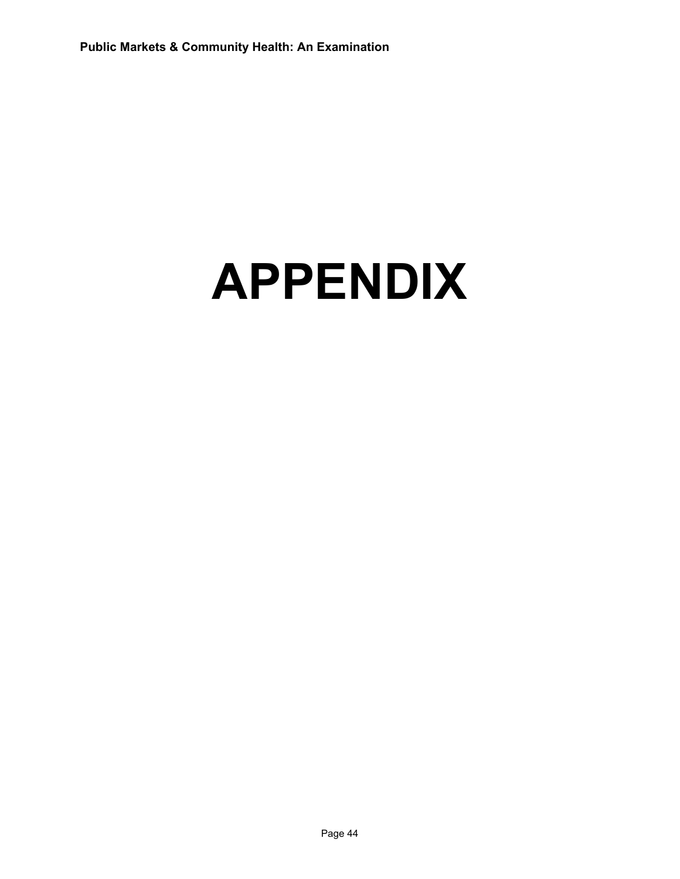# **APPENDIX**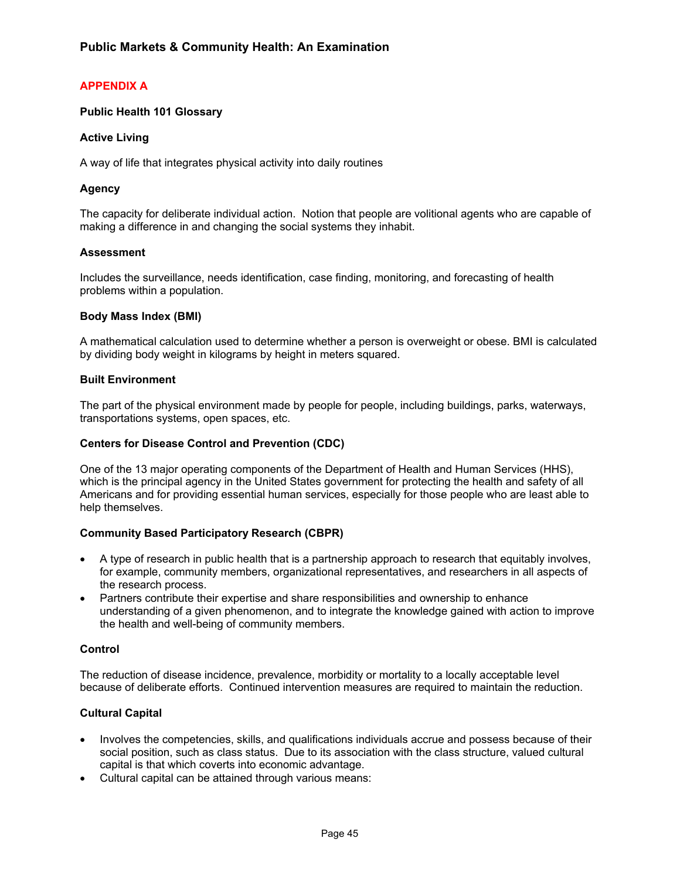# **APPENDIX A**

## **Public Health 101 Glossary**

## **Active Living**

A way of life that integrates physical activity into daily routines

## **Agency**

The capacity for deliberate individual action. Notion that people are volitional agents who are capable of making a difference in and changing the social systems they inhabit.

#### **Assessment**

Includes the surveillance, needs identification, case finding, monitoring, and forecasting of health problems within a population.

#### **Body Mass Index (BMI)**

A mathematical calculation used to determine whether a person is overweight or obese. BMI is calculated by dividing body weight in kilograms by height in meters squared.

#### **Built Environment**

The part of the physical environment made by people for people, including buildings, parks, waterways, transportations systems, open spaces, etc.

#### **Centers for Disease Control and Prevention (CDC)**

One of the 13 major operating components of the Department of Health and Human Services (HHS), which is the principal agency in the United States government for protecting the health and safety of all Americans and for providing essential human services, especially for those people who are least able to help themselves.

#### **Community Based Participatory Research (CBPR)**

- A type of research in public health that is a partnership approach to research that equitably involves, for example, community members, organizational representatives, and researchers in all aspects of the research process.
- Partners contribute their expertise and share responsibilities and ownership to enhance understanding of a given phenomenon, and to integrate the knowledge gained with action to improve the health and well-being of community members.

#### **Control**

The reduction of disease incidence, prevalence, morbidity or mortality to a locally acceptable level because of deliberate efforts. Continued intervention measures are required to maintain the reduction.

## **Cultural Capital**

- Involves the competencies, skills, and qualifications individuals accrue and possess because of their social position, such as class status. Due to its association with the class structure, valued cultural capital is that which coverts into economic advantage.
- Cultural capital can be attained through various means: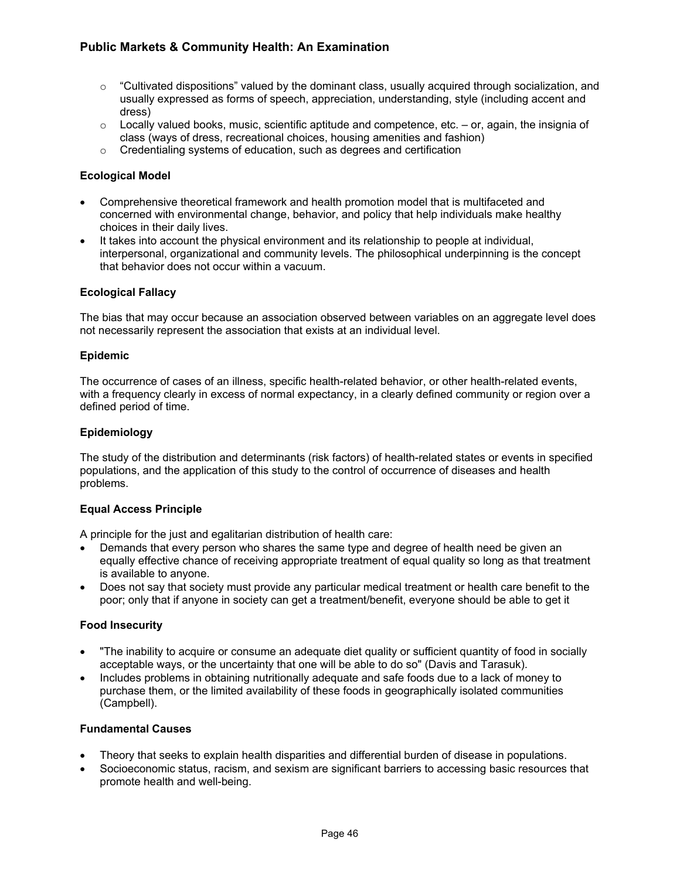- $\circ$  "Cultivated dispositions" valued by the dominant class, usually acquired through socialization, and usually expressed as forms of speech, appreciation, understanding, style (including accent and dress)
- $\circ$  Locally valued books, music, scientific aptitude and competence, etc. or, again, the insignia of class (ways of dress, recreational choices, housing amenities and fashion)
- o Credentialing systems of education, such as degrees and certification

## **Ecological Model**

- Comprehensive theoretical framework and health promotion model that is multifaceted and concerned with environmental change, behavior, and policy that help individuals make healthy choices in their daily lives.
- It takes into account the physical environment and its relationship to people at individual, interpersonal, organizational and community levels. The philosophical underpinning is the concept that behavior does not occur within a vacuum.

## **Ecological Fallacy**

The bias that may occur because an association observed between variables on an aggregate level does not necessarily represent the association that exists at an individual level.

#### **Epidemic**

The occurrence of cases of an illness, specific health-related behavior, or other health-related events, with a frequency clearly in excess of normal expectancy, in a clearly defined community or region over a defined period of time.

#### **Epidemiology**

The study of the distribution and determinants (risk factors) of health-related states or events in specified populations, and the application of this study to the control of occurrence of diseases and health problems.

#### **Equal Access Principle**

A principle for the just and egalitarian distribution of health care:

- Demands that every person who shares the same type and degree of health need be given an equally effective chance of receiving appropriate treatment of equal quality so long as that treatment is available to anyone.
- Does not say that society must provide any particular medical treatment or health care benefit to the poor; only that if anyone in society can get a treatment/benefit, everyone should be able to get it

#### **Food Insecurity**

- "The inability to acquire or consume an adequate diet quality or sufficient quantity of food in socially acceptable ways, or the uncertainty that one will be able to do so" (Davis and Tarasuk).
- Includes problems in obtaining nutritionally adequate and safe foods due to a lack of money to purchase them, or the limited availability of these foods in geographically isolated communities (Campbell).

## **Fundamental Causes**

- Theory that seeks to explain health disparities and differential burden of disease in populations.
- Socioeconomic status, racism, and sexism are significant barriers to accessing basic resources that promote health and well-being.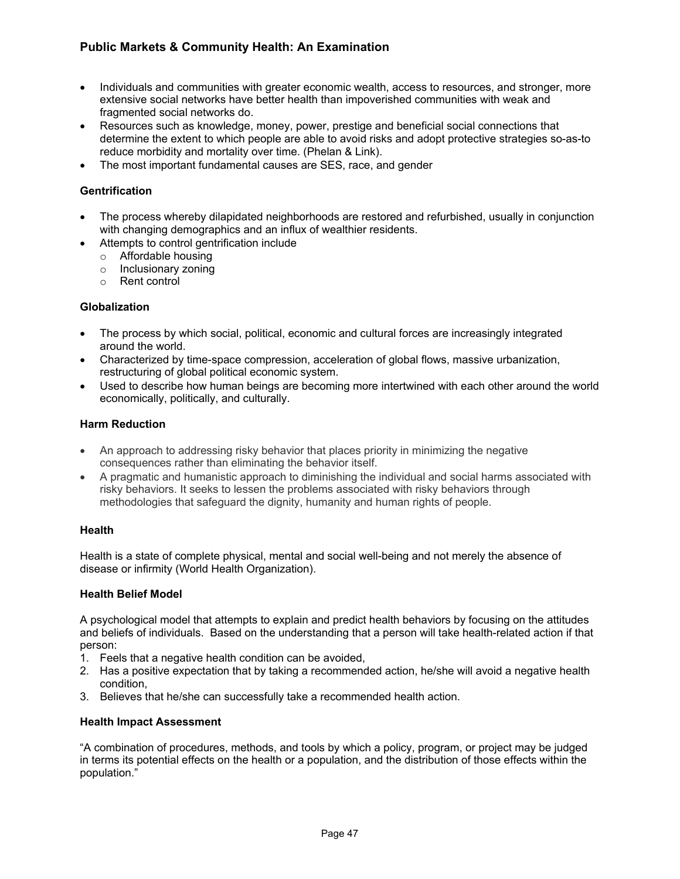- Individuals and communities with greater economic wealth, access to resources, and stronger, more extensive social networks have better health than impoverished communities with weak and fragmented social networks do.
- Resources such as knowledge, money, power, prestige and beneficial social connections that determine the extent to which people are able to avoid risks and adopt protective strategies so-as-to reduce morbidity and mortality over time. (Phelan & Link).
- The most important fundamental causes are SES, race, and gender

# **Gentrification**

- The process whereby dilapidated neighborhoods are restored and refurbished, usually in conjunction with changing demographics and an influx of wealthier residents.
- Attempts to control gentrification include
	- o Affordable housing
	- o Inclusionary zoning
	- o Rent control

## **Globalization**

- The process by which social, political, economic and cultural forces are increasingly integrated around the world.
- Characterized by time-space compression, acceleration of global flows, massive urbanization, restructuring of global political economic system.
- Used to describe how human beings are becoming more intertwined with each other around the world economically, politically, and culturally.

## **Harm Reduction**

- An approach to addressing risky behavior that places priority in minimizing the negative consequences rather than eliminating the behavior itself.
- A pragmatic and humanistic approach to diminishing the individual and social harms associated with risky behaviors. It seeks to lessen the problems associated with risky behaviors through methodologies that safeguard the dignity, humanity and human rights of people.

## **Health**

Health is a state of complete physical, mental and social well-being and not merely the absence of disease or infirmity (World Health Organization).

## **Health Belief Model**

A psychological model that attempts to explain and predict health behaviors by focusing on the attitudes and beliefs of individuals. Based on the understanding that a person will take health-related action if that person:

- 1. Feels that a negative health condition can be avoided,
- 2. Has a positive expectation that by taking a recommended action, he/she will avoid a negative health condition,
- 3. Believes that he/she can successfully take a recommended health action.

## **Health Impact Assessment**

"A combination of procedures, methods, and tools by which a policy, program, or project may be judged in terms its potential effects on the health or a population, and the distribution of those effects within the population."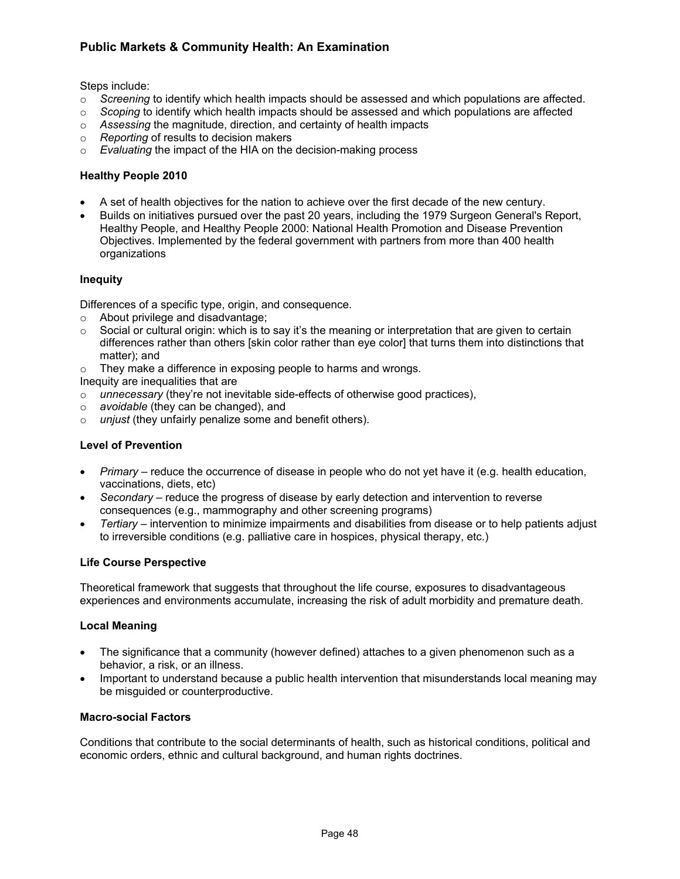Steps include:

- o *Screening* to identify which health impacts should be assessed and which populations are affected.
- o *Scoping* to identify which health impacts should be assessed and which populations are affected
- o *Assessing* the magnitude, direction, and certainty of health impacts
- o *Reporting* of results to decision makers
- o *Evaluating* the impact of the HIA on the decision-making process

## **Healthy People 2010**

- A set of health objectives for the nation to achieve over the first decade of the new century.
- Builds on initiatives pursued over the past 20 years, including the 1979 Surgeon General's Report, Healthy People, and Healthy People 2000: National Health Promotion and Disease Prevention Objectives. Implemented by the federal government with partners from more than 400 health organizations

#### **Inequity**

Differences of a specific type, origin, and consequence.

- o About privilege and disadvantage;
- $\circ$  Social or cultural origin: which is to say it's the meaning or interpretation that are given to certain differences rather than others [skin color rather than eye color] that turns them into distinctions that matter); and
- $\circ$  They make a difference in exposing people to harms and wrongs.

Inequity are inequalities that are

- o *unnecessary* (they're not inevitable side-effects of otherwise good practices),
- o *avoidable* (they can be changed), and
- o *unjust* (they unfairly penalize some and benefit others).

## **Level of Prevention**

- *Primary* reduce the occurrence of disease in people who do not yet have it (e.g. health education, vaccinations, diets, etc)
- *Secondary* reduce the progress of disease by early detection and intervention to reverse consequences (e.g., mammography and other screening programs)
- *Tertiary* intervention to minimize impairments and disabilities from disease or to help patients adjust to irreversible conditions (e.g. palliative care in hospices, physical therapy, etc.)

#### **Life Course Perspective**

Theoretical framework that suggests that throughout the life course, exposures to disadvantageous experiences and environments accumulate, increasing the risk of adult morbidity and premature death.

#### **Local Meaning**

- The significance that a community (however defined) attaches to a given phenomenon such as a behavior, a risk, or an illness.
- Important to understand because a public health intervention that misunderstands local meaning may be misguided or counterproductive.

#### **Macro-social Factors**

Conditions that contribute to the social determinants of health, such as historical conditions, political and economic orders, ethnic and cultural background, and human rights doctrines.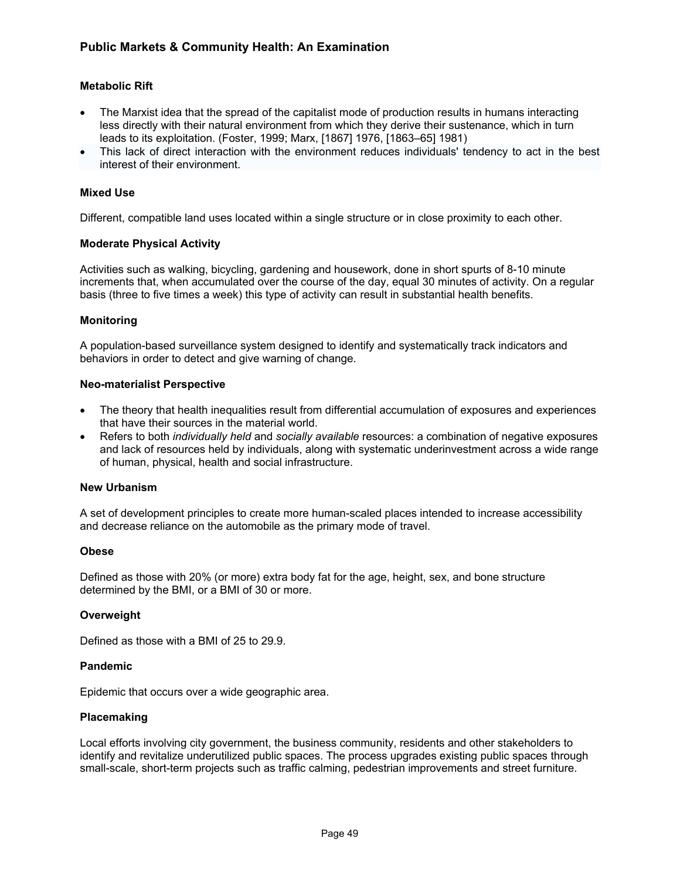## **Metabolic Rift**

- The Marxist idea that the spread of the capitalist mode of production results in humans interacting less directly with their natural environment from which they derive their sustenance, which in turn leads to its exploitation. (Foster, 1999; Marx, [1867] 1976, [1863–65] 1981)
- This lack of direct interaction with the environment reduces individuals' tendency to act in the best interest of their environment.

## **Mixed Use**

Different, compatible land uses located within a single structure or in close proximity to each other.

#### **Moderate Physical Activity**

Activities such as walking, bicycling, gardening and housework, done in short spurts of 8-10 minute increments that, when accumulated over the course of the day, equal 30 minutes of activity. On a regular basis (three to five times a week) this type of activity can result in substantial health benefits.

## **Monitoring**

A population-based surveillance system designed to identify and systematically track indicators and behaviors in order to detect and give warning of change.

#### **Neo-materialist Perspective**

- The theory that health inequalities result from differential accumulation of exposures and experiences that have their sources in the material world.
- Refers to both *individually held* and *socially available* resources: a combination of negative exposures and lack of resources held by individuals, along with systematic underinvestment across a wide range of human, physical, health and social infrastructure.

## **New Urbanism**

A set of development principles to create more human-scaled places intended to increase accessibility and decrease reliance on the automobile as the primary mode of travel.

#### **Obese**

Defined as those with 20% (or more) extra body fat for the age, height, sex, and bone structure determined by the BMI, or a BMI of 30 or more.

#### **Overweight**

Defined as those with a BMI of 25 to 29.9.

## **Pandemic**

Epidemic that occurs over a wide geographic area.

#### **Placemaking**

Local efforts involving city government, the business community, residents and other stakeholders to identify and revitalize underutilized public spaces. The process upgrades existing public spaces through small-scale, short-term projects such as traffic calming, pedestrian improvements and street furniture.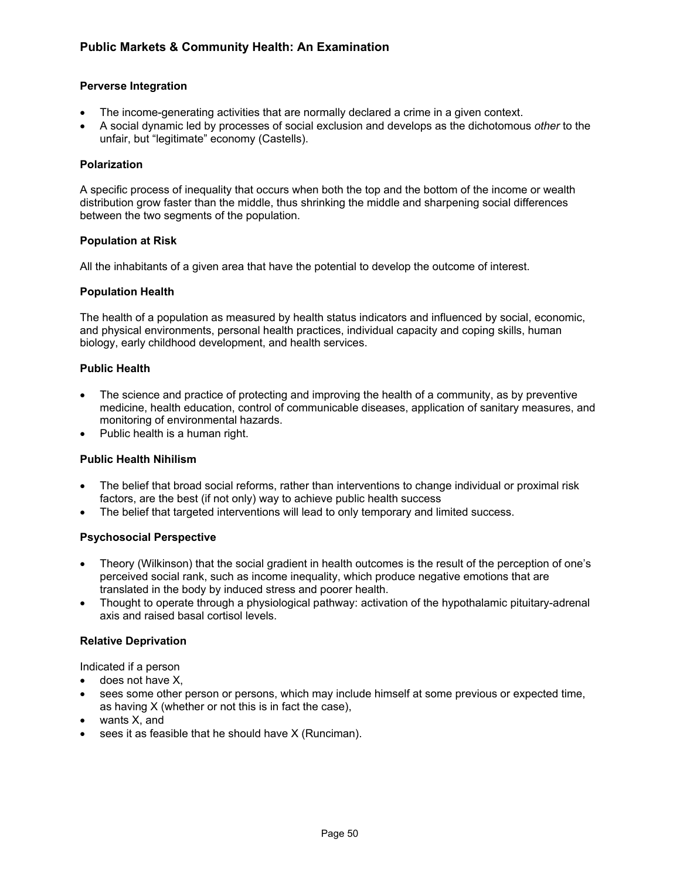## **Perverse Integration**

- The income-generating activities that are normally declared a crime in a given context.
- A social dynamic led by processes of social exclusion and develops as the dichotomous *other* to the unfair, but "legitimate" economy (Castells).

## **Polarization**

A specific process of inequality that occurs when both the top and the bottom of the income or wealth distribution grow faster than the middle, thus shrinking the middle and sharpening social differences between the two segments of the population.

## **Population at Risk**

All the inhabitants of a given area that have the potential to develop the outcome of interest.

## **Population Health**

The health of a population as measured by health status indicators and influenced by social, economic, and physical environments, personal health practices, individual capacity and coping skills, human biology, early childhood development, and health services.

## **Public Health**

- The science and practice of protecting and improving the health of a community, as by preventive medicine, health education, control of communicable diseases, application of sanitary measures, and monitoring of environmental hazards.
- Public health is a human right.

## **Public Health Nihilism**

- The belief that broad social reforms, rather than interventions to change individual or proximal risk factors, are the best (if not only) way to achieve public health success
- The belief that targeted interventions will lead to only temporary and limited success.

## **Psychosocial Perspective**

- Theory (Wilkinson) that the social gradient in health outcomes is the result of the perception of one's perceived social rank, such as income inequality, which produce negative emotions that are translated in the body by induced stress and poorer health.
- Thought to operate through a physiological pathway: activation of the hypothalamic pituitary-adrenal axis and raised basal cortisol levels.

#### **Relative Deprivation**

Indicated if a person

- does not have X,
- sees some other person or persons, which may include himself at some previous or expected time, as having X (whether or not this is in fact the case),
- wants X, and
- sees it as feasible that he should have X (Runciman).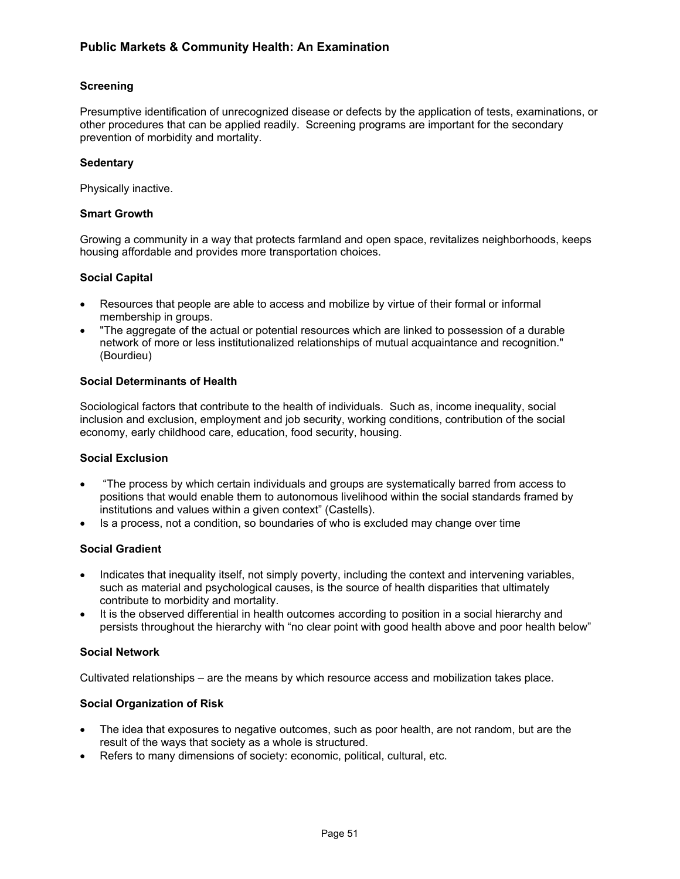# **Screening**

Presumptive identification of unrecognized disease or defects by the application of tests, examinations, or other procedures that can be applied readily. Screening programs are important for the secondary prevention of morbidity and mortality.

## **Sedentary**

Physically inactive.

## **Smart Growth**

Growing a community in a way that protects farmland and open space, revitalizes neighborhoods, keeps housing affordable and provides more transportation choices.

## **Social Capital**

- Resources that people are able to access and mobilize by virtue of their formal or informal membership in groups.
- "The aggregate of the actual or potential resources which are linked to possession of a durable network of more or less institutionalized relationships of mutual acquaintance and recognition." (Bourdieu)

## **Social Determinants of Health**

Sociological factors that contribute to the health of individuals. Such as, income inequality, social inclusion and exclusion, employment and job security, working conditions, contribution of the social economy, early childhood care, education, food security, housing.

## **Social Exclusion**

- "The process by which certain individuals and groups are systematically barred from access to positions that would enable them to autonomous livelihood within the social standards framed by institutions and values within a given context" (Castells).
- Is a process, not a condition, so boundaries of who is excluded may change over time

## **Social Gradient**

- Indicates that inequality itself, not simply poverty, including the context and intervening variables, such as material and psychological causes, is the source of health disparities that ultimately contribute to morbidity and mortality.
- It is the observed differential in health outcomes according to position in a social hierarchy and persists throughout the hierarchy with "no clear point with good health above and poor health below"

#### **Social Network**

Cultivated relationships – are the means by which resource access and mobilization takes place.

## **Social Organization of Risk**

- The idea that exposures to negative outcomes, such as poor health, are not random, but are the result of the ways that society as a whole is structured.
- Refers to many dimensions of society: economic, political, cultural, etc.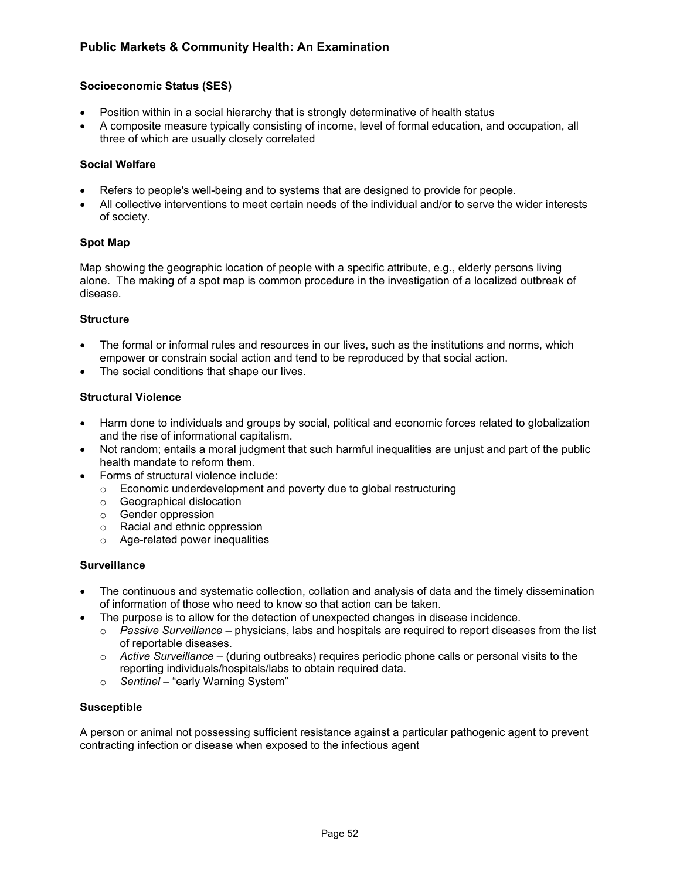# **Socioeconomic Status (SES)**

- Position within in a social hierarchy that is strongly determinative of health status
- A composite measure typically consisting of income, level of formal education, and occupation, all three of which are usually closely correlated

## **Social Welfare**

- Refers to people's well-being and to systems that are designed to provide for people.
- All collective interventions to meet certain needs of the individual and/or to serve the wider interests of society.

## **Spot Map**

Map showing the geographic location of people with a specific attribute, e.g., elderly persons living alone. The making of a spot map is common procedure in the investigation of a localized outbreak of disease.

## **Structure**

- The formal or informal rules and resources in our lives, such as the institutions and norms, which empower or constrain social action and tend to be reproduced by that social action.
- The social conditions that shape our lives.

## **Structural Violence**

- Harm done to individuals and groups by social, political and economic forces related to globalization and the rise of informational capitalism.
- Not random; entails a moral judgment that such harmful inequalities are unjust and part of the public health mandate to reform them.
- Forms of structural violence include:
	- o Economic underdevelopment and poverty due to global restructuring
	- o Geographical dislocation
	- o Gender oppression
	- o Racial and ethnic oppression
	- o Age-related power inequalities

## **Surveillance**

- The continuous and systematic collection, collation and analysis of data and the timely dissemination of information of those who need to know so that action can be taken.
- The purpose is to allow for the detection of unexpected changes in disease incidence.
	- o *Passive Surveillance* physicians, labs and hospitals are required to report diseases from the list of reportable diseases.
	- o *Active Surveillance* (during outbreaks) requires periodic phone calls or personal visits to the reporting individuals/hospitals/labs to obtain required data.
	- o *Sentinel* "early Warning System"

#### **Susceptible**

A person or animal not possessing sufficient resistance against a particular pathogenic agent to prevent contracting infection or disease when exposed to the infectious agent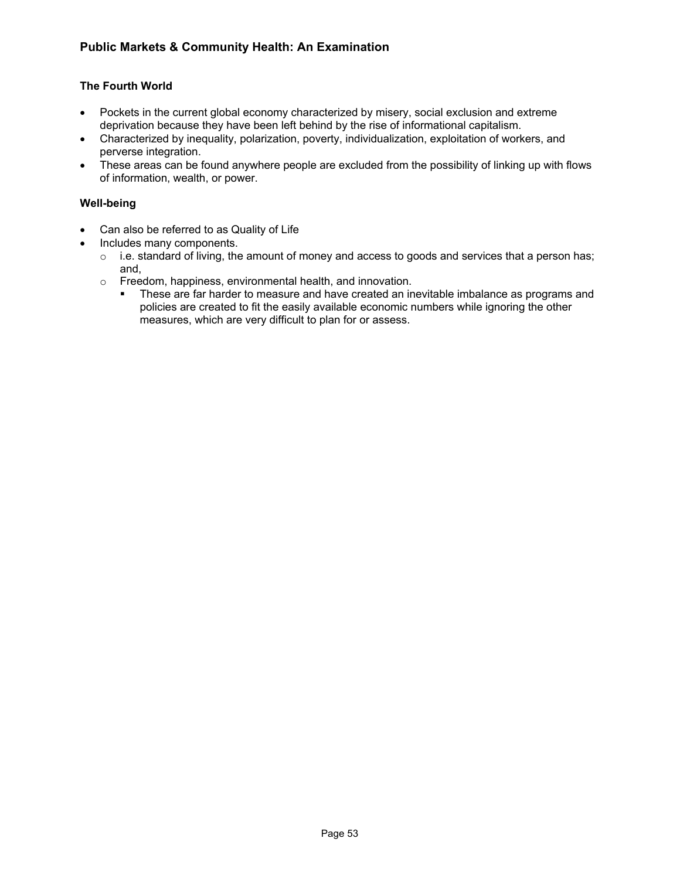# **The Fourth World**

- Pockets in the current global economy characterized by misery, social exclusion and extreme deprivation because they have been left behind by the rise of informational capitalism.
- Characterized by inequality, polarization, poverty, individualization, exploitation of workers, and perverse integration.
- These areas can be found anywhere people are excluded from the possibility of linking up with flows of information, wealth, or power.

## **Well-being**

- Can also be referred to as Quality of Life
- Includes many components.
	- o i.e. standard of living, the amount of money and access to goods and services that a person has; and,
	- o Freedom, happiness, environmental health, and innovation.
		- These are far harder to measure and have created an inevitable imbalance as programs and policies are created to fit the easily available economic numbers while ignoring the other measures, which are very difficult to plan for or assess.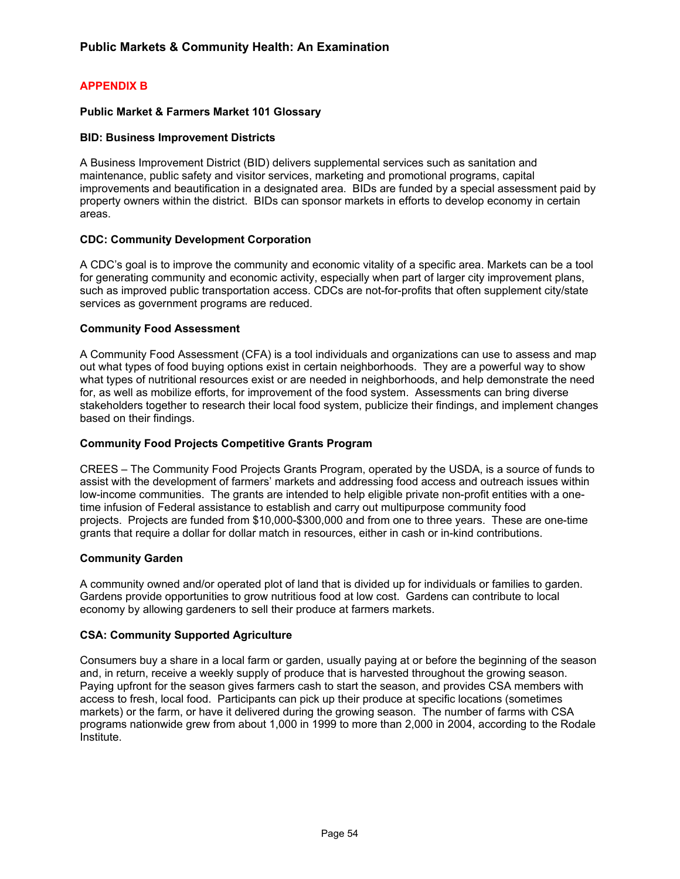# **APPENDIX B**

## **Public Market & Farmers Market 101 Glossary**

## **BID: Business Improvement Districts**

A Business Improvement District (BID) delivers supplemental services such as sanitation and maintenance, public safety and visitor services, marketing and promotional programs, capital improvements and beautification in a designated area. BIDs are funded by a special assessment paid by property owners within the district. BIDs can sponsor markets in efforts to develop economy in certain areas.

## **CDC: Community Development Corporation**

A CDC's goal is to improve the community and economic vitality of a specific area. Markets can be a tool for generating community and economic activity, especially when part of larger city improvement plans, such as improved public transportation access. CDCs are not-for-profits that often supplement city/state services as government programs are reduced.

## **Community Food Assessment**

A Community Food Assessment (CFA) is a tool individuals and organizations can use to assess and map out what types of food buying options exist in certain neighborhoods. They are a powerful way to show what types of nutritional resources exist or are needed in neighborhoods, and help demonstrate the need for, as well as mobilize efforts, for improvement of the food system. Assessments can bring diverse stakeholders together to research their local food system, publicize their findings, and implement changes based on their findings.

## **Community Food Projects Competitive Grants Program**

CREES – The Community Food Projects Grants Program, operated by the USDA, is a source of funds to assist with the development of farmers' markets and addressing food access and outreach issues within low-income communities. The grants are intended to help eligible private non-profit entities with a onetime infusion of Federal assistance to establish and carry out multipurpose community food projects. Projects are funded from \$10,000-\$300,000 and from one to three years. These are one-time grants that require a dollar for dollar match in resources, either in cash or in-kind contributions.

#### **Community Garden**

A community owned and/or operated plot of land that is divided up for individuals or families to garden. Gardens provide opportunities to grow nutritious food at low cost. Gardens can contribute to local economy by allowing gardeners to sell their produce at farmers markets.

#### **CSA: Community Supported Agriculture**

Consumers buy a share in a local farm or garden, usually paying at or before the beginning of the season and, in return, receive a weekly supply of produce that is harvested throughout the growing season. Paying upfront for the season gives farmers cash to start the season, and provides CSA members with access to fresh, local food. Participants can pick up their produce at specific locations (sometimes markets) or the farm, or have it delivered during the growing season. The number of farms with CSA programs nationwide grew from about 1,000 in 1999 to more than 2,000 in 2004, according to the Rodale Institute.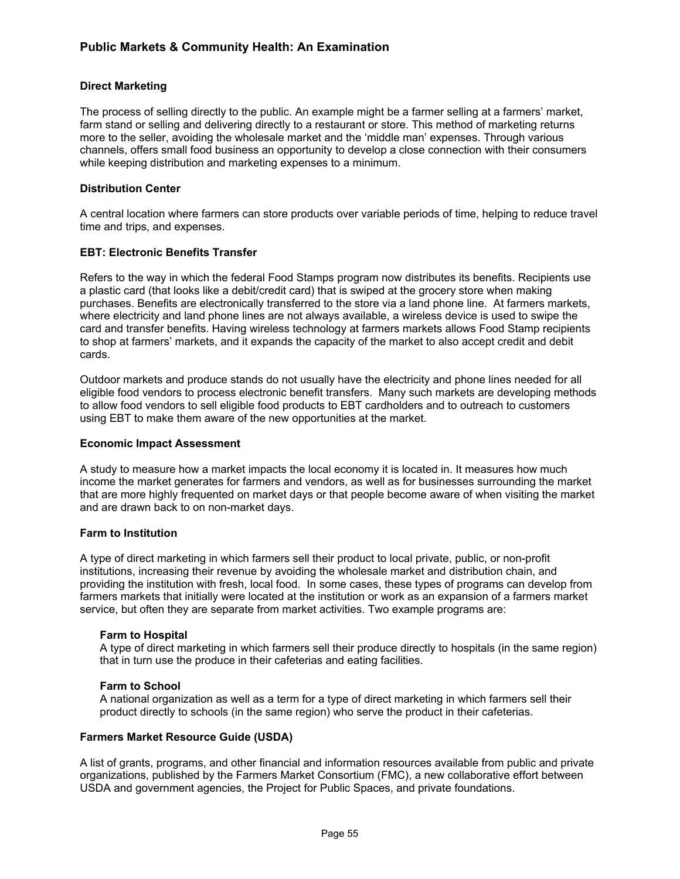## **Direct Marketing**

The process of selling directly to the public. An example might be a farmer selling at a farmers' market, farm stand or selling and delivering directly to a restaurant or store. This method of marketing returns more to the seller, avoiding the wholesale market and the 'middle man' expenses. Through various channels, offers small food business an opportunity to develop a close connection with their consumers while keeping distribution and marketing expenses to a minimum.

## **Distribution Center**

A central location where farmers can store products over variable periods of time, helping to reduce travel time and trips, and expenses.

## **EBT: Electronic Benefits Transfer**

Refers to the way in which the federal Food Stamps program now distributes its benefits. Recipients use a plastic card (that looks like a debit/credit card) that is swiped at the grocery store when making purchases. Benefits are electronically transferred to the store via a land phone line. At farmers markets, where electricity and land phone lines are not always available, a wireless device is used to swipe the card and transfer benefits. Having wireless technology at farmers markets allows Food Stamp recipients to shop at farmers' markets, and it expands the capacity of the market to also accept credit and debit cards.

Outdoor markets and produce stands do not usually have the electricity and phone lines needed for all eligible food vendors to process electronic benefit transfers. Many such markets are developing methods to allow food vendors to sell eligible food products to EBT cardholders and to outreach to customers using EBT to make them aware of the new opportunities at the market.

#### **Economic Impact Assessment**

A study to measure how a market impacts the local economy it is located in. It measures how much income the market generates for farmers and vendors, as well as for businesses surrounding the market that are more highly frequented on market days or that people become aware of when visiting the market and are drawn back to on non-market days.

#### **Farm to Institution**

A type of direct marketing in which farmers sell their product to local private, public, or non-profit institutions, increasing their revenue by avoiding the wholesale market and distribution chain, and providing the institution with fresh, local food. In some cases, these types of programs can develop from farmers markets that initially were located at the institution or work as an expansion of a farmers market service, but often they are separate from market activities. Two example programs are:

#### **Farm to Hospital**

A type of direct marketing in which farmers sell their produce directly to hospitals (in the same region) that in turn use the produce in their cafeterias and eating facilities.

#### **Farm to School**

A national organization as well as a term for a type of direct marketing in which farmers sell their product directly to schools (in the same region) who serve the product in their cafeterias.

#### **Farmers Market Resource Guide (USDA)**

A list of grants, programs, and other financial and information resources available from public and private organizations, published by the Farmers Market Consortium (FMC), a new collaborative effort between USDA and government agencies, the Project for Public Spaces, and private foundations.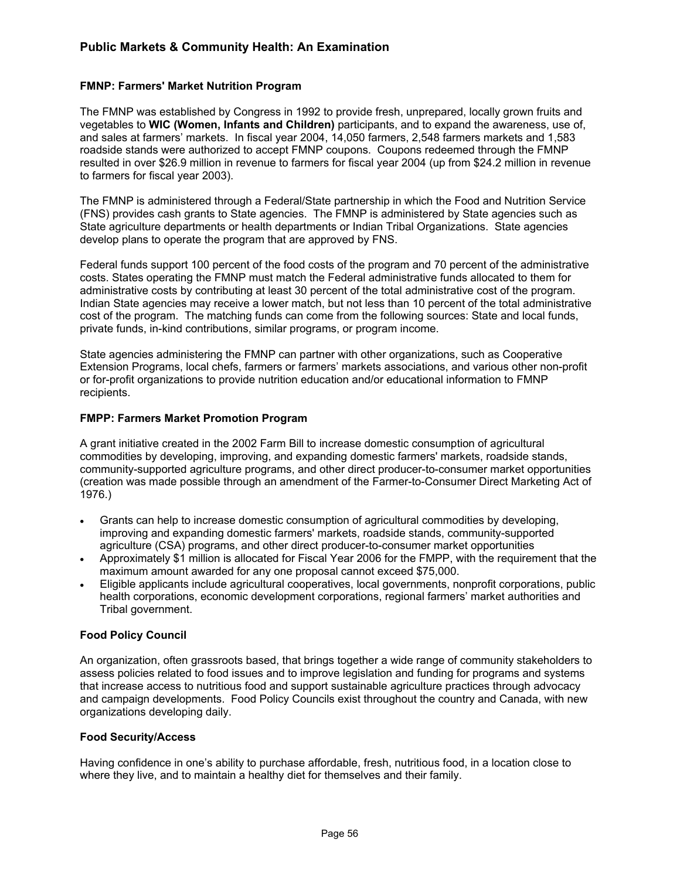## **FMNP: Farmers' Market Nutrition Program**

The FMNP was established by Congress in 1992 to provide fresh, unprepared, locally grown fruits and vegetables to **WIC (Women, Infants and Children)** participants, and to expand the awareness, use of, and sales at farmers' markets. In fiscal year 2004, 14,050 farmers, 2,548 farmers markets and 1,583 roadside stands were authorized to accept FMNP coupons. Coupons redeemed through the FMNP resulted in over \$26.9 million in revenue to farmers for fiscal year 2004 (up from \$24.2 million in revenue to farmers for fiscal year 2003).

The FMNP is administered through a Federal/State partnership in which the Food and Nutrition Service (FNS) provides cash grants to State agencies. The FMNP is administered by State agencies such as State agriculture departments or health departments or Indian Tribal Organizations. State agencies develop plans to operate the program that are approved by FNS.

Federal funds support 100 percent of the food costs of the program and 70 percent of the administrative costs. States operating the FMNP must match the Federal administrative funds allocated to them for administrative costs by contributing at least 30 percent of the total administrative cost of the program. Indian State agencies may receive a lower match, but not less than 10 percent of the total administrative cost of the program. The matching funds can come from the following sources: State and local funds, private funds, in-kind contributions, similar programs, or program income.

State agencies administering the FMNP can partner with other organizations, such as Cooperative Extension Programs, local chefs, farmers or farmers' markets associations, and various other non-profit or for-profit organizations to provide nutrition education and/or educational information to FMNP recipients.

#### **FMPP: Farmers Market Promotion Program**

A grant initiative created in the 2002 Farm Bill to increase domestic consumption of agricultural commodities by developing, improving, and expanding domestic farmers' markets, roadside stands, community-supported agriculture programs, and other direct producer-to-consumer market opportunities (creation was made possible through an amendment of the Farmer-to-Consumer Direct Marketing Act of 1976.)

- Grants can help to increase domestic consumption of agricultural commodities by developing, improving and expanding domestic farmers' markets, roadside stands, community-supported agriculture (CSA) programs, and other direct producer-to-consumer market opportunities
- Approximately \$1 million is allocated for Fiscal Year 2006 for the FMPP, with the requirement that the maximum amount awarded for any one proposal cannot exceed \$75,000.
- Eligible applicants include agricultural cooperatives, local governments, nonprofit corporations, public health corporations, economic development corporations, regional farmers' market authorities and Tribal government.

#### **Food Policy Council**

An organization, often grassroots based, that brings together a wide range of community stakeholders to assess policies related to food issues and to improve legislation and funding for programs and systems that increase access to nutritious food and support sustainable agriculture practices through advocacy and campaign developments. Food Policy Councils exist throughout the country and Canada, with new organizations developing daily.

#### **Food Security/Access**

Having confidence in one's ability to purchase affordable, fresh, nutritious food, in a location close to where they live, and to maintain a healthy diet for themselves and their family.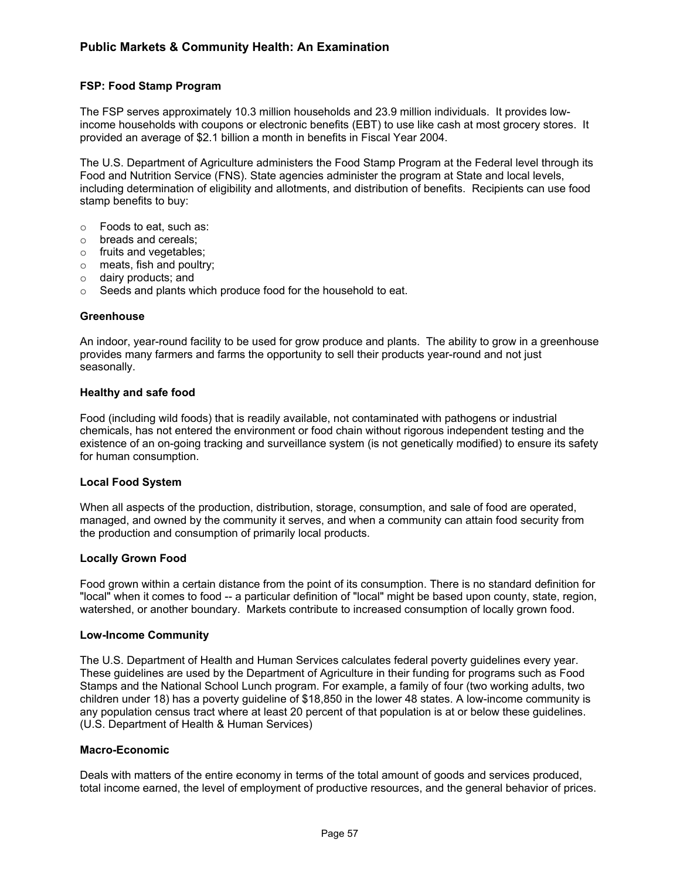# **FSP: Food Stamp Program**

The FSP serves approximately 10.3 million households and 23.9 million individuals. It provides lowincome households with coupons or electronic benefits (EBT) to use like cash at most grocery stores. It provided an average of \$2.1 billion a month in benefits in Fiscal Year 2004.

The U.S. Department of Agriculture administers the Food Stamp Program at the Federal level through its Food and Nutrition Service (FNS). State agencies administer the program at State and local levels, including determination of eligibility and allotments, and distribution of benefits. Recipients can use food stamp benefits to buy:

- o Foods to eat, such as:
- o breads and cereals;
- o fruits and vegetables;
- o meats, fish and poultry;
- o dairy products; and
- o Seeds and plants which produce food for the household to eat.

#### **Greenhouse**

An indoor, year-round facility to be used for grow produce and plants. The ability to grow in a greenhouse provides many farmers and farms the opportunity to sell their products year-round and not just seasonally.

#### **Healthy and safe food**

Food (including wild foods) that is readily available, not contaminated with pathogens or industrial chemicals, has not entered the environment or food chain without rigorous independent testing and the existence of an on-going tracking and surveillance system (is not genetically modified) to ensure its safety for human consumption.

#### **Local Food System**

When all aspects of the production, distribution, storage, consumption, and sale of food are operated, managed, and owned by the community it serves, and when a community can attain food security from the production and consumption of primarily local products.

#### **Locally Grown Food**

Food grown within a certain distance from the point of its consumption. There is no standard definition for "local" when it comes to food -- a particular definition of "local" might be based upon county, state, region, watershed, or another boundary. Markets contribute to increased consumption of locally grown food.

#### **Low-Income Community**

The U.S. Department of Health and Human Services calculates federal poverty guidelines every year. These guidelines are used by the Department of Agriculture in their funding for programs such as Food Stamps and the National School Lunch program. For example, a family of four (two working adults, two children under 18) has a poverty guideline of \$18,850 in the lower 48 states. A low-income community is any population census tract where at least 20 percent of that population is at or below these guidelines. (U.S. Department of Health & Human Services)

#### **Macro-Economic**

Deals with matters of the entire economy in terms of the total amount of goods and services produced, total income earned, the level of employment of productive resources, and the general behavior of prices.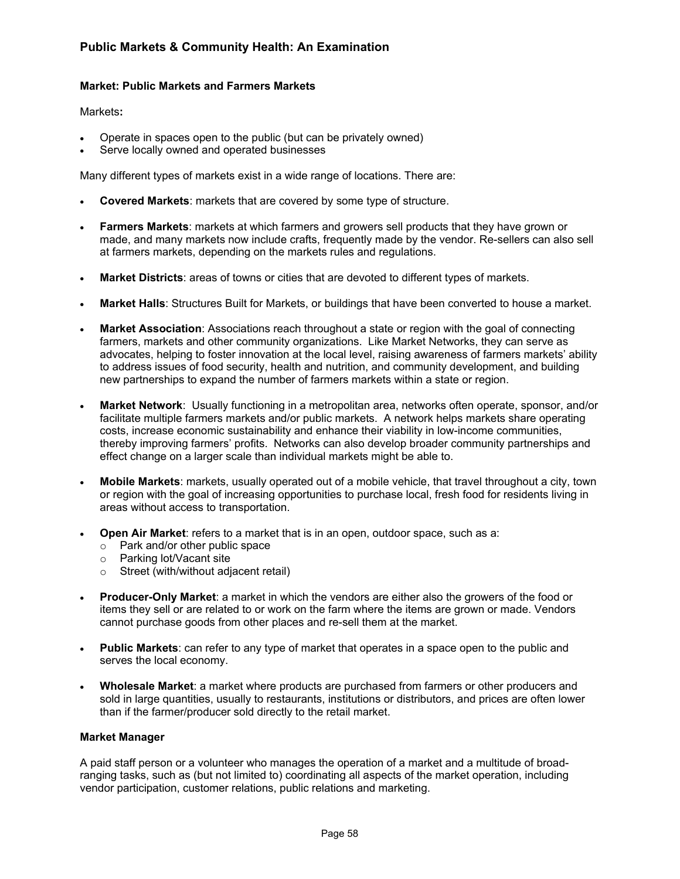## **Market: Public Markets and Farmers Markets**

Markets**:**

- Operate in spaces open to the public (but can be privately owned)
- Serve locally owned and operated businesses

Many different types of markets exist in a wide range of locations. There are:

- **Covered Markets**: markets that are covered by some type of structure.
- **Farmers Markets**: markets at which farmers and growers sell products that they have grown or made, and many markets now include crafts, frequently made by the vendor. Re-sellers can also sell at farmers markets, depending on the markets rules and regulations.
- **Market Districts**: areas of towns or cities that are devoted to different types of markets.
- **Market Halls**: Structures Built for Markets, or buildings that have been converted to house a market.
- **Market Association**: Associations reach throughout a state or region with the goal of connecting farmers, markets and other community organizations. Like Market Networks, they can serve as advocates, helping to foster innovation at the local level, raising awareness of farmers markets' ability to address issues of food security, health and nutrition, and community development, and building new partnerships to expand the number of farmers markets within a state or region.
- **Market Network**: Usually functioning in a metropolitan area, networks often operate, sponsor, and/or facilitate multiple farmers markets and/or public markets. A network helps markets share operating costs, increase economic sustainability and enhance their viability in low-income communities, thereby improving farmers' profits. Networks can also develop broader community partnerships and effect change on a larger scale than individual markets might be able to.
- **Mobile Markets**: markets, usually operated out of a mobile vehicle, that travel throughout a city, town or region with the goal of increasing opportunities to purchase local, fresh food for residents living in areas without access to transportation.
- **Open Air Market:** refers to a market that is in an open, outdoor space, such as a:
	- o Park and/or other public space
	- o Parking lot/Vacant site
	- o Street (with/without adjacent retail)
- **Producer-Only Market**: a market in which the vendors are either also the growers of the food or items they sell or are related to or work on the farm where the items are grown or made. Vendors cannot purchase goods from other places and re-sell them at the market.
- **Public Markets**: can refer to any type of market that operates in a space open to the public and serves the local economy.
- **Wholesale Market**: a market where products are purchased from farmers or other producers and sold in large quantities, usually to restaurants, institutions or distributors, and prices are often lower than if the farmer/producer sold directly to the retail market.

#### **Market Manager**

A paid staff person or a volunteer who manages the operation of a market and a multitude of broadranging tasks, such as (but not limited to) coordinating all aspects of the market operation, including vendor participation, customer relations, public relations and marketing.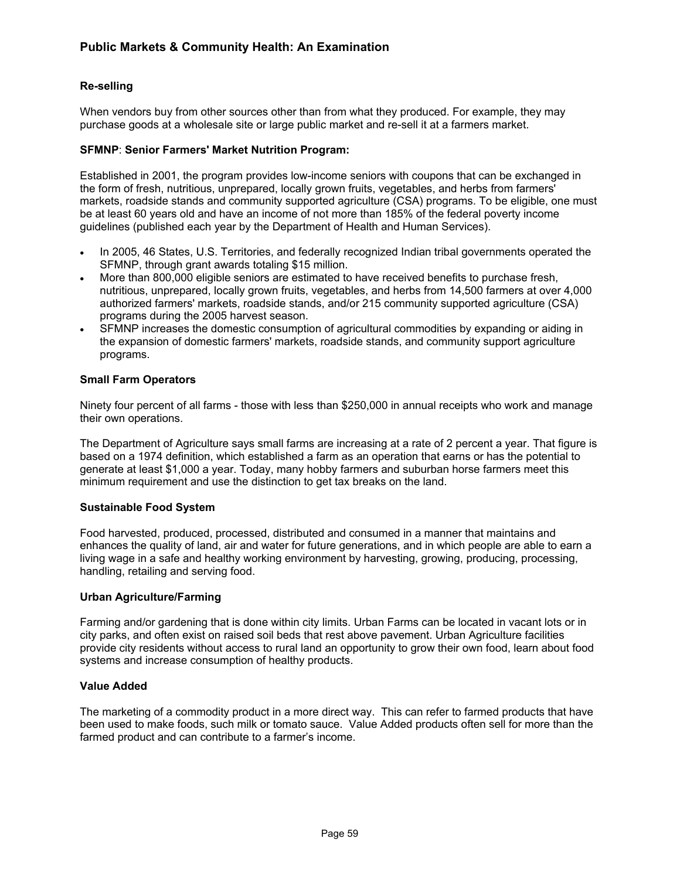# **Re-selling**

When vendors buy from other sources other than from what they produced. For example, they may purchase goods at a wholesale site or large public market and re-sell it at a farmers market.

## **SFMNP**: **Senior Farmers' Market Nutrition Program:**

Established in 2001, the program provides low-income seniors with coupons that can be exchanged in the form of fresh, nutritious, unprepared, locally grown fruits, vegetables, and herbs from farmers' markets, roadside stands and community supported agriculture (CSA) programs. To be eligible, one must be at least 60 years old and have an income of not more than 185% of the federal poverty income guidelines (published each year by the Department of Health and Human Services).

- In 2005, 46 States, U.S. Territories, and federally recognized Indian tribal governments operated the SFMNP, through grant awards totaling \$15 million.
- More than 800,000 eligible seniors are estimated to have received benefits to purchase fresh, nutritious, unprepared, locally grown fruits, vegetables, and herbs from 14,500 farmers at over 4,000 authorized farmers' markets, roadside stands, and/or 215 community supported agriculture (CSA) programs during the 2005 harvest season.
- SFMNP increases the domestic consumption of agricultural commodities by expanding or aiding in the expansion of domestic farmers' markets, roadside stands, and community support agriculture programs.

## **Small Farm Operators**

Ninety four percent of all farms - those with less than \$250,000 in annual receipts who work and manage their own operations.

The Department of Agriculture says small farms are increasing at a rate of 2 percent a year. That figure is based on a 1974 definition, which established a farm as an operation that earns or has the potential to generate at least \$1,000 a year. Today, many hobby farmers and suburban horse farmers meet this minimum requirement and use the distinction to get tax breaks on the land.

#### **Sustainable Food System**

Food harvested, produced, processed, distributed and consumed in a manner that maintains and enhances the quality of land, air and water for future generations, and in which people are able to earn a living wage in a safe and healthy working environment by harvesting, growing, producing, processing, handling, retailing and serving food.

#### **Urban Agriculture/Farming**

Farming and/or gardening that is done within city limits. Urban Farms can be located in vacant lots or in city parks, and often exist on raised soil beds that rest above pavement. Urban Agriculture facilities provide city residents without access to rural land an opportunity to grow their own food, learn about food systems and increase consumption of healthy products.

#### **Value Added**

The marketing of a commodity product in a more direct way. This can refer to farmed products that have been used to make foods, such milk or tomato sauce. Value Added products often sell for more than the farmed product and can contribute to a farmer's income.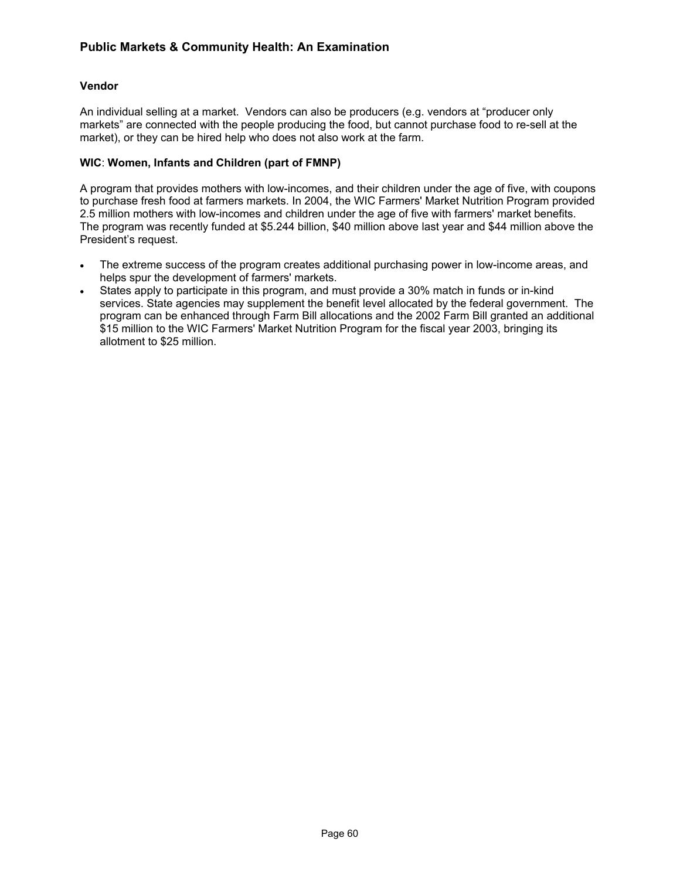# **Vendor**

An individual selling at a market. Vendors can also be producers (e.g. vendors at "producer only markets" are connected with the people producing the food, but cannot purchase food to re-sell at the market), or they can be hired help who does not also work at the farm.

## **WIC**: **Women, Infants and Children (part of FMNP)**

A program that provides mothers with low-incomes, and their children under the age of five, with coupons to purchase fresh food at farmers markets. In 2004, the WIC Farmers' Market Nutrition Program provided 2.5 million mothers with low-incomes and children under the age of five with farmers' market benefits. The program was recently funded at \$5.244 billion, \$40 million above last year and \$44 million above the President's request.

- The extreme success of the program creates additional purchasing power in low-income areas, and helps spur the development of farmers' markets.
- States apply to participate in this program, and must provide a 30% match in funds or in-kind services. State agencies may supplement the benefit level allocated by the federal government. The program can be enhanced through Farm Bill allocations and the 2002 Farm Bill granted an additional \$15 million to the WIC Farmers' Market Nutrition Program for the fiscal year 2003, bringing its allotment to \$25 million.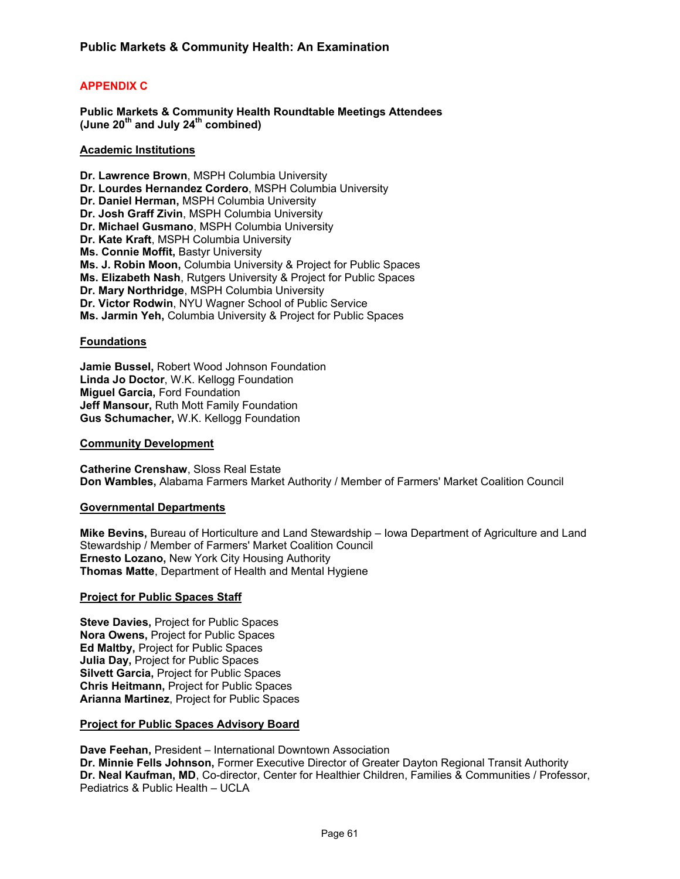# **APPENDIX C**

**Public Markets & Community Health Roundtable Meetings Attendees (June 20th and July 24th combined)** 

## **Academic Institutions**

**Dr. Lawrence Brown**, MSPH Columbia University **Dr. Lourdes Hernandez Cordero**, MSPH Columbia University **Dr. Daniel Herman,** MSPH Columbia University **Dr. Josh Graff Zivin**, MSPH Columbia University **Dr. Michael Gusmano**, MSPH Columbia University **Dr. Kate Kraft**, MSPH Columbia University **Ms. Connie Moffit,** Bastyr University **Ms. J. Robin Moon,** Columbia University & Project for Public Spaces **Ms. Elizabeth Nash**, Rutgers University & Project for Public Spaces **Dr. Mary Northridge**, MSPH Columbia University **Dr. Victor Rodwin**, NYU Wagner School of Public Service **Ms. Jarmin Yeh,** Columbia University & Project for Public Spaces

## **Foundations**

**Jamie Bussel,** Robert Wood Johnson Foundation **Linda Jo Doctor**, W.K. Kellogg Foundation **Miguel Garcia, Ford Foundation Jeff Mansour,** Ruth Mott Family Foundation **Gus Schumacher,** W.K. Kellogg Foundation

#### **Community Development**

**Catherine Crenshaw**, Sloss Real Estate **Don Wambles,** Alabama Farmers Market Authority / Member of Farmers' Market Coalition Council

#### **Governmental Departments**

**Mike Bevins,** Bureau of Horticulture and Land Stewardship – Iowa Department of Agriculture and Land Stewardship / Member of Farmers' Market Coalition Council **Ernesto Lozano,** New York City Housing Authority **Thomas Matte**, Department of Health and Mental Hygiene

#### **Project for Public Spaces Staff**

**Steve Davies,** Project for Public Spaces **Nora Owens,** Project for Public Spaces **Ed Maltby,** Project for Public Spaces **Julia Day,** Project for Public Spaces **Silvett Garcia,** Project for Public Spaces **Chris Heitmann,** Project for Public Spaces **Arianna Martinez**, Project for Public Spaces

#### **Project for Public Spaces Advisory Board**

**Dave Feehan,** President – International Downtown Association **Dr. Minnie Fells Johnson,** Former Executive Director of Greater Dayton Regional Transit Authority **Dr. Neal Kaufman, MD**, Co-director, Center for Healthier Children, Families & Communities / Professor, Pediatrics & Public Health – UCLA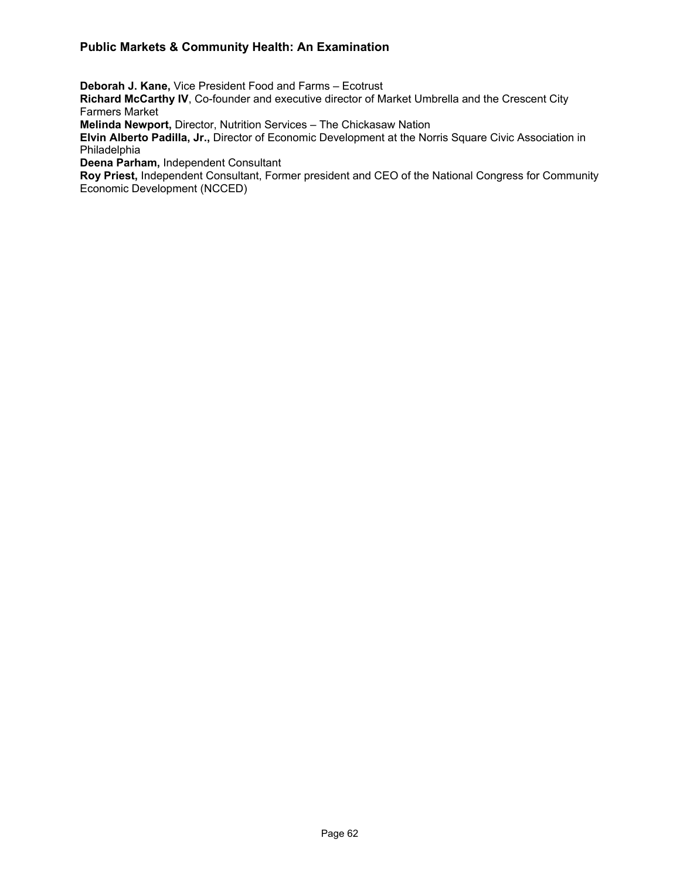**Deborah J. Kane,** Vice President Food and Farms – Ecotrust

**Richard McCarthy IV**, Co-founder and executive director of Market Umbrella and the Crescent City Farmers Market

**Melinda Newport,** Director, Nutrition Services – The Chickasaw Nation

**Elvin Alberto Padilla, Jr.,** Director of Economic Development at the Norris Square Civic Association in Philadelphia

**Deena Parham,** Independent Consultant

**Roy Priest,** Independent Consultant, Former president and CEO of the National Congress for Community Economic Development (NCCED)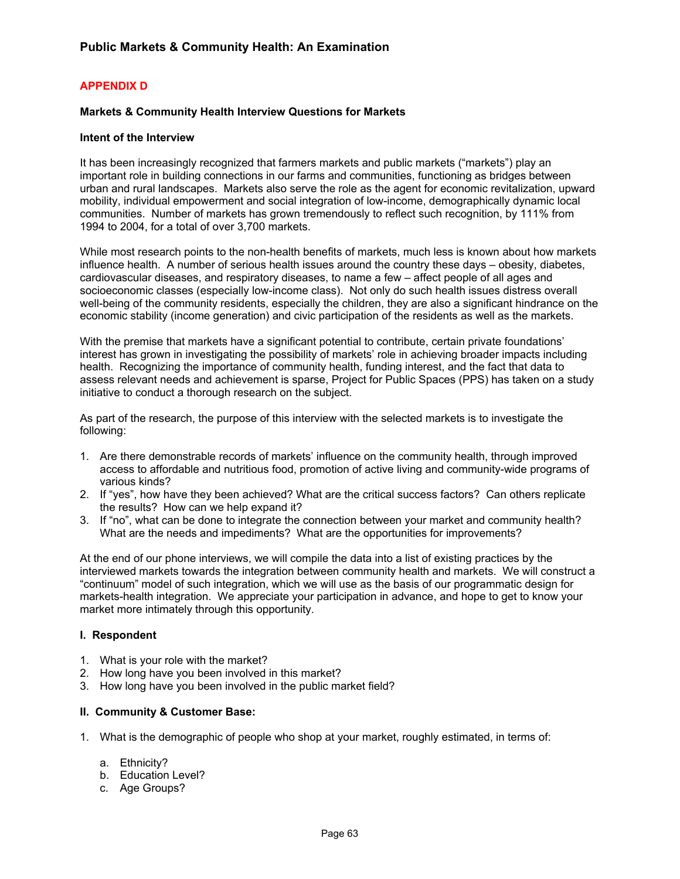# **APPENDIX D**

## **Markets & Community Health Interview Questions for Markets**

#### **Intent of the Interview**

It has been increasingly recognized that farmers markets and public markets ("markets") play an important role in building connections in our farms and communities, functioning as bridges between urban and rural landscapes. Markets also serve the role as the agent for economic revitalization, upward mobility, individual empowerment and social integration of low-income, demographically dynamic local communities. Number of markets has grown tremendously to reflect such recognition, by 111% from 1994 to 2004, for a total of over 3,700 markets.

While most research points to the non-health benefits of markets, much less is known about how markets influence health. A number of serious health issues around the country these days – obesity, diabetes, cardiovascular diseases, and respiratory diseases, to name a few – affect people of all ages and socioeconomic classes (especially low-income class). Not only do such health issues distress overall well-being of the community residents, especially the children, they are also a significant hindrance on the economic stability (income generation) and civic participation of the residents as well as the markets.

With the premise that markets have a significant potential to contribute, certain private foundations' interest has grown in investigating the possibility of markets' role in achieving broader impacts including health. Recognizing the importance of community health, funding interest, and the fact that data to assess relevant needs and achievement is sparse, Project for Public Spaces (PPS) has taken on a study initiative to conduct a thorough research on the subject.

As part of the research, the purpose of this interview with the selected markets is to investigate the following:

- 1. Are there demonstrable records of markets' influence on the community health, through improved access to affordable and nutritious food, promotion of active living and community-wide programs of various kinds?
- 2. If "yes", how have they been achieved? What are the critical success factors? Can others replicate the results? How can we help expand it?
- 3. If "no", what can be done to integrate the connection between your market and community health? What are the needs and impediments? What are the opportunities for improvements?

At the end of our phone interviews, we will compile the data into a list of existing practices by the interviewed markets towards the integration between community health and markets. We will construct a "continuum" model of such integration, which we will use as the basis of our programmatic design for markets-health integration. We appreciate your participation in advance, and hope to get to know your market more intimately through this opportunity.

#### **I. Respondent**

- 1. What is your role with the market?
- 2. How long have you been involved in this market?
- 3. How long have you been involved in the public market field?

#### **II. Community & Customer Base:**

- 1. What is the demographic of people who shop at your market, roughly estimated, in terms of:
	- a. Ethnicity?
	- b. Education Level?
	- c. Age Groups?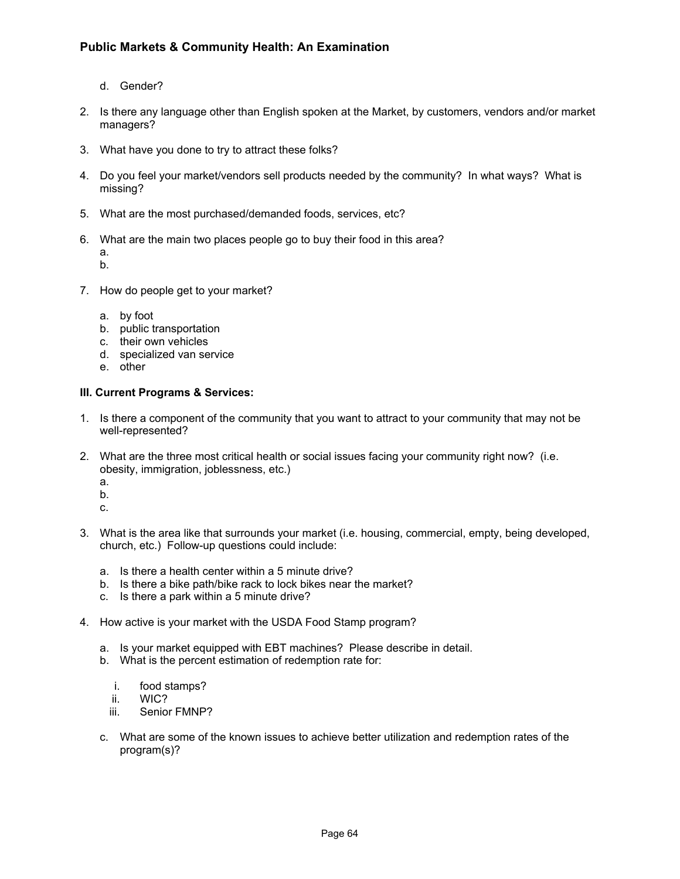- d. Gender?
- 2. Is there any language other than English spoken at the Market, by customers, vendors and/or market managers?
- 3. What have you done to try to attract these folks?
- 4. Do you feel your market/vendors sell products needed by the community? In what ways? What is missing?
- 5. What are the most purchased/demanded foods, services, etc?
- 6. What are the main two places people go to buy their food in this area?

a. b.

- 7. How do people get to your market?
	- a. by foot
	- b. public transportation
	- c. their own vehicles
	- d. specialized van service
	- e. other

## **III. Current Programs & Services:**

- 1. Is there a component of the community that you want to attract to your community that may not be well-represented?
- 2. What are the three most critical health or social issues facing your community right now? (i.e. obesity, immigration, joblessness, etc.)
	- a.
	- b.
	- c.
- 3. What is the area like that surrounds your market (i.e. housing, commercial, empty, being developed, church, etc.) Follow-up questions could include:
	- a. Is there a health center within a 5 minute drive?
	- b. Is there a bike path/bike rack to lock bikes near the market?
	- c. Is there a park within a 5 minute drive?
- 4. How active is your market with the USDA Food Stamp program?
	- a. Is your market equipped with EBT machines? Please describe in detail.
	- b. What is the percent estimation of redemption rate for:
		- i. food stamps?
		- ii. WIC?
		- iii. Senior FMNP?
	- c. What are some of the known issues to achieve better utilization and redemption rates of the program(s)?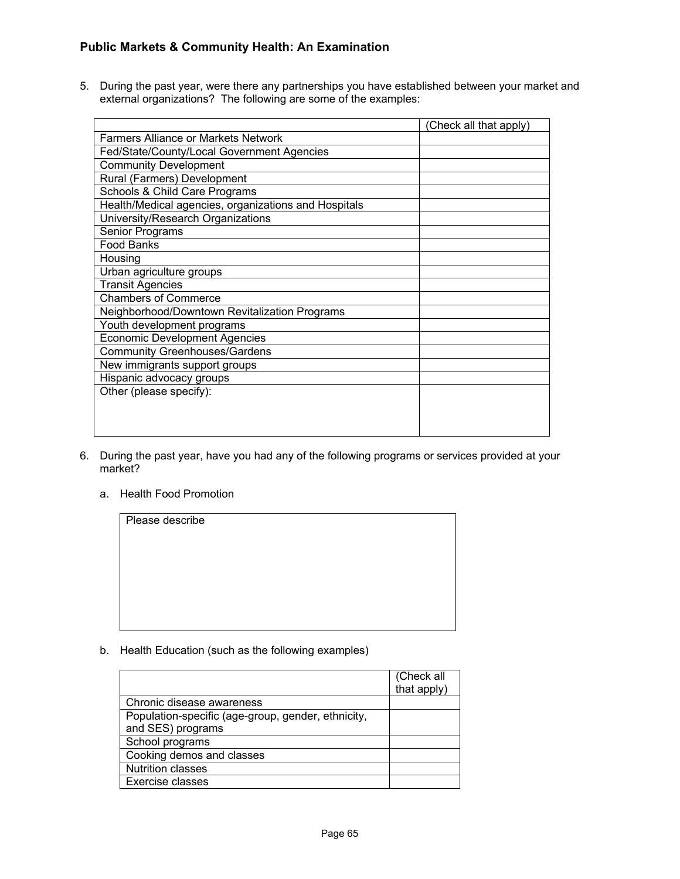5. During the past year, were there any partnerships you have established between your market and external organizations? The following are some of the examples:

|                                                      | (Check all that apply) |
|------------------------------------------------------|------------------------|
| <b>Farmers Alliance or Markets Network</b>           |                        |
| Fed/State/County/Local Government Agencies           |                        |
| <b>Community Development</b>                         |                        |
| Rural (Farmers) Development                          |                        |
| Schools & Child Care Programs                        |                        |
| Health/Medical agencies, organizations and Hospitals |                        |
| University/Research Organizations                    |                        |
| Senior Programs                                      |                        |
| <b>Food Banks</b>                                    |                        |
| Housing                                              |                        |
| Urban agriculture groups                             |                        |
| <b>Transit Agencies</b>                              |                        |
| <b>Chambers of Commerce</b>                          |                        |
| Neighborhood/Downtown Revitalization Programs        |                        |
| Youth development programs                           |                        |
| <b>Economic Development Agencies</b>                 |                        |
| <b>Community Greenhouses/Gardens</b>                 |                        |
| New immigrants support groups                        |                        |
| Hispanic advocacy groups                             |                        |
| Other (please specify):                              |                        |
|                                                      |                        |
|                                                      |                        |
|                                                      |                        |

- 6. During the past year, have you had any of the following programs or services provided at your market?
	- a. Health Food Promotion

| Please describe |  |  |
|-----------------|--|--|
|                 |  |  |
|                 |  |  |
|                 |  |  |
|                 |  |  |
|                 |  |  |
|                 |  |  |

b. Health Education (such as the following examples)

|                                                    | (Check all<br>that apply) |
|----------------------------------------------------|---------------------------|
| Chronic disease awareness                          |                           |
| Population-specific (age-group, gender, ethnicity, |                           |
| and SES) programs                                  |                           |
| School programs                                    |                           |
| Cooking demos and classes                          |                           |
| <b>Nutrition classes</b>                           |                           |
| Exercise classes                                   |                           |
|                                                    |                           |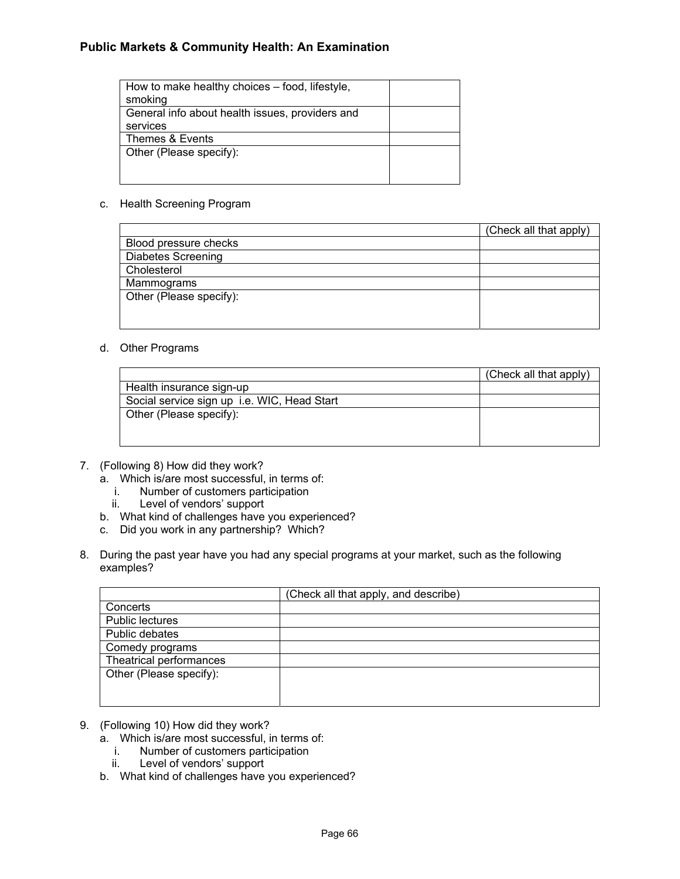| How to make healthy choices – food, lifestyle,  |  |
|-------------------------------------------------|--|
| smoking                                         |  |
| General info about health issues, providers and |  |
| services                                        |  |
| Themes & Events                                 |  |
| Other (Please specify):                         |  |
|                                                 |  |
|                                                 |  |

## c. Health Screening Program

|                           | (Check all that apply) |
|---------------------------|------------------------|
| Blood pressure checks     |                        |
| <b>Diabetes Screening</b> |                        |
| Cholesterol               |                        |
| Mammograms                |                        |
| Other (Please specify):   |                        |
|                           |                        |
|                           |                        |

## d. Other Programs

|                                             | (Check all that apply) |
|---------------------------------------------|------------------------|
| Health insurance sign-up                    |                        |
| Social service sign up i.e. WIC, Head Start |                        |
| Other (Please specify):                     |                        |
|                                             |                        |
|                                             |                        |

## 7. (Following 8) How did they work?

- a. Which is/are most successful, in terms of:
	- i. Number of customers participation<br>ii. Level of vendors' support
	- Level of vendors' support
- b. What kind of challenges have you experienced?
- c. Did you work in any partnership? Which?
- 8. During the past year have you had any special programs at your market, such as the following examples?

|                         | (Check all that apply, and describe) |
|-------------------------|--------------------------------------|
| Concerts                |                                      |
| <b>Public lectures</b>  |                                      |
| Public debates          |                                      |
| Comedy programs         |                                      |
| Theatrical performances |                                      |
| Other (Please specify): |                                      |
|                         |                                      |
|                         |                                      |

- 9. (Following 10) How did they work?
	- a. Which is/are most successful, in terms of:
		- i. Number of customers participation<br>ii. Level of vendors' support
		- Level of vendors' support
	- b. What kind of challenges have you experienced?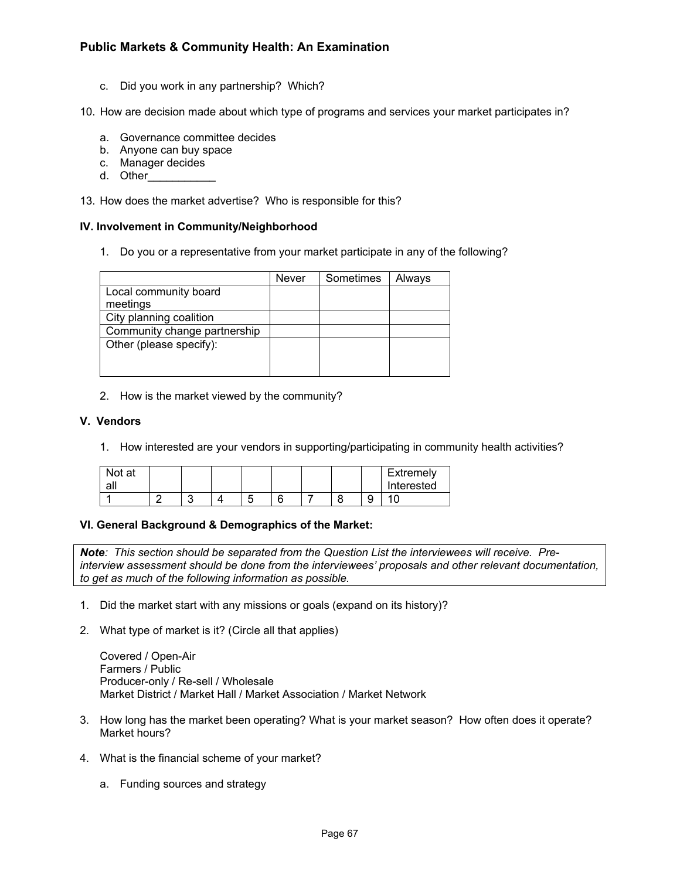c. Did you work in any partnership? Which?

10. How are decision made about which type of programs and services your market participates in?

- a. Governance committee decides
- b. Anyone can buy space
- c. Manager decides
- d. Other

13. How does the market advertise? Who is responsible for this?

## **IV. Involvement in Community/Neighborhood**

1. Do you or a representative from your market participate in any of the following?

|                              | Never | Sometimes | Always |
|------------------------------|-------|-----------|--------|
| Local community board        |       |           |        |
| meetings                     |       |           |        |
| City planning coalition      |       |           |        |
| Community change partnership |       |           |        |
| Other (please specify):      |       |           |        |
|                              |       |           |        |
|                              |       |           |        |

2. How is the market viewed by the community?

## **V. Vendors**

1. How interested are your vendors in supporting/participating in community health activities?

| Not at<br>all |  |        |   |  |   | Extremely<br>Interested |
|---------------|--|--------|---|--|---|-------------------------|
|               |  | ∽<br>ັ | c |  | ັ |                         |

## **VI. General Background & Demographics of the Market:**

*Note: This section should be separated from the Question List the interviewees will receive. Preinterview assessment should be done from the interviewees' proposals and other relevant documentation, to get as much of the following information as possible.* 

- 1. Did the market start with any missions or goals (expand on its history)?
- 2. What type of market is it? (Circle all that applies)

Covered / Open-Air Farmers / Public Producer-only / Re-sell / Wholesale Market District / Market Hall / Market Association / Market Network

- 3. How long has the market been operating? What is your market season? How often does it operate? Market hours?
- 4. What is the financial scheme of your market?
	- a. Funding sources and strategy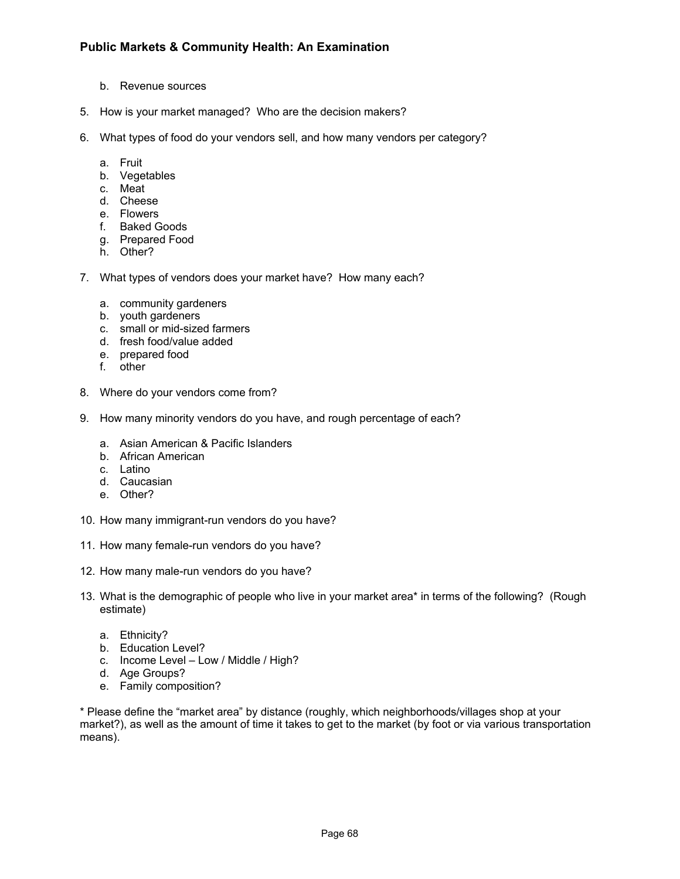- b. Revenue sources
- 5. How is your market managed? Who are the decision makers?
- 6. What types of food do your vendors sell, and how many vendors per category?
	- a. Fruit
	- b. Vegetables
	- c. Meat
	- d. Cheese
	- e. Flowers
	- f. Baked Goods
	- g. Prepared Food
	- h. Other?
- 7. What types of vendors does your market have? How many each?
	- a. community gardeners
	- b. youth gardeners
	- c. small or mid-sized farmers
	- d. fresh food/value added
	- e. prepared food
	- f. other
- 8. Where do your vendors come from?
- 9. How many minority vendors do you have, and rough percentage of each?
	- a. Asian American & Pacific Islanders
	- b. African American
	- c. Latino
	- d. Caucasian
	- e. Other?
- 10. How many immigrant-run vendors do you have?
- 11. How many female-run vendors do you have?
- 12. How many male-run vendors do you have?
- 13. What is the demographic of people who live in your market area\* in terms of the following? (Rough estimate)
	- a. Ethnicity?
	- b. Education Level?
	- c. Income Level Low / Middle / High?
	- d. Age Groups?
	- e. Family composition?

\* Please define the "market area" by distance (roughly, which neighborhoods/villages shop at your market?), as well as the amount of time it takes to get to the market (by foot or via various transportation means).